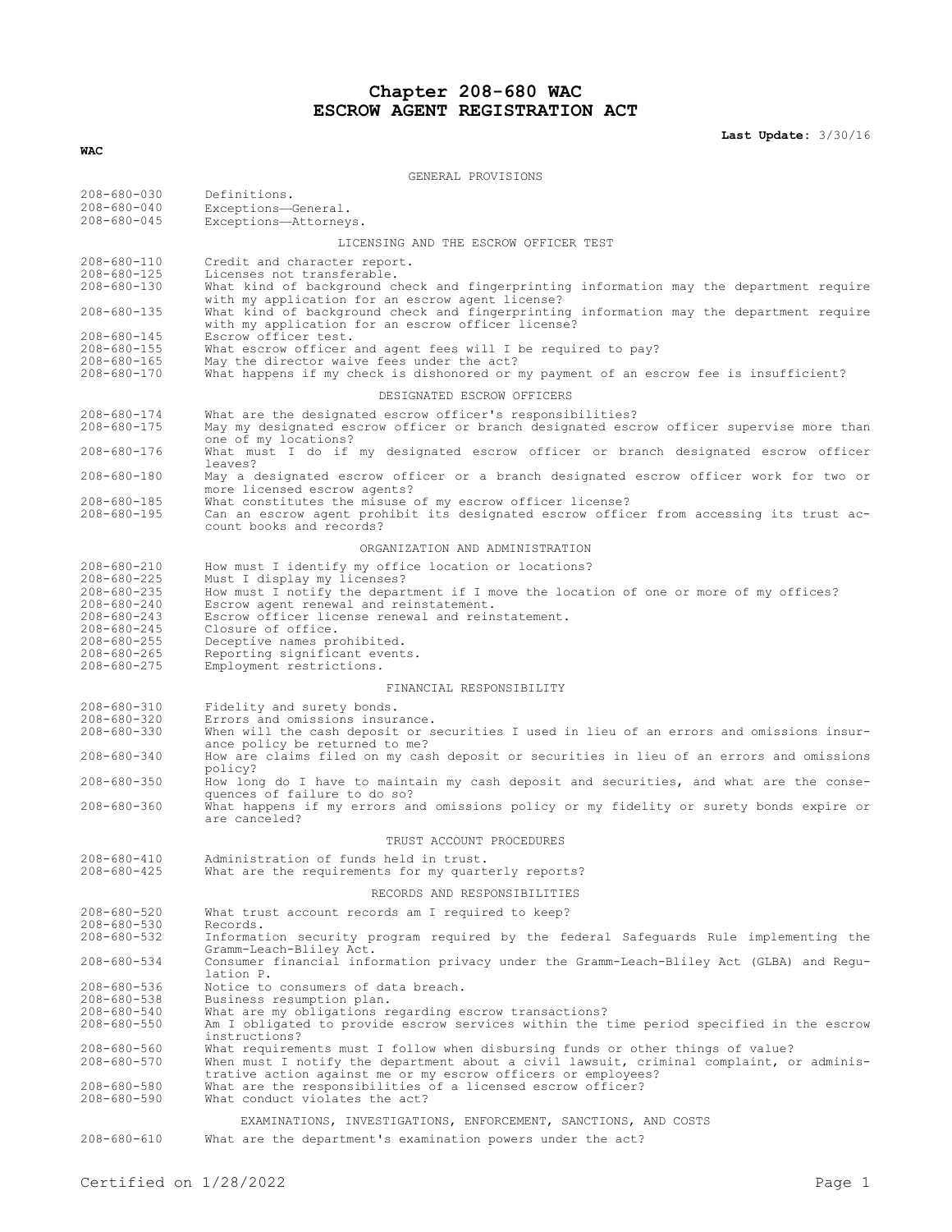# **Chapter 208-680 WAC ESCROW AGENT REGISTRATION ACT**

**Last Update:** 3/30/16

| GENERAL PROVISIONS                                                                                                                                                                  |                                                                                                                                                                                                                                                                                                                                                                                                |  |  |
|-------------------------------------------------------------------------------------------------------------------------------------------------------------------------------------|------------------------------------------------------------------------------------------------------------------------------------------------------------------------------------------------------------------------------------------------------------------------------------------------------------------------------------------------------------------------------------------------|--|--|
| $208 - 680 - 030$<br>$208 - 680 - 040$<br>$208 - 680 - 045$                                                                                                                         | Definitions.<br>Exceptions-General.<br>Exceptions-Attorneys.                                                                                                                                                                                                                                                                                                                                   |  |  |
|                                                                                                                                                                                     | LICENSING AND THE ESCROW OFFICER TEST                                                                                                                                                                                                                                                                                                                                                          |  |  |
| 208-680-110<br>$208 - 680 - 125$<br>$208 - 680 - 130$                                                                                                                               | Credit and character report.<br>Licenses not transferable.<br>What kind of background check and fingerprinting information may the department require<br>with my application for an escrow agent license?                                                                                                                                                                                      |  |  |
| $208 - 680 - 135$                                                                                                                                                                   | What kind of background check and fingerprinting information may the department require<br>with my application for an escrow officer license?                                                                                                                                                                                                                                                  |  |  |
| 208-680-145<br>$208 - 680 - 155$<br>$208 - 680 - 165$<br>$208 - 680 - 170$                                                                                                          | Escrow officer test.<br>What escrow officer and agent fees will I be required to pay?<br>May the director waive fees under the act?<br>What happens if my check is dishonored or my payment of an escrow fee is insufficient?                                                                                                                                                                  |  |  |
|                                                                                                                                                                                     | DESIGNATED ESCROW OFFICERS                                                                                                                                                                                                                                                                                                                                                                     |  |  |
| $208 - 680 - 174$<br>$208 - 680 - 175$                                                                                                                                              | What are the designated escrow officer's responsibilities?<br>May my designated escrow officer or branch designated escrow officer supervise more than                                                                                                                                                                                                                                         |  |  |
| 208-680-176                                                                                                                                                                         | one of my locations?<br>What must I do if my designated escrow officer or branch designated escrow officer<br>leaves?                                                                                                                                                                                                                                                                          |  |  |
| $208 - 680 - 180$                                                                                                                                                                   | May a designated escrow officer or a branch designated escrow officer work for two or                                                                                                                                                                                                                                                                                                          |  |  |
| $208 - 680 - 185$<br>$208 - 680 - 195$                                                                                                                                              | more licensed escrow agents?<br>What constitutes the misuse of my escrow officer license?<br>Can an escrow agent prohibit its designated escrow officer from accessing its trust ac-<br>count books and records?                                                                                                                                                                               |  |  |
|                                                                                                                                                                                     | ORGANIZATION AND ADMINISTRATION                                                                                                                                                                                                                                                                                                                                                                |  |  |
| 208-680-210<br>$208 - 680 - 225$<br>$208 - 680 - 235$<br>$208 - 680 - 240$<br>$208 - 680 - 243$<br>$208 - 680 - 245$<br>$208 - 680 - 255$<br>$208 - 680 - 265$<br>$208 - 680 - 275$ | How must I identify my office location or locations?<br>Must I display my licenses?<br>How must I notify the department if I move the location of one or more of my offices?<br>Escrow agent renewal and reinstatement.<br>Escrow officer license renewal and reinstatement.<br>Closure of office.<br>Deceptive names prohibited.<br>Reporting significant events.<br>Employment restrictions. |  |  |
| FINANCIAL RESPONSIBILITY                                                                                                                                                            |                                                                                                                                                                                                                                                                                                                                                                                                |  |  |
| $208 - 680 - 310$<br>$208 - 680 - 320$<br>$208 - 680 - 330$                                                                                                                         | Fidelity and surety bonds.<br>Errors and omissions insurance.<br>When will the cash deposit or securities I used in lieu of an errors and omissions insur-<br>ance policy be returned to me?                                                                                                                                                                                                   |  |  |
| $208 - 680 - 340$                                                                                                                                                                   | How are claims filed on my cash deposit or securities in lieu of an errors and omissions<br>policy?                                                                                                                                                                                                                                                                                            |  |  |
| $208 - 680 - 350$                                                                                                                                                                   | How long do I have to maintain my cash deposit and securities, and what are the conse-<br>quences of failure to do so?                                                                                                                                                                                                                                                                         |  |  |
| $208 - 680 - 360$                                                                                                                                                                   | What happens if my errors and omissions policy or my fidelity or surety bonds expire or<br>are canceled?                                                                                                                                                                                                                                                                                       |  |  |
|                                                                                                                                                                                     | TRUST ACCOUNT PROCEDURES                                                                                                                                                                                                                                                                                                                                                                       |  |  |
| 208-680-410<br>$208 - 680 - 425$                                                                                                                                                    | Administration of funds held in trust.<br>What are the requirements for my quarterly reports?                                                                                                                                                                                                                                                                                                  |  |  |
|                                                                                                                                                                                     | RECORDS AND RESPONSIBILITIES                                                                                                                                                                                                                                                                                                                                                                   |  |  |
| $208 - 680 - 520$                                                                                                                                                                   | What trust account records am I required to keep?                                                                                                                                                                                                                                                                                                                                              |  |  |
| $208 - 680 - 530$<br>$208 - 680 - 532$                                                                                                                                              | Records.<br>Information security program required by the federal Safeguards Rule implementing the<br>Gramm-Leach-Bliley Act.                                                                                                                                                                                                                                                                   |  |  |
| $208 - 680 - 534$                                                                                                                                                                   | Consumer financial information privacy under the Gramm-Leach-Bliley Act (GLBA) and Regu-<br>lation P.                                                                                                                                                                                                                                                                                          |  |  |
| 208-680-536                                                                                                                                                                         | Notice to consumers of data breach.                                                                                                                                                                                                                                                                                                                                                            |  |  |
| $208 - 680 - 538$<br>$208 - 680 - 540$<br>$208 - 680 - 550$                                                                                                                         | Business resumption plan.<br>What are my obligations regarding escrow transactions?<br>Am I obligated to provide escrow services within the time period specified in the escrow<br>instructions?                                                                                                                                                                                               |  |  |
| $208 - 680 - 560$<br>$208 - 680 - 570$                                                                                                                                              | What requirements must I follow when disbursing funds or other things of value?<br>When must I notify the department about a civil lawsuit, criminal complaint, or adminis-                                                                                                                                                                                                                    |  |  |
| $208 - 680 - 580$<br>$208 - 680 - 590$                                                                                                                                              | trative action against me or my escrow officers or employees?<br>What are the responsibilities of a licensed escrow officer?<br>What conduct violates the act?                                                                                                                                                                                                                                 |  |  |
| EXAMINATIONS, INVESTIGATIONS, ENFORCEMENT, SANCTIONS, AND COSTS                                                                                                                     |                                                                                                                                                                                                                                                                                                                                                                                                |  |  |
| $208 - 680 - 610$                                                                                                                                                                   | What are the department's examination powers under the act?                                                                                                                                                                                                                                                                                                                                    |  |  |

**WAC**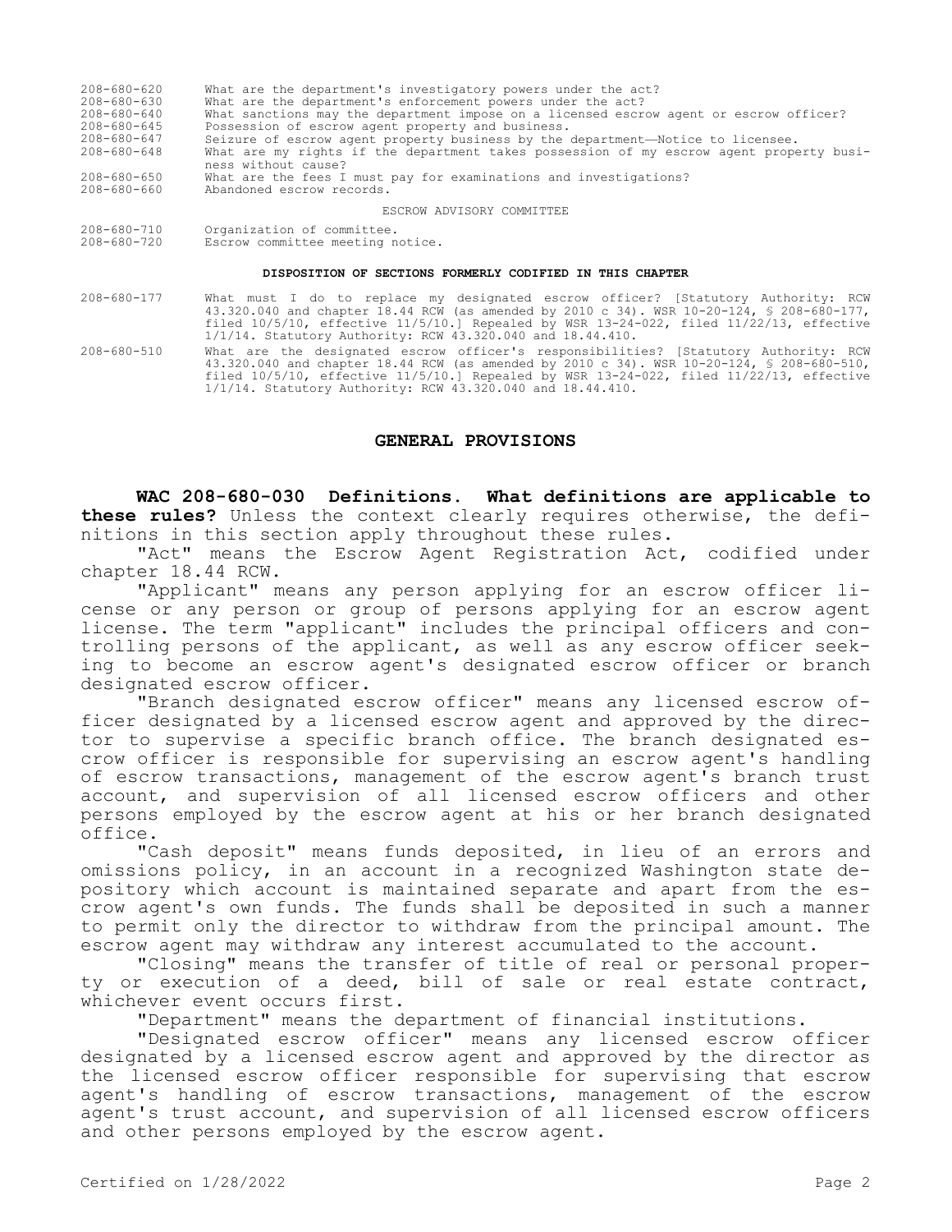| $208 - 680 - 620$ | What are the department's investigatory powers under the act?                                                  |
|-------------------|----------------------------------------------------------------------------------------------------------------|
| $208 - 680 - 630$ | What are the department's enforcement powers under the act?                                                    |
| $208 - 680 - 640$ | What sanctions may the department impose on a licensed escrow agent or escrow officer?                         |
| $208 - 680 - 645$ | Possession of escrow agent property and business.                                                              |
| 208-680-647       | Seizure of escrow agent property business by the department-Notice to licensee.                                |
| $208 - 680 - 648$ | What are my rights if the department takes possession of my escrow agent property busi-<br>ness without cause? |
| $208 - 680 - 650$ | What are the fees I must pay for examinations and investigations?                                              |
| $208 - 680 - 660$ | Abandoned escrow records.                                                                                      |
|                   | ESCROW ADVISORY COMMITTEE                                                                                      |

#### ESCROW ADVISORY COMMITTEE

208-680-710 Organization of committee. Escrow committee meeting notice.

#### **DISPOSITION OF SECTIONS FORMERLY CODIFIED IN THIS CHAPTER**

- 208-680-177 What must I do to replace my designated escrow officer? [Statutory Authority: RCW 43.320.040 and chapter 18.44 RCW (as amended by 2010 c 34). WSR 10-20-124, § 208-680-177, filed 10/5/10, effective 11/5/10.] Repealed by WSR 13-24-022, filed 11/22/13, effective 1/1/14. Statutory Authority: RCW 43.320.040 and 18.44.410.
- 208-680-510 What are the designated escrow officer's responsibilities? [Statutory Authority: RCW 43.320.040 and chapter 18.44 RCW (as amended by 2010 c 34). WSR 10-20-124, § 208-680-510, filed 10/5/10, effective 11/5/10.] Repealed by WSR 13-24-022, filed 11/22/13, effective 1/1/14. Statutory Authority: RCW 43.320.040 and 18.44.410.

#### **GENERAL PROVISIONS**

**WAC 208-680-030 Definitions. What definitions are applicable to these rules?** Unless the context clearly requires otherwise, the definitions in this section apply throughout these rules.

"Act" means the Escrow Agent Registration Act, codified under chapter 18.44 RCW.

"Applicant" means any person applying for an escrow officer license or any person or group of persons applying for an escrow agent license. The term "applicant" includes the principal officers and controlling persons of the applicant, as well as any escrow officer seeking to become an escrow agent's designated escrow officer or branch designated escrow officer.

"Branch designated escrow officer" means any licensed escrow officer designated by a licensed escrow agent and approved by the director to supervise a specific branch office. The branch designated escrow officer is responsible for supervising an escrow agent's handling of escrow transactions, management of the escrow agent's branch trust account, and supervision of all licensed escrow officers and other persons employed by the escrow agent at his or her branch designated office.

"Cash deposit" means funds deposited, in lieu of an errors and omissions policy, in an account in a recognized Washington state depository which account is maintained separate and apart from the escrow agent's own funds. The funds shall be deposited in such a manner to permit only the director to withdraw from the principal amount. The escrow agent may withdraw any interest accumulated to the account.

"Closing" means the transfer of title of real or personal property or execution of a deed, bill of sale or real estate contract, whichever event occurs first.

"Department" means the department of financial institutions.

"Designated escrow officer" means any licensed escrow officer designated by a licensed escrow agent and approved by the director as the licensed escrow officer responsible for supervising that escrow agent's handling of escrow transactions, management of the escrow agent's trust account, and supervision of all licensed escrow officers and other persons employed by the escrow agent.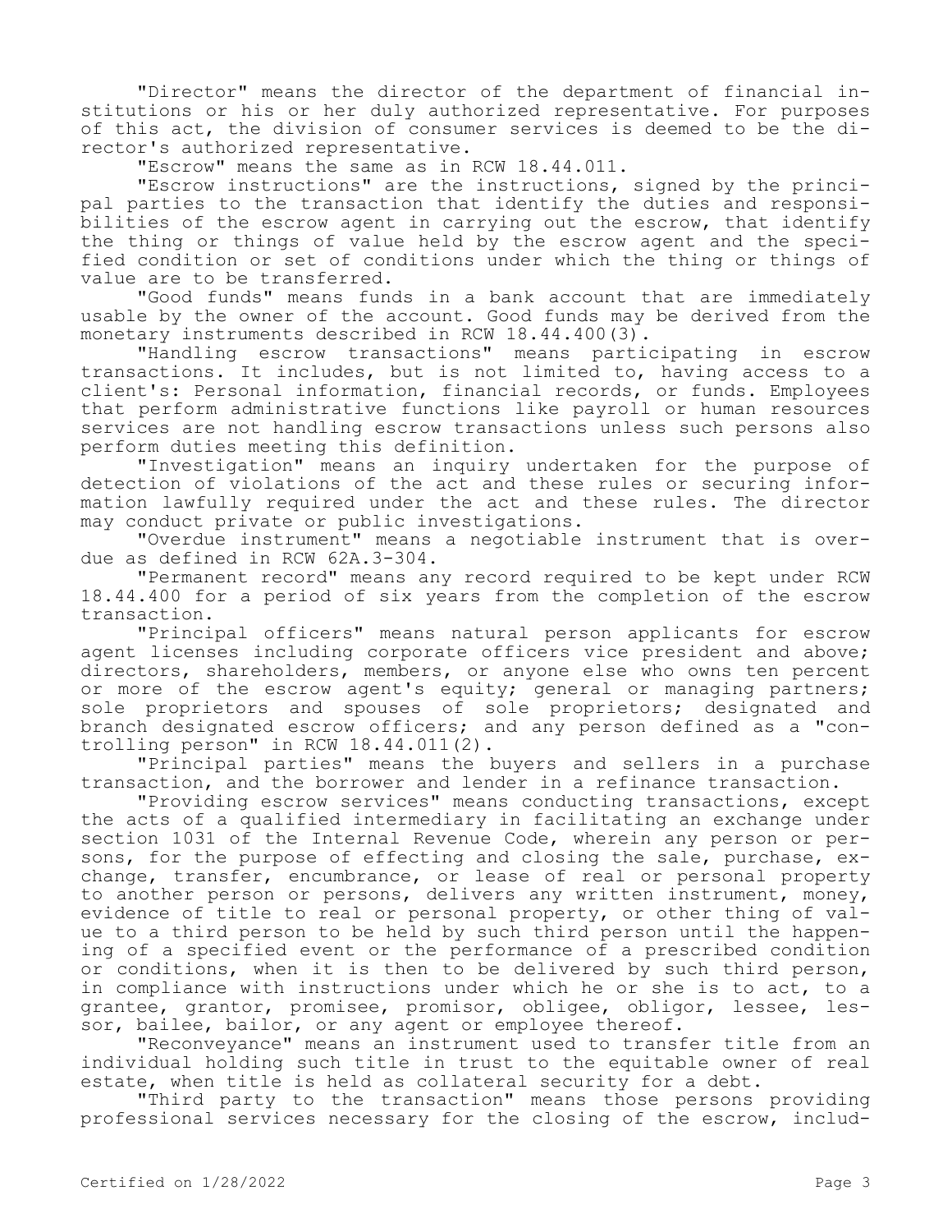"Director" means the director of the department of financial institutions or his or her duly authorized representative. For purposes of this act, the division of consumer services is deemed to be the director's authorized representative.

"Escrow" means the same as in RCW 18.44.011.

"Escrow instructions" are the instructions, signed by the principal parties to the transaction that identify the duties and responsibilities of the escrow agent in carrying out the escrow, that identify the thing or things of value held by the escrow agent and the specified condition or set of conditions under which the thing or things of value are to be transferred.

"Good funds" means funds in a bank account that are immediately usable by the owner of the account. Good funds may be derived from the monetary instruments described in RCW 18.44.400(3).

"Handling escrow transactions" means participating in escrow transactions. It includes, but is not limited to, having access to a client's: Personal information, financial records, or funds. Employees that perform administrative functions like payroll or human resources services are not handling escrow transactions unless such persons also perform duties meeting this definition.

"Investigation" means an inquiry undertaken for the purpose of detection of violations of the act and these rules or securing information lawfully required under the act and these rules. The director may conduct private or public investigations.

"Overdue instrument" means a negotiable instrument that is overdue as defined in RCW 62A.3-304.

"Permanent record" means any record required to be kept under RCW 18.44.400 for a period of six years from the completion of the escrow transaction.

"Principal officers" means natural person applicants for escrow agent licenses including corporate officers vice president and above; directors, shareholders, members, or anyone else who owns ten percent or more of the escrow agent's equity; general or managing partners; sole proprietors and spouses of sole proprietors; designated and branch designated escrow officers; and any person defined as a "controlling person" in RCW 18.44.011(2).

"Principal parties" means the buyers and sellers in a purchase transaction, and the borrower and lender in a refinance transaction.

"Providing escrow services" means conducting transactions, except the acts of a qualified intermediary in facilitating an exchange under section 1031 of the Internal Revenue Code, wherein any person or persons, for the purpose of effecting and closing the sale, purchase, exchange, transfer, encumbrance, or lease of real or personal property to another person or persons, delivers any written instrument, money, evidence of title to real or personal property, or other thing of value to a third person to be held by such third person until the happening of a specified event or the performance of a prescribed condition or conditions, when it is then to be delivered by such third person, in compliance with instructions under which he or she is to act, to a grantee, grantor, promisee, promisor, obligee, obligor, lessee, lessor, bailee, bailor, or any agent or employee thereof.

"Reconveyance" means an instrument used to transfer title from an individual holding such title in trust to the equitable owner of real estate, when title is held as collateral security for a debt.

"Third party to the transaction" means those persons providing professional services necessary for the closing of the escrow, includ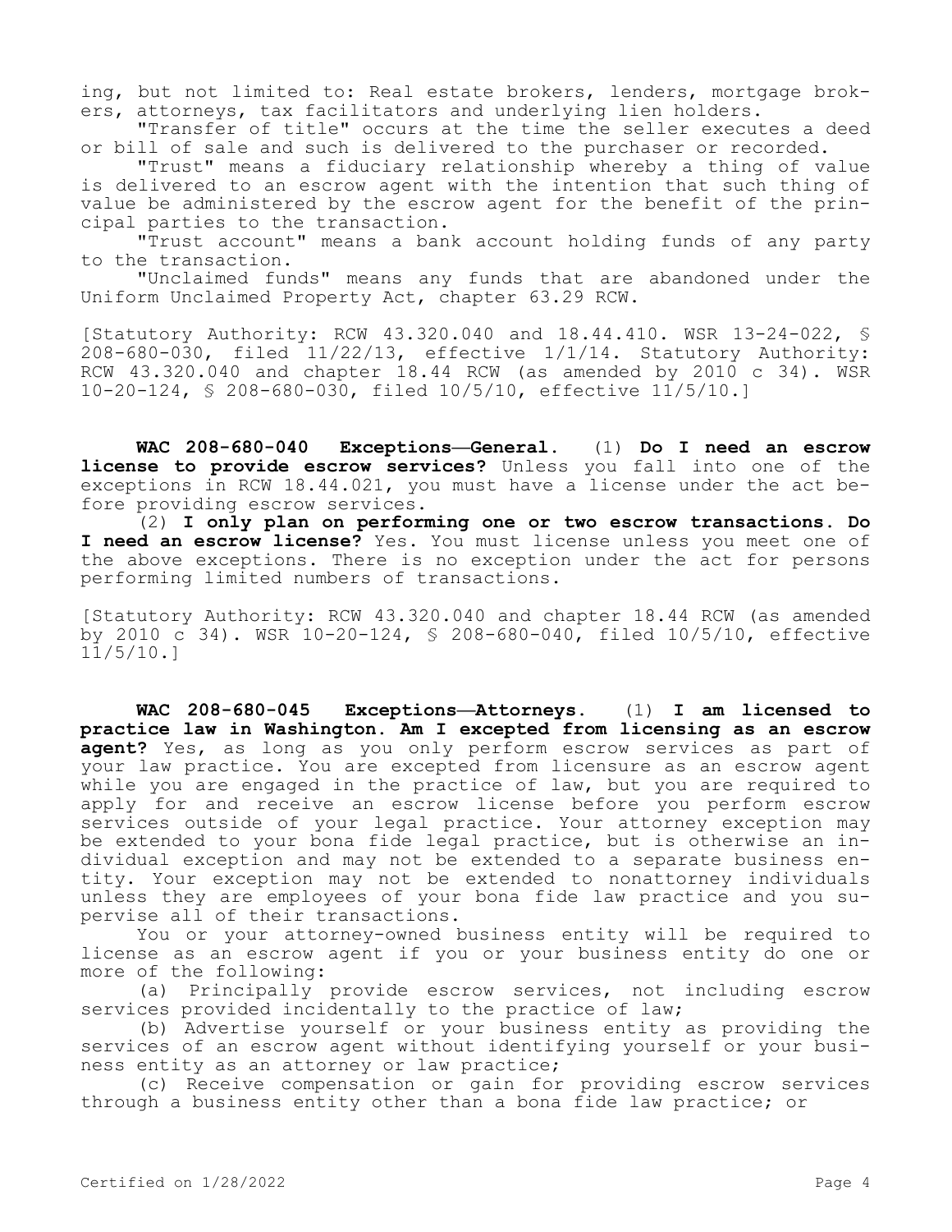ing, but not limited to: Real estate brokers, lenders, mortgage brokers, attorneys, tax facilitators and underlying lien holders.

"Transfer of title" occurs at the time the seller executes a deed or bill of sale and such is delivered to the purchaser or recorded.

"Trust" means a fiduciary relationship whereby a thing of value is delivered to an escrow agent with the intention that such thing of value be administered by the escrow agent for the benefit of the principal parties to the transaction.

"Trust account" means a bank account holding funds of any party to the transaction.

"Unclaimed funds" means any funds that are abandoned under the Uniform Unclaimed Property Act, chapter 63.29 RCW.

[Statutory Authority: RCW 43.320.040 and 18.44.410. WSR 13-24-022, § 208-680-030, filed 11/22/13, effective 1/1/14. Statutory Authority: RCW  $43.320.040$  and chapter 18.44 RCW (as amended by 2010 c 34). WSR 10-20-124, § 208-680-030, filed 10/5/10, effective 11/5/10.]

**WAC 208-680-040 Exceptions—General.** (1) **Do I need an escrow license to provide escrow services?** Unless you fall into one of the exceptions in RCW 18.44.021, you must have a license under the act before providing escrow services.

(2) **I only plan on performing one or two escrow transactions. Do I need an escrow license?** Yes. You must license unless you meet one of the above exceptions. There is no exception under the act for persons performing limited numbers of transactions.

[Statutory Authority: RCW 43.320.040 and chapter 18.44 RCW (as amended by 2010 c 34). WSR 10-20-124, § 208-680-040, filed 10/5/10, effective 11/5/10.]

**WAC 208-680-045 Exceptions—Attorneys.** (1) **I am licensed to practice law in Washington. Am I excepted from licensing as an escrow agent?** Yes, as long as you only perform escrow services as part of your law practice. You are excepted from licensure as an escrow agent while you are engaged in the practice of law, but you are required to apply for and receive an escrow license before you perform escrow services outside of your legal practice. Your attorney exception may be extended to your bona fide legal practice, but is otherwise an individual exception and may not be extended to a separate business entity. Your exception may not be extended to nonattorney individuals unless they are employees of your bona fide law practice and you supervise all of their transactions.

You or your attorney-owned business entity will be required to license as an escrow agent if you or your business entity do one or more of the following:

(a) Principally provide escrow services, not including escrow services provided incidentally to the practice of law;

(b) Advertise yourself or your business entity as providing the services of an escrow agent without identifying yourself or your business entity as an attorney or law practice;

(c) Receive compensation or gain for providing escrow services through a business entity other than a bona fide law practice; or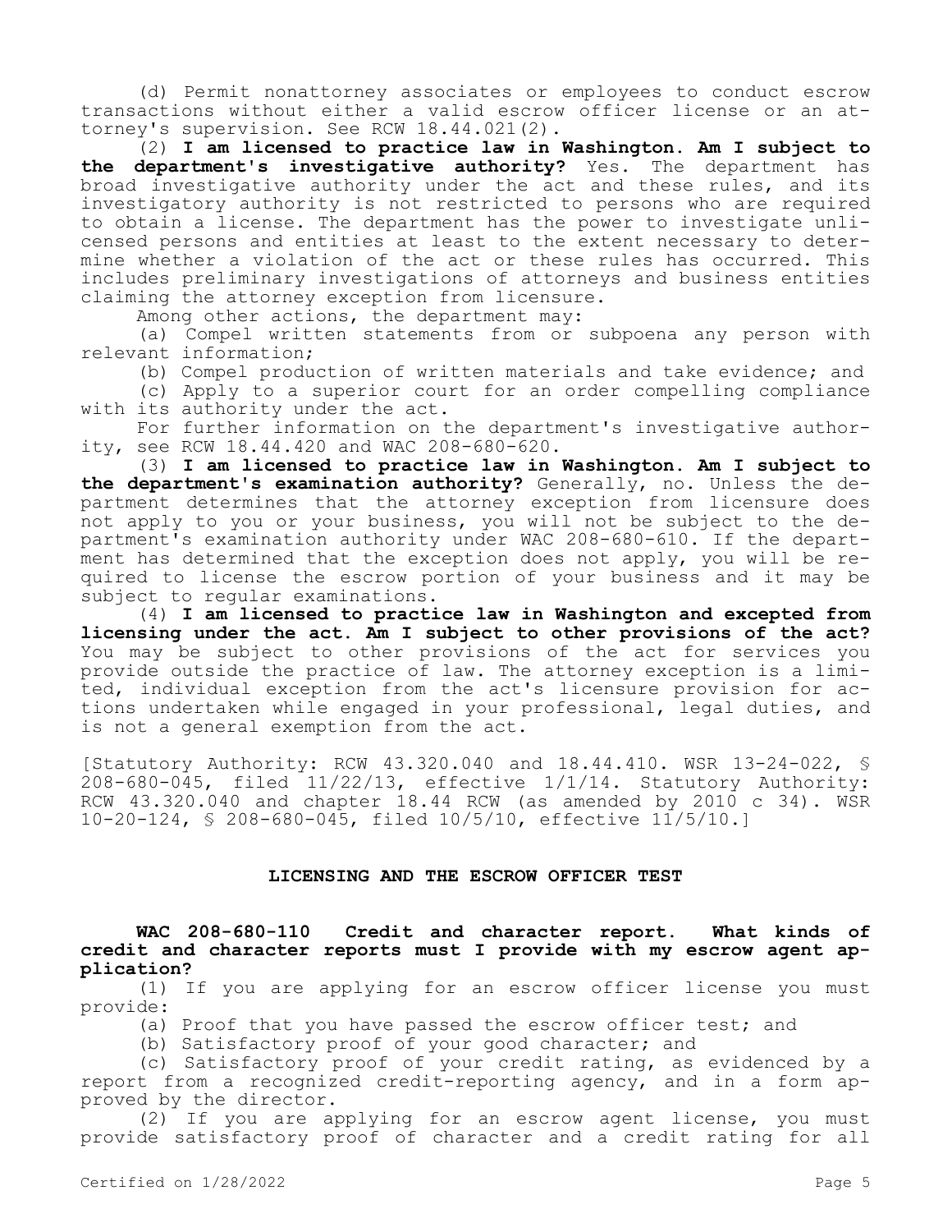(d) Permit nonattorney associates or employees to conduct escrow transactions without either a valid escrow officer license or an attorney's supervision. See RCW 18.44.021(2).

(2) **I am licensed to practice law in Washington. Am I subject to the department's investigative authority?** Yes. The department has broad investigative authority under the act and these rules, and its investigatory authority is not restricted to persons who are required to obtain a license. The department has the power to investigate unlicensed persons and entities at least to the extent necessary to determine whether a violation of the act or these rules has occurred. This includes preliminary investigations of attorneys and business entities claiming the attorney exception from licensure.

Among other actions, the department may:

(a) Compel written statements from or subpoena any person with relevant information;

(b) Compel production of written materials and take evidence; and

(c) Apply to a superior court for an order compelling compliance with its authority under the act.

For further information on the department's investigative authority, see RCW 18.44.420 and WAC 208-680-620.

(3) **I am licensed to practice law in Washington. Am I subject to the department's examination authority?** Generally, no. Unless the department determines that the attorney exception from licensure does not apply to you or your business, you will not be subject to the department's examination authority under WAC 208-680-610. If the department has determined that the exception does not apply, you will be required to license the escrow portion of your business and it may be subject to regular examinations.

(4) **I am licensed to practice law in Washington and excepted from licensing under the act. Am I subject to other provisions of the act?**  You may be subject to other provisions of the act for services you provide outside the practice of law. The attorney exception is a limited, individual exception from the act's licensure provision for actions undertaken while engaged in your professional, legal duties, and is not a general exemption from the act.

[Statutory Authority: RCW 43.320.040 and 18.44.410. WSR 13-24-022, § 208-680-045, filed 11/22/13, effective 1/1/14. Statutory Authority: RCW 43.320.040 and chapter 18.44 RCW (as amended by 2010 c 34). WSR 10-20-124, § 208-680-045, filed 10/5/10, effective 11/5/10.]

### **LICENSING AND THE ESCROW OFFICER TEST**

**WAC 208-680-110 Credit and character report. What kinds of credit and character reports must I provide with my escrow agent application?**

(1) If you are applying for an escrow officer license you must provide:

(a) Proof that you have passed the escrow officer test; and

(b) Satisfactory proof of your good character; and

(c) Satisfactory proof of your credit rating, as evidenced by a report from a recognized credit-reporting agency, and in a form approved by the director.

(2) If you are applying for an escrow agent license, you must provide satisfactory proof of character and a credit rating for all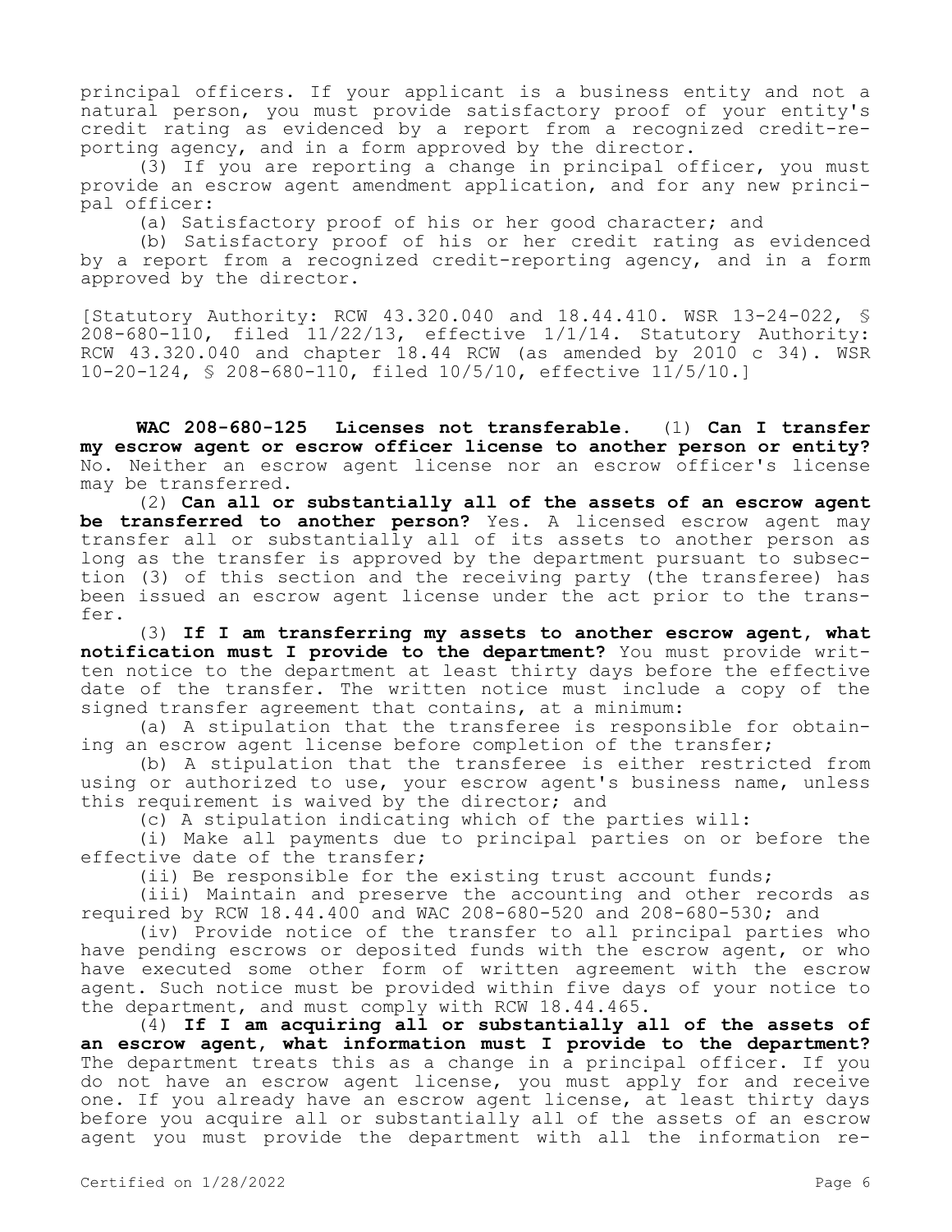principal officers. If your applicant is a business entity and not a natural person, you must provide satisfactory proof of your entity's credit rating as evidenced by a report from a recognized credit-reporting agency, and in a form approved by the director.

(3) If you are reporting a change in principal officer, you must provide an escrow agent amendment application, and for any new principal officer:

(a) Satisfactory proof of his or her good character; and

(b) Satisfactory proof of his or her credit rating as evidenced by a report from a recognized credit-reporting agency, and in a form approved by the director.

[Statutory Authority: RCW 43.320.040 and 18.44.410. WSR 13-24-022, §  $208-680-110$ , filed  $11/22/13$ , effective  $1/1/14$ . Statutory Authority: RCW 43.320.040 and chapter 18.44 RCW (as amended by 2010 c 34). WSR 10-20-124, § 208-680-110, filed 10/5/10, effective 11/5/10.]

**WAC 208-680-125 Licenses not transferable.** (1) **Can I transfer my escrow agent or escrow officer license to another person or entity?**  No. Neither an escrow agent license nor an escrow officer's license may be transferred.

(2) **Can all or substantially all of the assets of an escrow agent be transferred to another person?** Yes. A licensed escrow agent may transfer all or substantially all of its assets to another person as long as the transfer is approved by the department pursuant to subsection (3) of this section and the receiving party (the transferee) has been issued an escrow agent license under the act prior to the transfer.

(3) **If I am transferring my assets to another escrow agent, what notification must I provide to the department?** You must provide written notice to the department at least thirty days before the effective date of the transfer. The written notice must include a copy of the signed transfer agreement that contains, at a minimum:

(a) A stipulation that the transferee is responsible for obtaining an escrow agent license before completion of the transfer;

(b) A stipulation that the transferee is either restricted from using or authorized to use, your escrow agent's business name, unless this requirement is waived by the director; and

(c) A stipulation indicating which of the parties will:

(i) Make all payments due to principal parties on or before the effective date of the transfer;

(ii) Be responsible for the existing trust account funds;

(iii) Maintain and preserve the accounting and other records as required by RCW 18.44.400 and WAC 208-680-520 and 208-680-530; and

(iv) Provide notice of the transfer to all principal parties who have pending escrows or deposited funds with the escrow agent, or who have executed some other form of written agreement with the escrow agent. Such notice must be provided within five days of your notice to the department, and must comply with RCW 18.44.465.

(4) **If I am acquiring all or substantially all of the assets of an escrow agent, what information must I provide to the department?**  The department treats this as a change in a principal officer. If you do not have an escrow agent license, you must apply for and receive one. If you already have an escrow agent license, at least thirty days before you acquire all or substantially all of the assets of an escrow agent you must provide the department with all the information re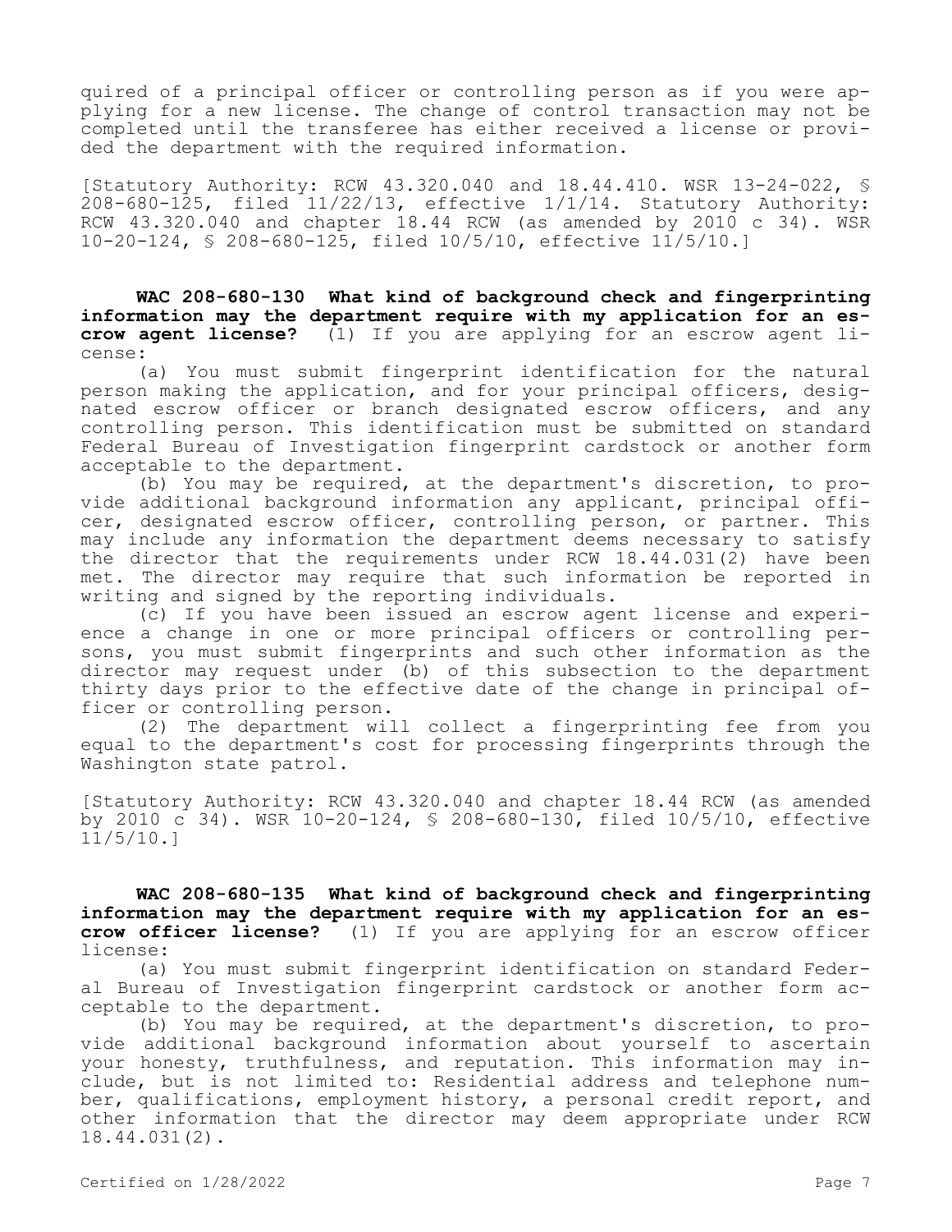quired of a principal officer or controlling person as if you were applying for a new license. The change of control transaction may not be completed until the transferee has either received a license or provided the department with the required information.

[Statutory Authority: RCW 43.320.040 and 18.44.410. WSR 13-24-022, § 208-680-125, filed 11/22/13, effective 1/1/14. Statutory Authority: RCW  $43.320.040$  and chapter 18.44 RCW (as amended by 2010 c 34). WSR 10-20-124, § 208-680-125, filed 10/5/10, effective 11/5/10.]

**WAC 208-680-130 What kind of background check and fingerprinting information may the department require with my application for an escrow agent license?** (1) If you are applying for an escrow agent license:

(a) You must submit fingerprint identification for the natural person making the application, and for your principal officers, designated escrow officer or branch designated escrow officers, and any controlling person. This identification must be submitted on standard Federal Bureau of Investigation fingerprint cardstock or another form acceptable to the department.

(b) You may be required, at the department's discretion, to provide additional background information any applicant, principal officer, designated escrow officer, controlling person, or partner. This may include any information the department deems necessary to satisfy the director that the requirements under RCW 18.44.031(2) have been met. The director may require that such information be reported in writing and signed by the reporting individuals.

(c) If you have been issued an escrow agent license and experience a change in one or more principal officers or controlling persons, you must submit fingerprints and such other information as the director may request under (b) of this subsection to the department thirty days prior to the effective date of the change in principal officer or controlling person.

(2) The department will collect a fingerprinting fee from you equal to the department's cost for processing fingerprints through the Washington state patrol.

[Statutory Authority: RCW 43.320.040 and chapter 18.44 RCW (as amended by 2010 c 34). WSR 10-20-124, § 208-680-130, filed 10/5/10, effective 11/5/10.]

**WAC 208-680-135 What kind of background check and fingerprinting information may the department require with my application for an escrow officer license?** (1) If you are applying for an escrow officer license:

(a) You must submit fingerprint identification on standard Federal Bureau of Investigation fingerprint cardstock or another form acceptable to the department.

(b) You may be required, at the department's discretion, to provide additional background information about yourself to ascertain your honesty, truthfulness, and reputation. This information may include, but is not limited to: Residential address and telephone number, qualifications, employment history, a personal credit report, and other information that the director may deem appropriate under RCW 18.44.031(2).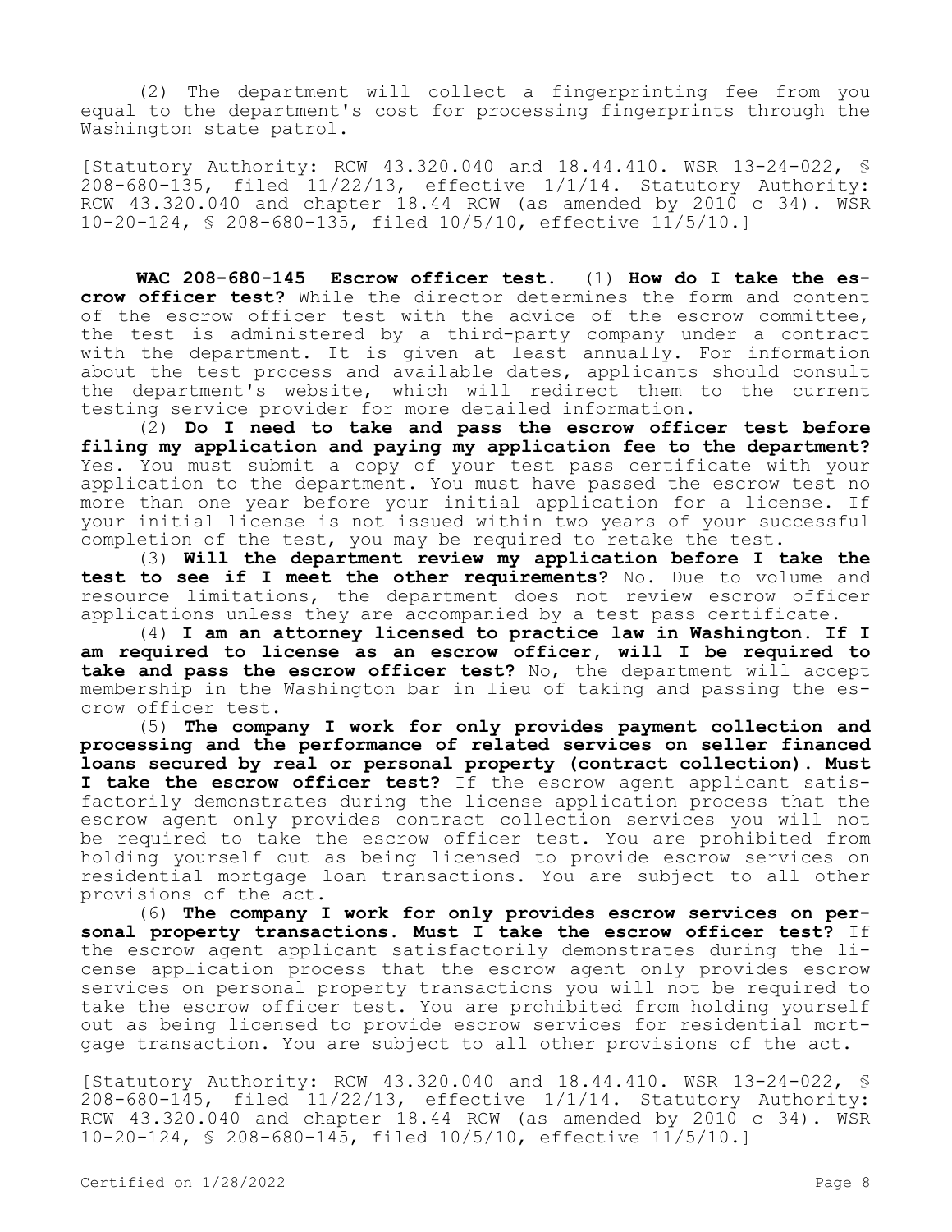(2) The department will collect a fingerprinting fee from you equal to the department's cost for processing fingerprints through the Washington state patrol.

[Statutory Authority: RCW 43.320.040 and 18.44.410. WSR 13-24-022, § 208-680-135, filed 11/22/13, effective 1/1/14. Statutory Authority: RCW  $43.320.040$  and chapter 18.44 RCW (as amended by 2010 c 34). WSR 10-20-124, § 208-680-135, filed 10/5/10, effective 11/5/10.]

**WAC 208-680-145 Escrow officer test.** (1) **How do I take the escrow officer test?** While the director determines the form and content of the escrow officer test with the advice of the escrow committee, the test is administered by a third-party company under a contract with the department. It is given at least annually. For information about the test process and available dates, applicants should consult the department's website, which will redirect them to the current testing service provider for more detailed information.

(2) **Do I need to take and pass the escrow officer test before filing my application and paying my application fee to the department?**  Yes. You must submit a copy of your test pass certificate with your application to the department. You must have passed the escrow test no more than one year before your initial application for a license. If your initial license is not issued within two years of your successful completion of the test, you may be required to retake the test.

(3) **Will the department review my application before I take the test to see if I meet the other requirements?** No. Due to volume and resource limitations, the department does not review escrow officer applications unless they are accompanied by a test pass certificate.

(4) **I am an attorney licensed to practice law in Washington. If I am required to license as an escrow officer, will I be required to take and pass the escrow officer test?** No, the department will accept membership in the Washington bar in lieu of taking and passing the escrow officer test.

(5) **The company I work for only provides payment collection and processing and the performance of related services on seller financed loans secured by real or personal property (contract collection). Must I take the escrow officer test?** If the escrow agent applicant satisfactorily demonstrates during the license application process that the escrow agent only provides contract collection services you will not be required to take the escrow officer test. You are prohibited from holding yourself out as being licensed to provide escrow services on residential mortgage loan transactions. You are subject to all other provisions of the act.

(6) **The company I work for only provides escrow services on personal property transactions. Must I take the escrow officer test?** If the escrow agent applicant satisfactorily demonstrates during the license application process that the escrow agent only provides escrow services on personal property transactions you will not be required to take the escrow officer test. You are prohibited from holding yourself out as being licensed to provide escrow services for residential mortgage transaction. You are subject to all other provisions of the act.

[Statutory Authority: RCW 43.320.040 and 18.44.410. WSR 13-24-022, § 208-680-145, filed 11/22/13, effective 1/1/14. Statutory Authority: RCW 43.320.040 and chapter 18.44 RCW (as amended by 2010 c 34). WSR 10-20-124, § 208-680-145, filed 10/5/10, effective 11/5/10.]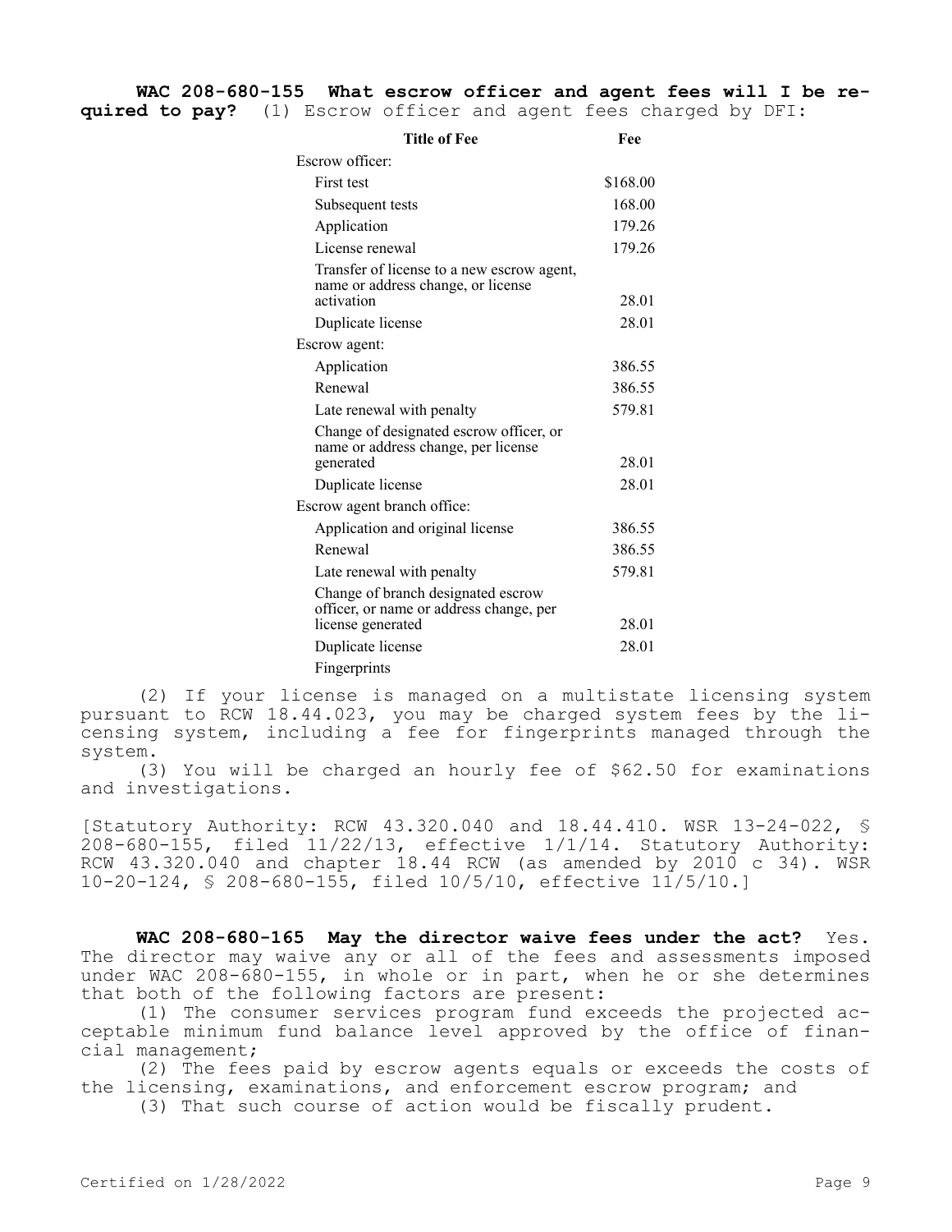| Title of Fee                                                                                       | Fee      |
|----------------------------------------------------------------------------------------------------|----------|
| Escrow officer:                                                                                    |          |
| First test                                                                                         | \$168.00 |
| Subsequent tests                                                                                   | 168.00   |
| Application                                                                                        | 179.26   |
| License renewal                                                                                    | 179.26   |
| Transfer of license to a new escrow agent,<br>name or address change, or license<br>activation     | 28.01    |
| Duplicate license                                                                                  | 28.01    |
| Escrow agent:                                                                                      |          |
| Application                                                                                        | 386.55   |
| Renewal                                                                                            | 386.55   |
| Late renewal with penalty                                                                          | 579.81   |
| Change of designated escrow officer, or<br>name or address change, per license<br>generated        | 28.01    |
| Duplicate license                                                                                  | 28.01    |
| Escrow agent branch office:                                                                        |          |
| Application and original license                                                                   | 386.55   |
| Renewal                                                                                            | 386.55   |
| Late renewal with penalty                                                                          | 579.81   |
| Change of branch designated escrow<br>officer, or name or address change, per<br>license generated | 28.01    |
| Duplicate license                                                                                  | 28.01    |
| Fingerprints                                                                                       |          |
|                                                                                                    |          |

(2) If your license is managed on a multistate licensing system pursuant to RCW 18.44.023, you may be charged system fees by the licensing system, including a fee for fingerprints managed through the system.

(3) You will be charged an hourly fee of \$62.50 for examinations and investigations.

[Statutory Authority: RCW 43.320.040 and 18.44.410. WSR 13-24-022, § 208-680-155, filed 11/22/13, effective 1/1/14. Statutory Authority: RCW 43.320.040 and chapter 18.44 RCW (as amended by 2010 c 34). WSR 10-20-124, § 208-680-155, filed 10/5/10, effective 11/5/10.]

WAC 208-680-165 May the director waive fees under the act? Yes. The director may waive any or all of the fees and assessments imposed under WAC 208-680-155, in whole or in part, when he or she determines that both of the following factors are present:

(1) The consumer services program fund exceeds the projected acceptable minimum fund balance level approved by the office of financial management;

(2) The fees paid by escrow agents equals or exceeds the costs of the licensing, examinations, and enforcement escrow program; and

(3) That such course of action would be fiscally prudent.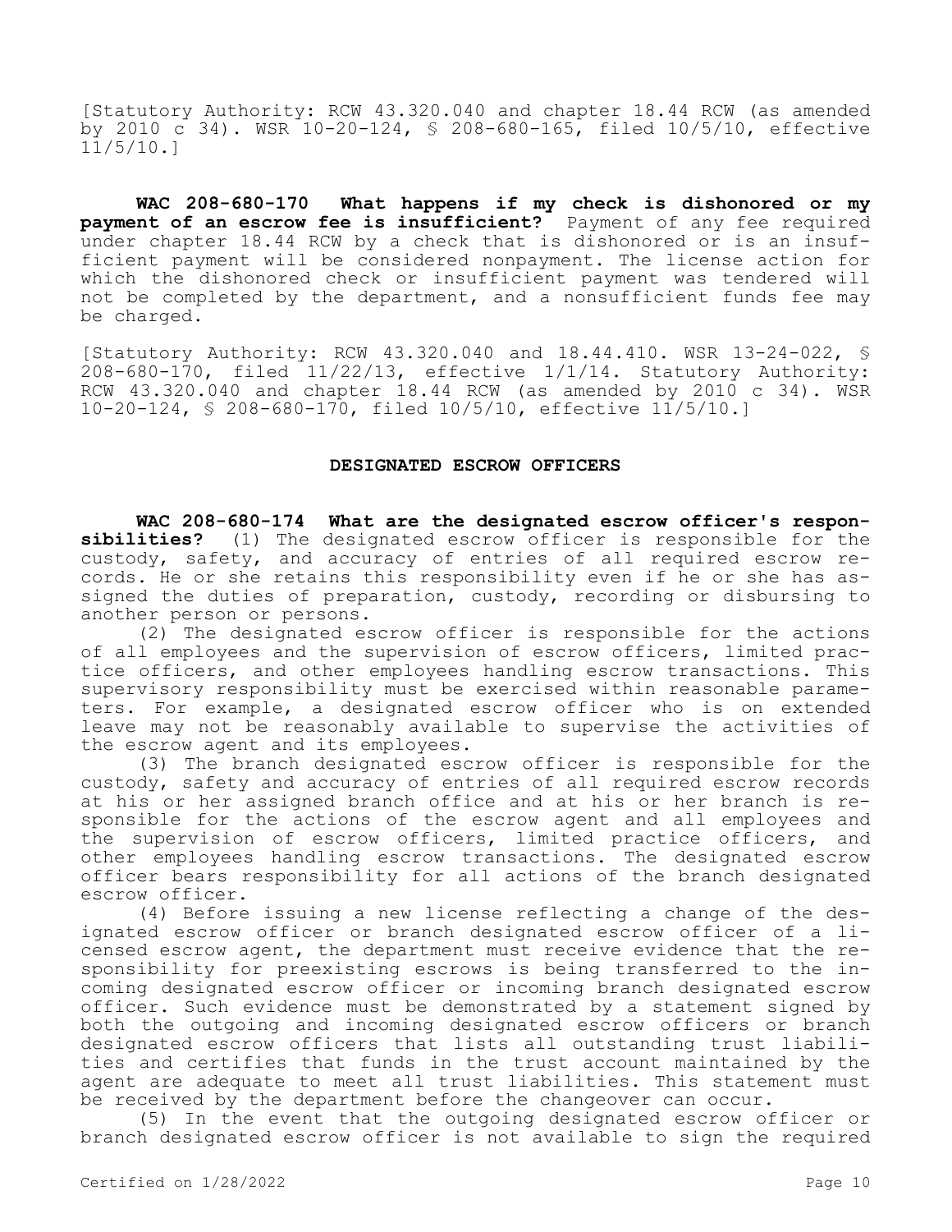[Statutory Authority: RCW 43.320.040 and chapter 18.44 RCW (as amended by 2010 c 34). WSR 10-20-124, § 208-680-165, filed 10/5/10, effective  $11/5/10.1$ 

**WAC 208-680-170 What happens if my check is dishonored or my payment of an escrow fee is insufficient?** Payment of any fee required under chapter 18.44 RCW by a check that is dishonored or is an insufficient payment will be considered nonpayment. The license action for which the dishonored check or insufficient payment was tendered will not be completed by the department, and a nonsufficient funds fee may be charged.

[Statutory Authority: RCW 43.320.040 and 18.44.410. WSR 13-24-022, § 208-680-170, filed 11/22/13, effective 1/1/14. Statutory Authority: RCW 43.320.040 and chapter 18.44 RCW (as amended by 2010 c 34). WSR 10-20-124, § 208-680-170, filed 10/5/10, effective 11/5/10.]

# **DESIGNATED ESCROW OFFICERS**

**WAC 208-680-174 What are the designated escrow officer's responsibilities?** (1) The designated escrow officer is responsible for the custody, safety, and accuracy of entries of all required escrow records. He or she retains this responsibility even if he or she has assigned the duties of preparation, custody, recording or disbursing to another person or persons.

(2) The designated escrow officer is responsible for the actions of all employees and the supervision of escrow officers, limited practice officers, and other employees handling escrow transactions. This supervisory responsibility must be exercised within reasonable parameters. For example, a designated escrow officer who is on extended leave may not be reasonably available to supervise the activities of the escrow agent and its employees.

(3) The branch designated escrow officer is responsible for the custody, safety and accuracy of entries of all required escrow records at his or her assigned branch office and at his or her branch is responsible for the actions of the escrow agent and all employees and the supervision of escrow officers, limited practice officers, and other employees handling escrow transactions. The designated escrow officer bears responsibility for all actions of the branch designated escrow officer.

(4) Before issuing a new license reflecting a change of the designated escrow officer or branch designated escrow officer of a licensed escrow agent, the department must receive evidence that the responsibility for preexisting escrows is being transferred to the incoming designated escrow officer or incoming branch designated escrow officer. Such evidence must be demonstrated by a statement signed by both the outgoing and incoming designated escrow officers or branch designated escrow officers that lists all outstanding trust liabilities and certifies that funds in the trust account maintained by the agent are adequate to meet all trust liabilities. This statement must be received by the department before the changeover can occur.

(5) In the event that the outgoing designated escrow officer or branch designated escrow officer is not available to sign the required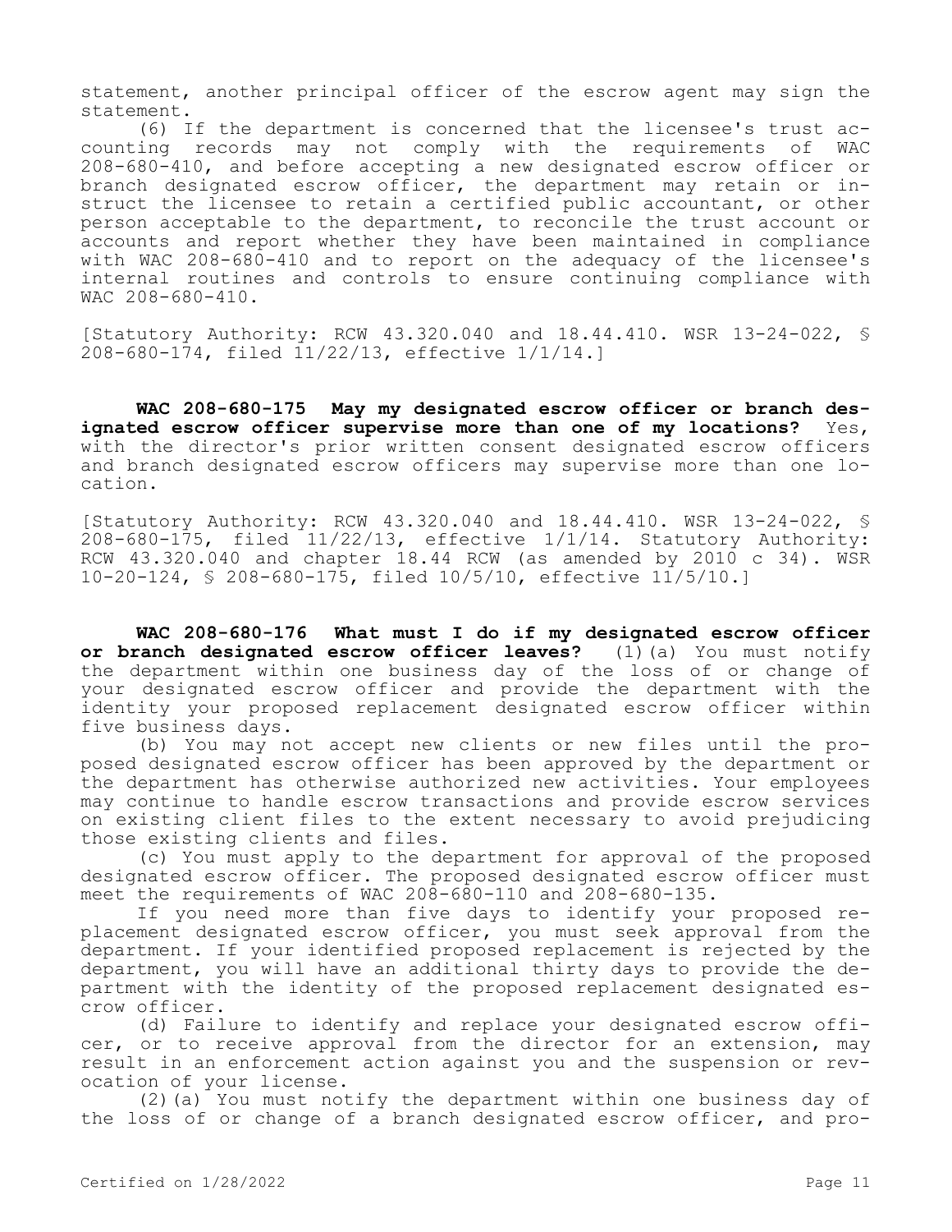statement, another principal officer of the escrow agent may sign the statement.

(6) If the department is concerned that the licensee's trust accounting records may not comply with the requirements of WAC 208-680-410, and before accepting a new designated escrow officer or branch designated escrow officer, the department may retain or instruct the licensee to retain a certified public accountant, or other person acceptable to the department, to reconcile the trust account or accounts and report whether they have been maintained in compliance with WAC 208-680-410 and to report on the adequacy of the licensee's internal routines and controls to ensure continuing compliance with WAC 208-680-410.

[Statutory Authority: RCW 43.320.040 and 18.44.410. WSR 13-24-022, § 208-680-174, filed 11/22/13, effective 1/1/14.]

**WAC 208-680-175 May my designated escrow officer or branch designated escrow officer supervise more than one of my locations?** Yes, with the director's prior written consent designated escrow officers and branch designated escrow officers may supervise more than one location.

[Statutory Authority: RCW 43.320.040 and 18.44.410. WSR 13-24-022, § 208-680-175, filed 11/22/13, effective 1/1/14. Statutory Authority: RCW  $43.320.040$  and chapter 18.44 RCW (as amended by 2010 c 34). WSR 10-20-124, § 208-680-175, filed 10/5/10, effective 11/5/10.]

**WAC 208-680-176 What must I do if my designated escrow officer or branch designated escrow officer leaves?** (1)(a) You must notify the department within one business day of the loss of or change of your designated escrow officer and provide the department with the identity your proposed replacement designated escrow officer within five business days.

(b) You may not accept new clients or new files until the proposed designated escrow officer has been approved by the department or the department has otherwise authorized new activities. Your employees may continue to handle escrow transactions and provide escrow services on existing client files to the extent necessary to avoid prejudicing those existing clients and files.

(c) You must apply to the department for approval of the proposed designated escrow officer. The proposed designated escrow officer must meet the requirements of WAC 208-680-110 and 208-680-135.

If you need more than five days to identify your proposed replacement designated escrow officer, you must seek approval from the department. If your identified proposed replacement is rejected by the department, you will have an additional thirty days to provide the department with the identity of the proposed replacement designated escrow officer.

(d) Failure to identify and replace your designated escrow officer, or to receive approval from the director for an extension, may result in an enforcement action against you and the suspension or revocation of your license.

(2)(a) You must notify the department within one business day of the loss of or change of a branch designated escrow officer, and pro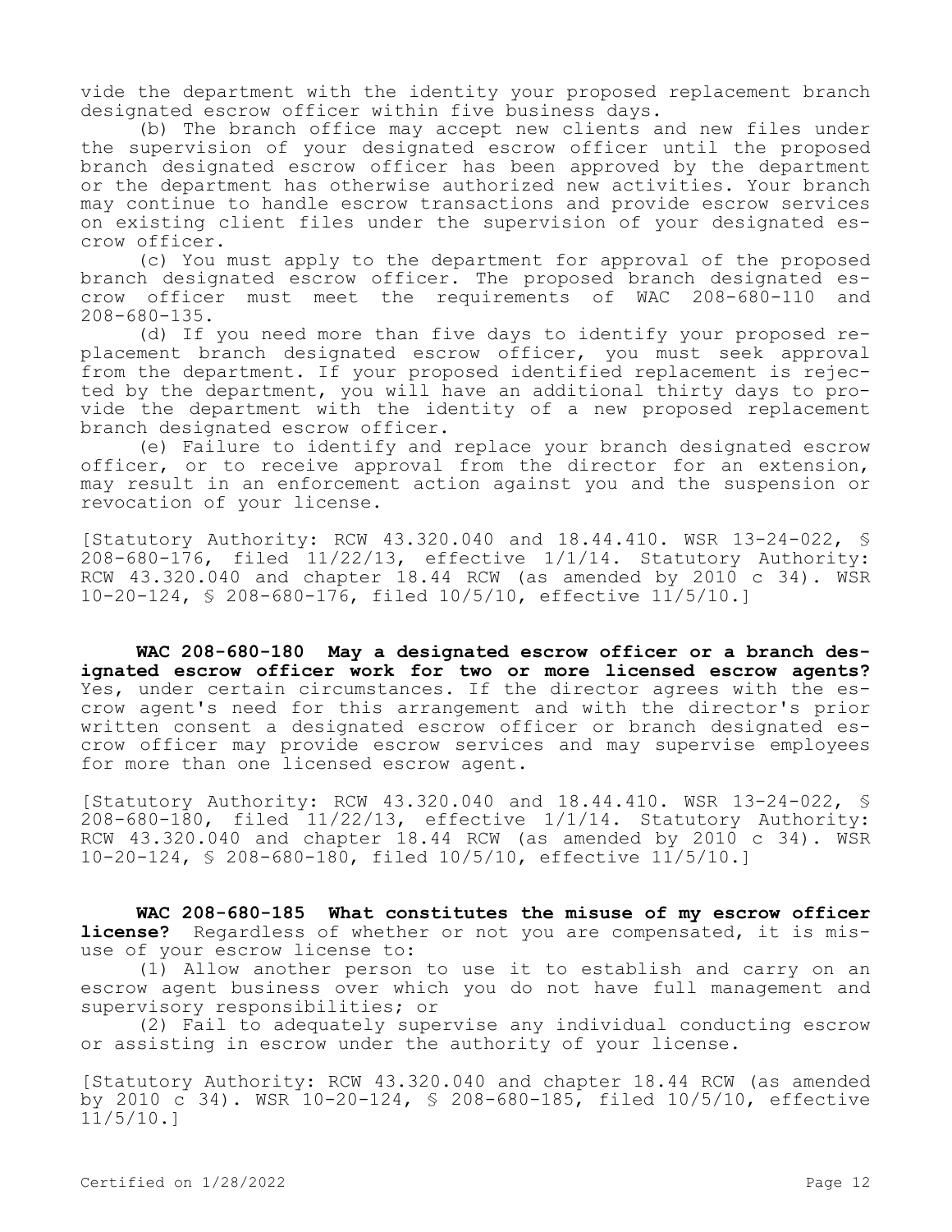vide the department with the identity your proposed replacement branch designated escrow officer within five business days.

(b) The branch office may accept new clients and new files under the supervision of your designated escrow officer until the proposed branch designated escrow officer has been approved by the department or the department has otherwise authorized new activities. Your branch may continue to handle escrow transactions and provide escrow services on existing client files under the supervision of your designated escrow officer.

(c) You must apply to the department for approval of the proposed branch designated escrow officer. The proposed branch designated escrow officer must meet the requirements of WAC 208-680-110 and 208-680-135.

(d) If you need more than five days to identify your proposed replacement branch designated escrow officer, you must seek approval from the department. If your proposed identified replacement is rejected by the department, you will have an additional thirty days to provide the department with the identity of a new proposed replacement branch designated escrow officer.

(e) Failure to identify and replace your branch designated escrow officer, or to receive approval from the director for an extension, may result in an enforcement action against you and the suspension or revocation of your license.

[Statutory Authority: RCW 43.320.040 and 18.44.410. WSR 13-24-022, § 208-680-176, filed 11/22/13, effective 1/1/14. Statutory Authority: RCW 43.320.040 and chapter 18.44 RCW (as amended by 2010 c 34). WSR 10-20-124, § 208-680-176, filed 10/5/10, effective 11/5/10.]

**WAC 208-680-180 May a designated escrow officer or a branch designated escrow officer work for two or more licensed escrow agents?**  Yes, under certain circumstances. If the director agrees with the escrow agent's need for this arrangement and with the director's prior written consent a designated escrow officer or branch designated escrow officer may provide escrow services and may supervise employees for more than one licensed escrow agent.

[Statutory Authority: RCW 43.320.040 and 18.44.410. WSR 13-24-022, § 208-680-180, filed 11/22/13, effective 1/1/14. Statutory Authority: RCW 43.320.040 and chapter 18.44 RCW (as amended by 2010 c 34). WSR 10-20-124, § 208-680-180, filed 10/5/10, effective 11/5/10.]

**WAC 208-680-185 What constitutes the misuse of my escrow officer license?** Regardless of whether or not you are compensated, it is misuse of your escrow license to:

(1) Allow another person to use it to establish and carry on an escrow agent business over which you do not have full management and supervisory responsibilities; or

(2) Fail to adequately supervise any individual conducting escrow or assisting in escrow under the authority of your license.

[Statutory Authority: RCW 43.320.040 and chapter 18.44 RCW (as amended by 2010 c 34). WSR 10-20-124, § 208-680-185, filed 10/5/10, effective 11/5/10.]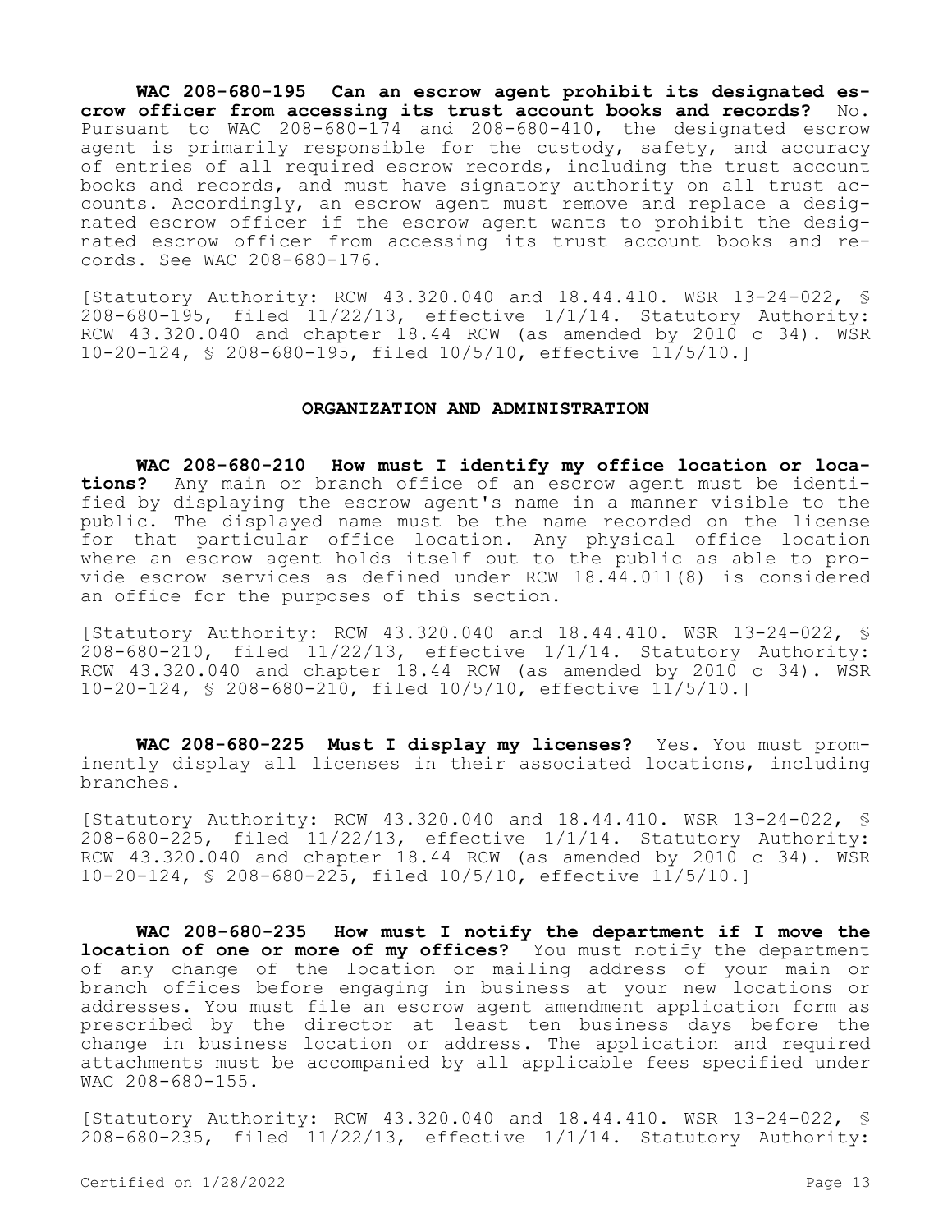**WAC 208-680-195 Can an escrow agent prohibit its designated escrow officer from accessing its trust account books and records?** No. Pursuant to WAC 208-680-174 and 208-680-410, the designated escrow agent is primarily responsible for the custody, safety, and accuracy of entries of all required escrow records, including the trust account books and records, and must have signatory authority on all trust accounts. Accordingly, an escrow agent must remove and replace a designated escrow officer if the escrow agent wants to prohibit the designated escrow officer from accessing its trust account books and records. See WAC 208-680-176.

[Statutory Authority: RCW 43.320.040 and 18.44.410. WSR 13-24-022, § 208-680-195, filed 11/22/13, effective 1/1/14. Statutory Authority: RCW 43.320.040 and chapter 18.44 RCW (as amended by 2010 c 34). WSR 10-20-124, § 208-680-195, filed 10/5/10, effective 11/5/10.]

#### **ORGANIZATION AND ADMINISTRATION**

**WAC 208-680-210 How must I identify my office location or locations?** Any main or branch office of an escrow agent must be identified by displaying the escrow agent's name in a manner visible to the public. The displayed name must be the name recorded on the license for that particular office location. Any physical office location where an escrow agent holds itself out to the public as able to provide escrow services as defined under RCW 18.44.011(8) is considered an office for the purposes of this section.

[Statutory Authority: RCW 43.320.040 and 18.44.410. WSR 13-24-022, §  $208-680-210$ , filed  $11/22/13$ , effective  $1/1/14$ . Statutory Authority: RCW 43.320.040 and chapter 18.44 RCW (as amended by 2010 c 34). WSR 10-20-124, § 208-680-210, filed 10/5/10, effective 11/5/10.]

**WAC 208-680-225 Must I display my licenses?** Yes. You must prominently display all licenses in their associated locations, including branches.

[Statutory Authority: RCW 43.320.040 and 18.44.410. WSR 13-24-022, § 208-680-225, filed 11/22/13, effective 1/1/14. Statutory Authority: RCW  $43.320.040$  and chapter 18.44 RCW (as amended by 2010 c 34). WSR 10-20-124, § 208-680-225, filed 10/5/10, effective 11/5/10.]

**WAC 208-680-235 How must I notify the department if I move the location of one or more of my offices?** You must notify the department of any change of the location or mailing address of your main or branch offices before engaging in business at your new locations or addresses. You must file an escrow agent amendment application form as prescribed by the director at least ten business days before the change in business location or address. The application and required attachments must be accompanied by all applicable fees specified under WAC 208-680-155.

[Statutory Authority: RCW 43.320.040 and 18.44.410. WSR 13-24-022, § 208-680-235, filed  $11/22/13$ , effective  $1/1/14$ . Statutory Authority: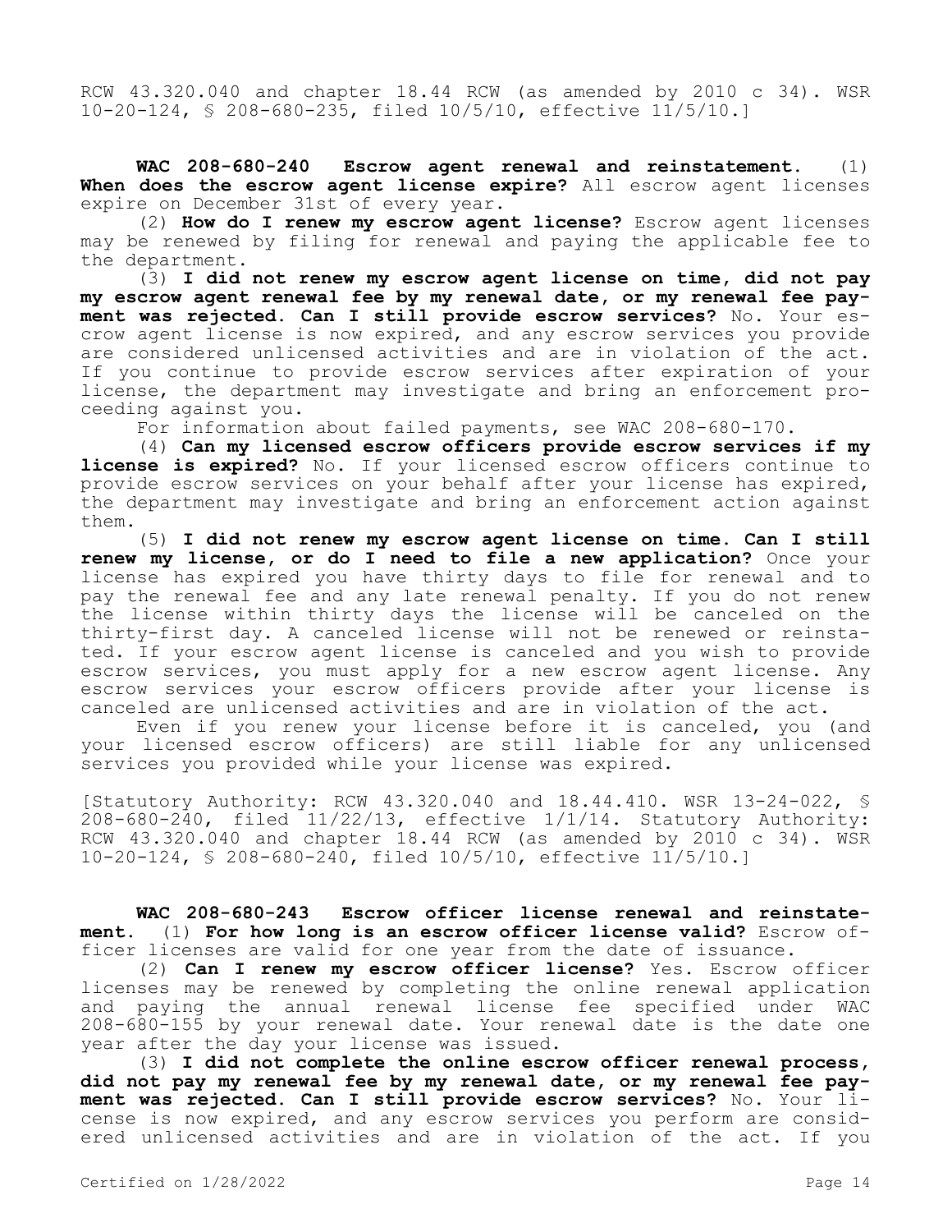RCW 43.320.040 and chapter 18.44 RCW (as amended by 2010 c 34). WSR 10-20-124, § 208-680-235, filed 10/5/10, effective 11/5/10.]

**WAC 208-680-240 Escrow agent renewal and reinstatement.** (1) **When does the escrow agent license expire?** All escrow agent licenses expire on December 31st of every year.

(2) **How do I renew my escrow agent license?** Escrow agent licenses may be renewed by filing for renewal and paying the applicable fee to the department.

(3) **I did not renew my escrow agent license on time, did not pay my escrow agent renewal fee by my renewal date, or my renewal fee payment was rejected. Can I still provide escrow services?** No. Your escrow agent license is now expired, and any escrow services you provide are considered unlicensed activities and are in violation of the act. If you continue to provide escrow services after expiration of your license, the department may investigate and bring an enforcement proceeding against you.

For information about failed payments, see WAC 208-680-170.

(4) **Can my licensed escrow officers provide escrow services if my license is expired?** No. If your licensed escrow officers continue to provide escrow services on your behalf after your license has expired, the department may investigate and bring an enforcement action against them.

(5) **I did not renew my escrow agent license on time. Can I still renew my license, or do I need to file a new application?** Once your license has expired you have thirty days to file for renewal and to pay the renewal fee and any late renewal penalty. If you do not renew the license within thirty days the license will be canceled on the thirty-first day. A canceled license will not be renewed or reinstated. If your escrow agent license is canceled and you wish to provide escrow services, you must apply for a new escrow agent license. Any escrow services your escrow officers provide after your license is canceled are unlicensed activities and are in violation of the act.

Even if you renew your license before it is canceled, you (and your licensed escrow officers) are still liable for any unlicensed services you provided while your license was expired.

[Statutory Authority: RCW 43.320.040 and 18.44.410. WSR 13-24-022, § 208-680-240, filed 11/22/13, effective 1/1/14. Statutory Authority: RCW 43.320.040 and chapter 18.44 RCW (as amended by 2010 c 34). WSR 10-20-124, § 208-680-240, filed 10/5/10, effective 11/5/10.]

**WAC 208-680-243 Escrow officer license renewal and reinstatement.** (1) **For how long is an escrow officer license valid?** Escrow officer licenses are valid for one year from the date of issuance.

(2) **Can I renew my escrow officer license?** Yes. Escrow officer licenses may be renewed by completing the online renewal application and paying the annual renewal license fee specified under WAC 208-680-155 by your renewal date. Your renewal date is the date one year after the day your license was issued.

(3) **I did not complete the online escrow officer renewal process, did not pay my renewal fee by my renewal date, or my renewal fee payment was rejected. Can I still provide escrow services?** No. Your license is now expired, and any escrow services you perform are considered unlicensed activities and are in violation of the act. If you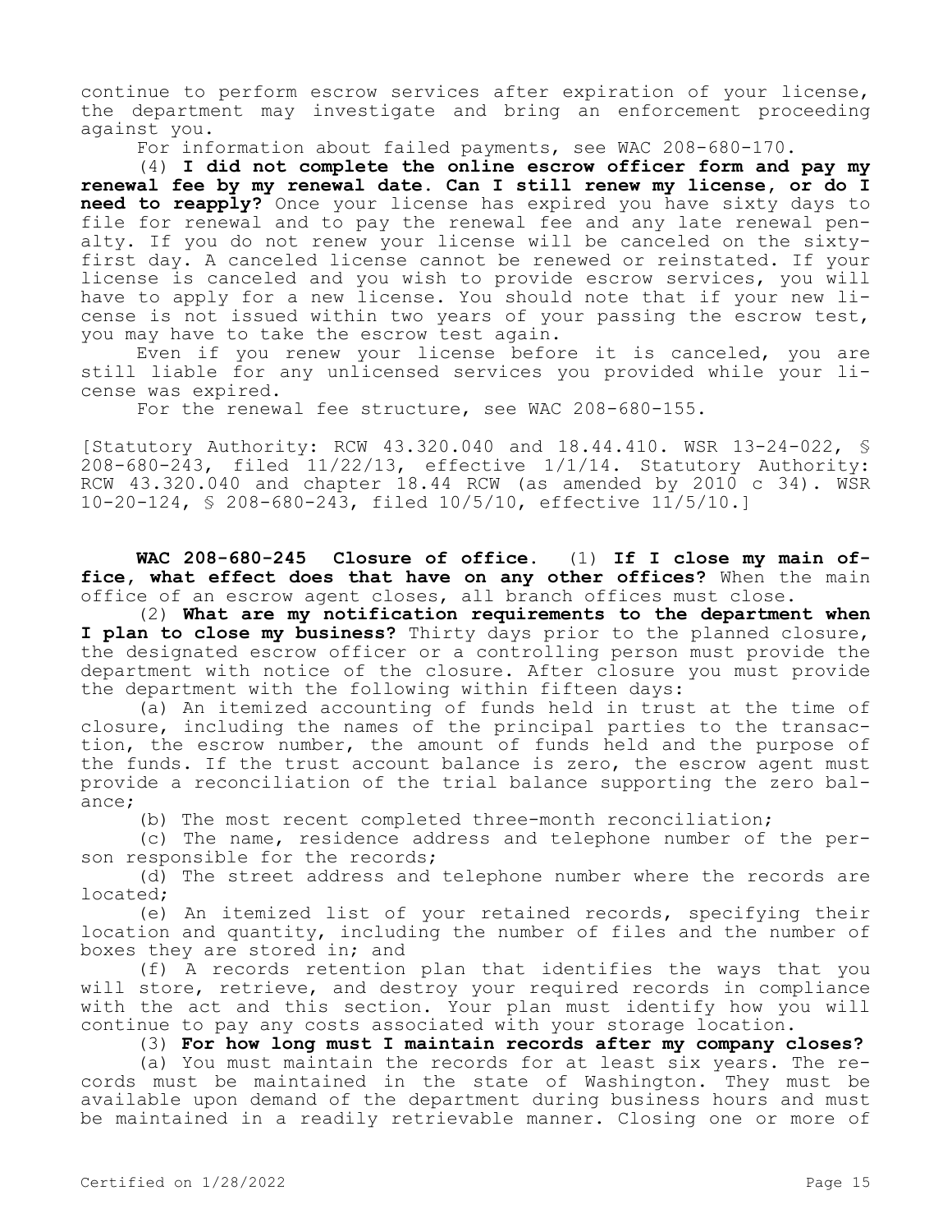continue to perform escrow services after expiration of your license, the department may investigate and bring an enforcement proceeding against you.

For information about failed payments, see WAC 208-680-170.

(4) **I did not complete the online escrow officer form and pay my renewal fee by my renewal date. Can I still renew my license, or do I need to reapply?** Once your license has expired you have sixty days to file for renewal and to pay the renewal fee and any late renewal penalty. If you do not renew your license will be canceled on the sixtyfirst day. A canceled license cannot be renewed or reinstated. If your license is canceled and you wish to provide escrow services, you will have to apply for a new license. You should note that if your new license is not issued within two years of your passing the escrow test, you may have to take the escrow test again.

Even if you renew your license before it is canceled, you are still liable for any unlicensed services you provided while your license was expired.

For the renewal fee structure, see WAC 208-680-155.

[Statutory Authority: RCW 43.320.040 and 18.44.410. WSR 13-24-022, § 208-680-243, filed 11/22/13, effective 1/1/14. Statutory Authority: RCW 43.320.040 and chapter 18.44 RCW (as amended by 2010 c 34). WSR 10-20-124, § 208-680-243, filed 10/5/10, effective 11/5/10.]

**WAC 208-680-245 Closure of office.** (1) **If I close my main office, what effect does that have on any other offices?** When the main office of an escrow agent closes, all branch offices must close.

(2) **What are my notification requirements to the department when I plan to close my business?** Thirty days prior to the planned closure, the designated escrow officer or a controlling person must provide the department with notice of the closure. After closure you must provide the department with the following within fifteen days:

(a) An itemized accounting of funds held in trust at the time of closure, including the names of the principal parties to the transaction, the escrow number, the amount of funds held and the purpose of the funds. If the trust account balance is zero, the escrow agent must provide a reconciliation of the trial balance supporting the zero balance;

(b) The most recent completed three-month reconciliation;

(c) The name, residence address and telephone number of the person responsible for the records;

(d) The street address and telephone number where the records are located;

(e) An itemized list of your retained records, specifying their location and quantity, including the number of files and the number of boxes they are stored in; and

(f) A records retention plan that identifies the ways that you will store, retrieve, and destroy your required records in compliance with the act and this section. Your plan must identify how you will continue to pay any costs associated with your storage location.

(3) **For how long must I maintain records after my company closes?**

(a) You must maintain the records for at least six years. The records must be maintained in the state of Washington. They must be available upon demand of the department during business hours and must be maintained in a readily retrievable manner. Closing one or more of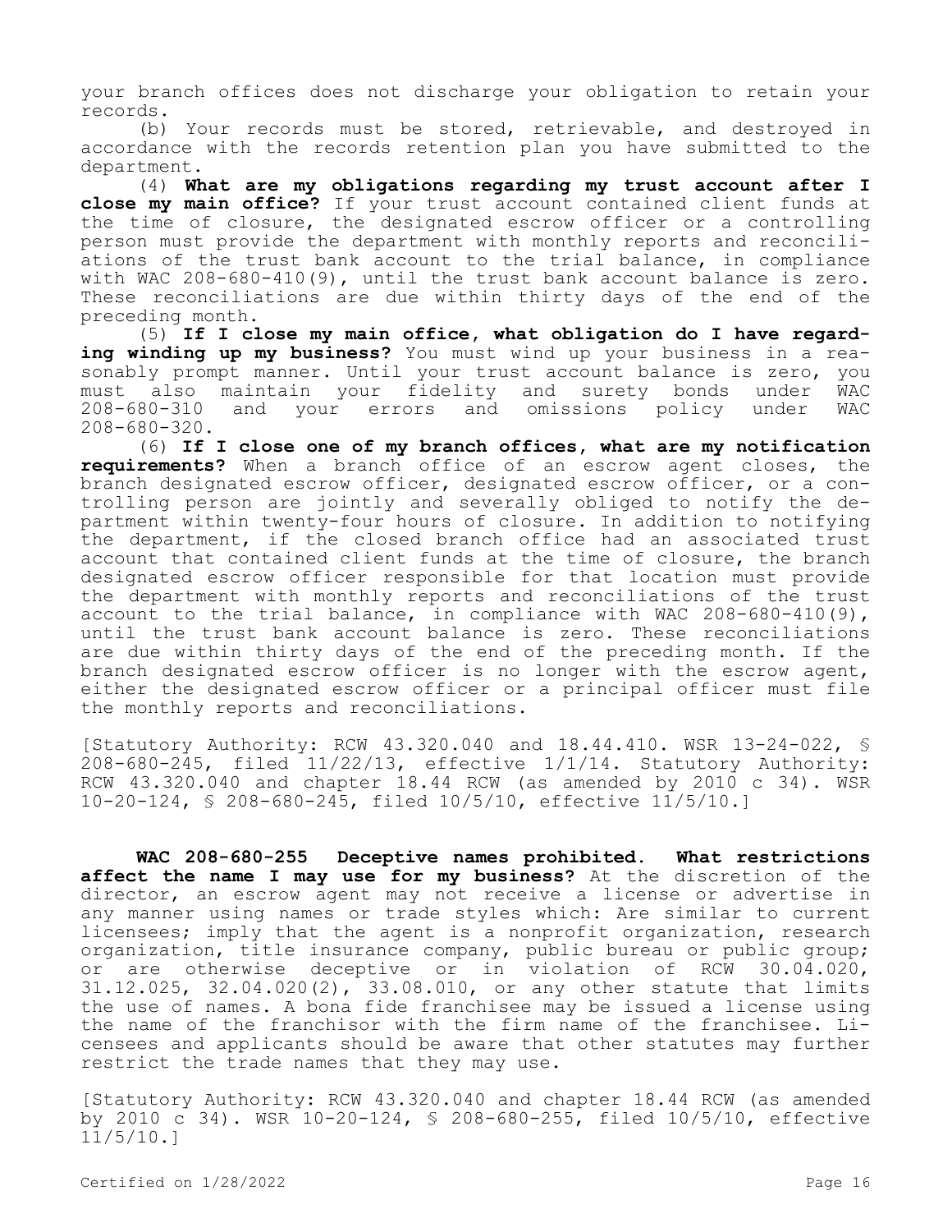your branch offices does not discharge your obligation to retain your records.

(b) Your records must be stored, retrievable, and destroyed in accordance with the records retention plan you have submitted to the department.

(4) **What are my obligations regarding my trust account after I close my main office?** If your trust account contained client funds at the time of closure, the designated escrow officer or a controlling person must provide the department with monthly reports and reconciliations of the trust bank account to the trial balance, in compliance with WAC 208-680-410(9), until the trust bank account balance is zero. These reconciliations are due within thirty days of the end of the preceding month.

(5) **If I close my main office, what obligation do I have regarding winding up my business?** You must wind up your business in a reasonably prompt manner. Until your trust account balance is zero, you must also maintain your fidelity and surety bonds under WAC your errors and omissions policy under 208-680-320.

(6) **If I close one of my branch offices, what are my notification requirements?** When a branch office of an escrow agent closes, the branch designated escrow officer, designated escrow officer, or a controlling person are jointly and severally obliged to notify the department within twenty-four hours of closure. In addition to notifying the department, if the closed branch office had an associated trust account that contained client funds at the time of closure, the branch designated escrow officer responsible for that location must provide the department with monthly reports and reconciliations of the trust account to the trial balance, in compliance with WAC 208-680-410(9), until the trust bank account balance is zero. These reconciliations are due within thirty days of the end of the preceding month. If the branch designated escrow officer is no longer with the escrow agent, either the designated escrow officer or a principal officer must file the monthly reports and reconciliations.

[Statutory Authority: RCW 43.320.040 and 18.44.410. WSR 13-24-022, § 208-680-245, filed 11/22/13, effective 1/1/14. Statutory Authority: RCW 43.320.040 and chapter 18.44 RCW (as amended by 2010 c 34). WSR 10-20-124, § 208-680-245, filed 10/5/10, effective 11/5/10.]

**WAC 208-680-255 Deceptive names prohibited. What restrictions affect the name I may use for my business?** At the discretion of the director, an escrow agent may not receive a license or advertise in any manner using names or trade styles which: Are similar to current licensees; imply that the agent is a nonprofit organization, research organization, title insurance company, public bureau or public group; or are otherwise deceptive or in violation of RCW 30.04.020, 31.12.025, 32.04.020(2), 33.08.010, or any other statute that limits the use of names. A bona fide franchisee may be issued a license using the name of the franchisor with the firm name of the franchisee. Licensees and applicants should be aware that other statutes may further restrict the trade names that they may use.

[Statutory Authority: RCW 43.320.040 and chapter 18.44 RCW (as amended by 2010 c 34). WSR 10-20-124, § 208-680-255, filed 10/5/10, effective 11/5/10.]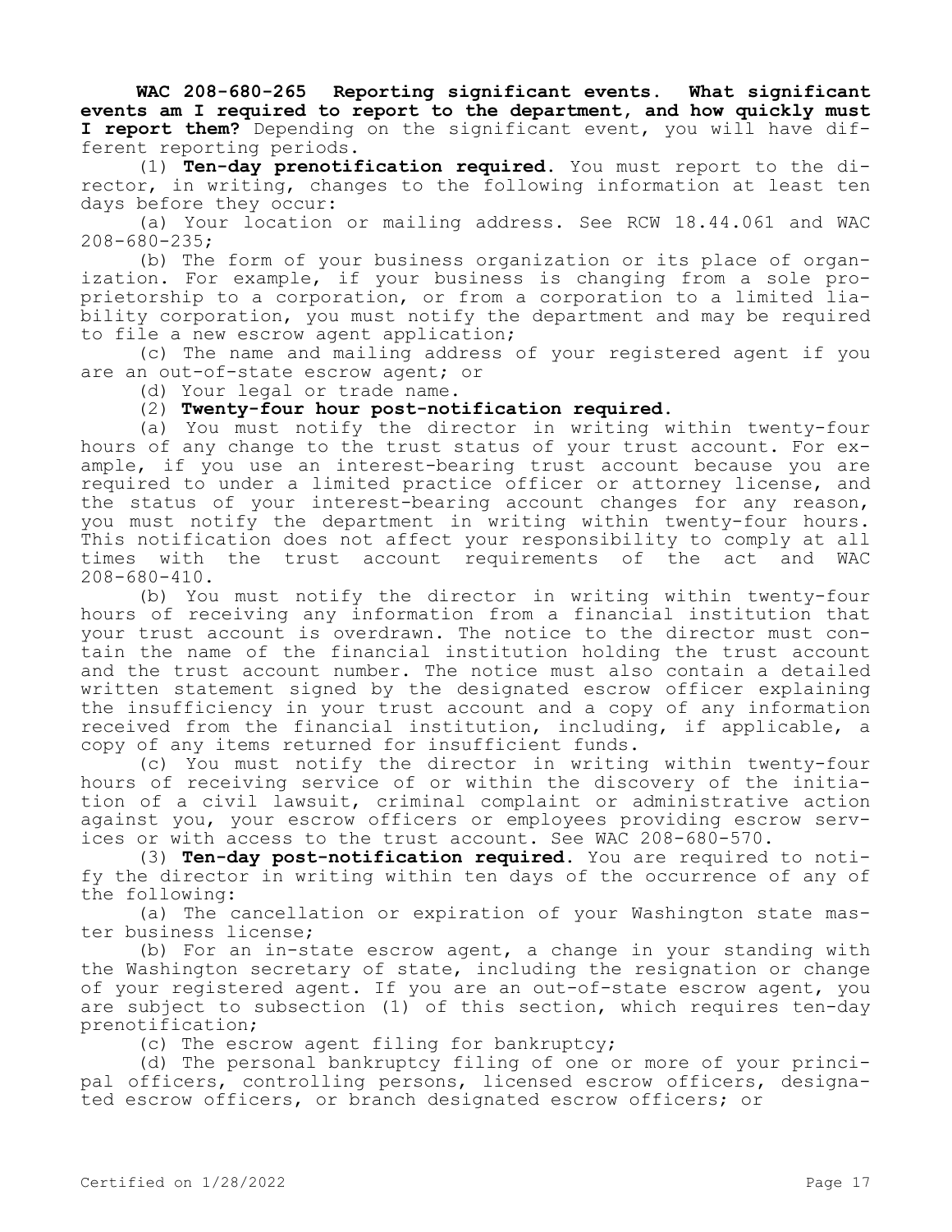**WAC 208-680-265 Reporting significant events. What significant events am I required to report to the department, and how quickly must I report them?** Depending on the significant event, you will have different reporting periods.

(1) **Ten-day prenotification required.** You must report to the director, in writing, changes to the following information at least ten days before they occur:

(a) Your location or mailing address. See RCW 18.44.061 and WAC 208-680-235;

(b) The form of your business organization or its place of organization. For example, if your business is changing from a sole proprietorship to a corporation, or from a corporation to a limited liability corporation, you must notify the department and may be required to file a new escrow agent application;

(c) The name and mailing address of your registered agent if you are an out-of-state escrow agent; or

(d) Your legal or trade name.

# (2) **Twenty-four hour post-notification required.**

(a) You must notify the director in writing within twenty-four hours of any change to the trust status of your trust account. For example, if you use an interest-bearing trust account because you are required to under a limited practice officer or attorney license, and the status of your interest-bearing account changes for any reason, you must notify the department in writing within twenty-four hours. This notification does not affect your responsibility to comply at all times with the trust account requirements of the act and WAC 208-680-410.

(b) You must notify the director in writing within twenty-four hours of receiving any information from a financial institution that your trust account is overdrawn. The notice to the director must contain the name of the financial institution holding the trust account and the trust account number. The notice must also contain a detailed written statement signed by the designated escrow officer explaining the insufficiency in your trust account and a copy of any information received from the financial institution, including, if applicable, a copy of any items returned for insufficient funds.

(c) You must notify the director in writing within twenty-four hours of receiving service of or within the discovery of the initiation of a civil lawsuit, criminal complaint or administrative action against you, your escrow officers or employees providing escrow services or with access to the trust account. See WAC 208-680-570.

(3) **Ten-day post-notification required.** You are required to notify the director in writing within ten days of the occurrence of any of the following:

(a) The cancellation or expiration of your Washington state master business license;

(b) For an in-state escrow agent, a change in your standing with the Washington secretary of state, including the resignation or change of your registered agent. If you are an out-of-state escrow agent, you are subject to subsection (1) of this section, which requires ten-day prenotification;

(c) The escrow agent filing for bankruptcy;

(d) The personal bankruptcy filing of one or more of your principal officers, controlling persons, licensed escrow officers, designated escrow officers, or branch designated escrow officers; or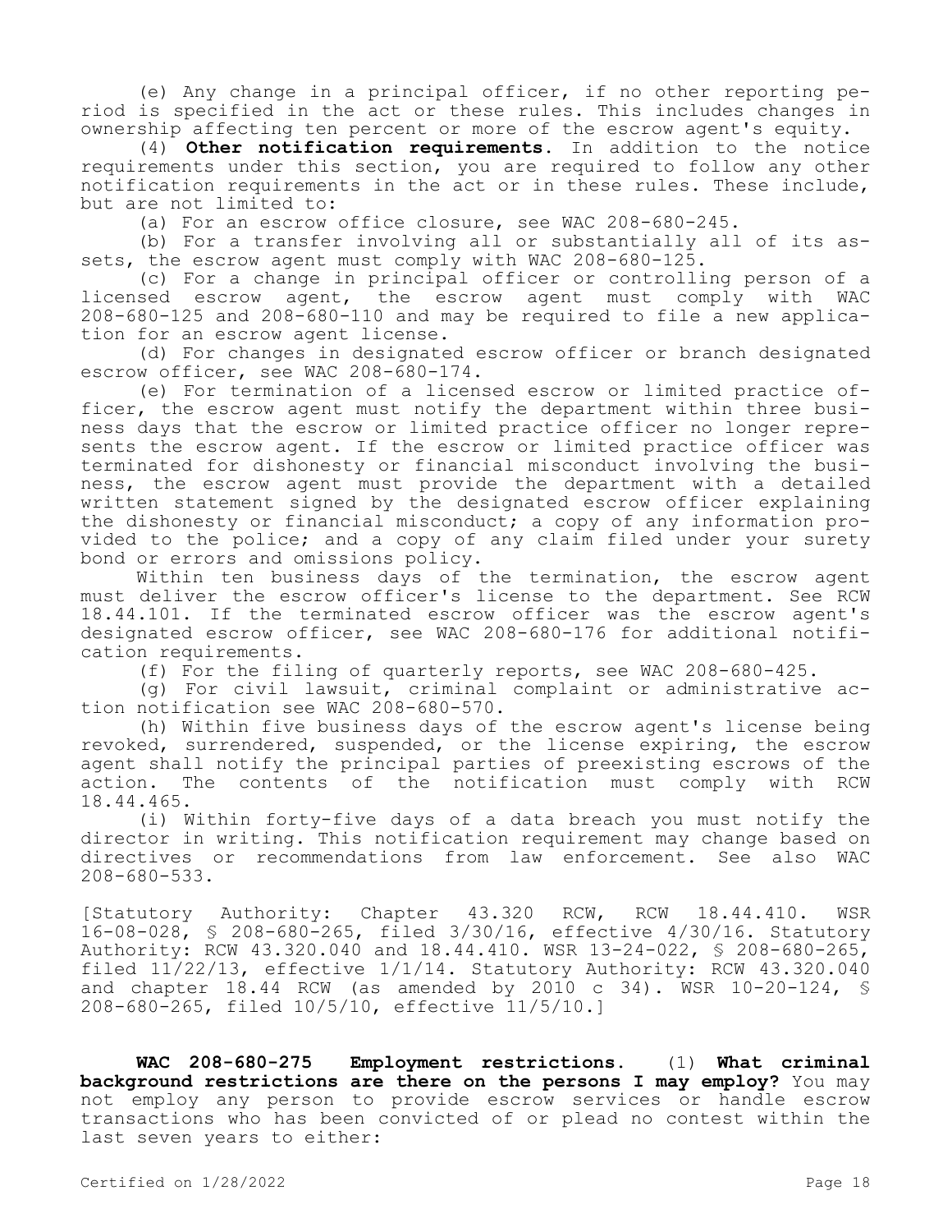(e) Any change in a principal officer, if no other reporting period is specified in the act or these rules. This includes changes in ownership affecting ten percent or more of the escrow agent's equity.

(4) **Other notification requirements.** In addition to the notice requirements under this section, you are required to follow any other notification requirements in the act or in these rules. These include, but are not limited to:

(a) For an escrow office closure, see WAC 208-680-245.

(b) For a transfer involving all or substantially all of its assets, the escrow agent must comply with WAC 208-680-125.

(c) For a change in principal officer or controlling person of a licensed escrow agent, the escrow agent must comply with WAC 208-680-125 and 208-680-110 and may be required to file a new application for an escrow agent license.

(d) For changes in designated escrow officer or branch designated escrow officer, see WAC 208-680-174.

(e) For termination of a licensed escrow or limited practice officer, the escrow agent must notify the department within three business days that the escrow or limited practice officer no longer represents the escrow agent. If the escrow or limited practice officer was terminated for dishonesty or financial misconduct involving the business, the escrow agent must provide the department with a detailed written statement signed by the designated escrow officer explaining the dishonesty or financial misconduct; a copy of any information provided to the police; and a copy of any claim filed under your surety bond or errors and omissions policy.

Within ten business days of the termination, the escrow agent must deliver the escrow officer's license to the department. See RCW 18.44.101. If the terminated escrow officer was the escrow agent's designated escrow officer, see WAC 208-680-176 for additional notification requirements.

(f) For the filing of quarterly reports, see WAC 208-680-425.

(g) For civil lawsuit, criminal complaint or administrative action notification see WAC 208-680-570.

(h) Within five business days of the escrow agent's license being revoked, surrendered, suspended, or the license expiring, the escrow agent shall notify the principal parties of preexisting escrows of the action. The contents of the notification must comply with RCW 18.44.465.

(i) Within forty-five days of a data breach you must notify the director in writing. This notification requirement may change based on directives or recommendations from law enforcement. See also WAC 208-680-533.

[Statutory Authority: Chapter 43.320 RCW, RCW 18.44.410. WSR 16-08-028, § 208-680-265, filed 3/30/16, effective 4/30/16. Statutory Authority: RCW 43.320.040 and 18.44.410. WSR 13-24-022, § 208-680-265, filed  $11/22/13$ , effective  $1/1/14$ . Statutory Authority: RCW 43.320.040 and chapter  $18.44$  RCW (as amended by 2010 c 34). WSR  $10-20-124$ , § 208-680-265, filed 10/5/10, effective 11/5/10.]

**WAC 208-680-275 Employment restrictions.** (1) **What criminal background restrictions are there on the persons I may employ?** You may not employ any person to provide escrow services or handle escrow transactions who has been convicted of or plead no contest within the last seven years to either: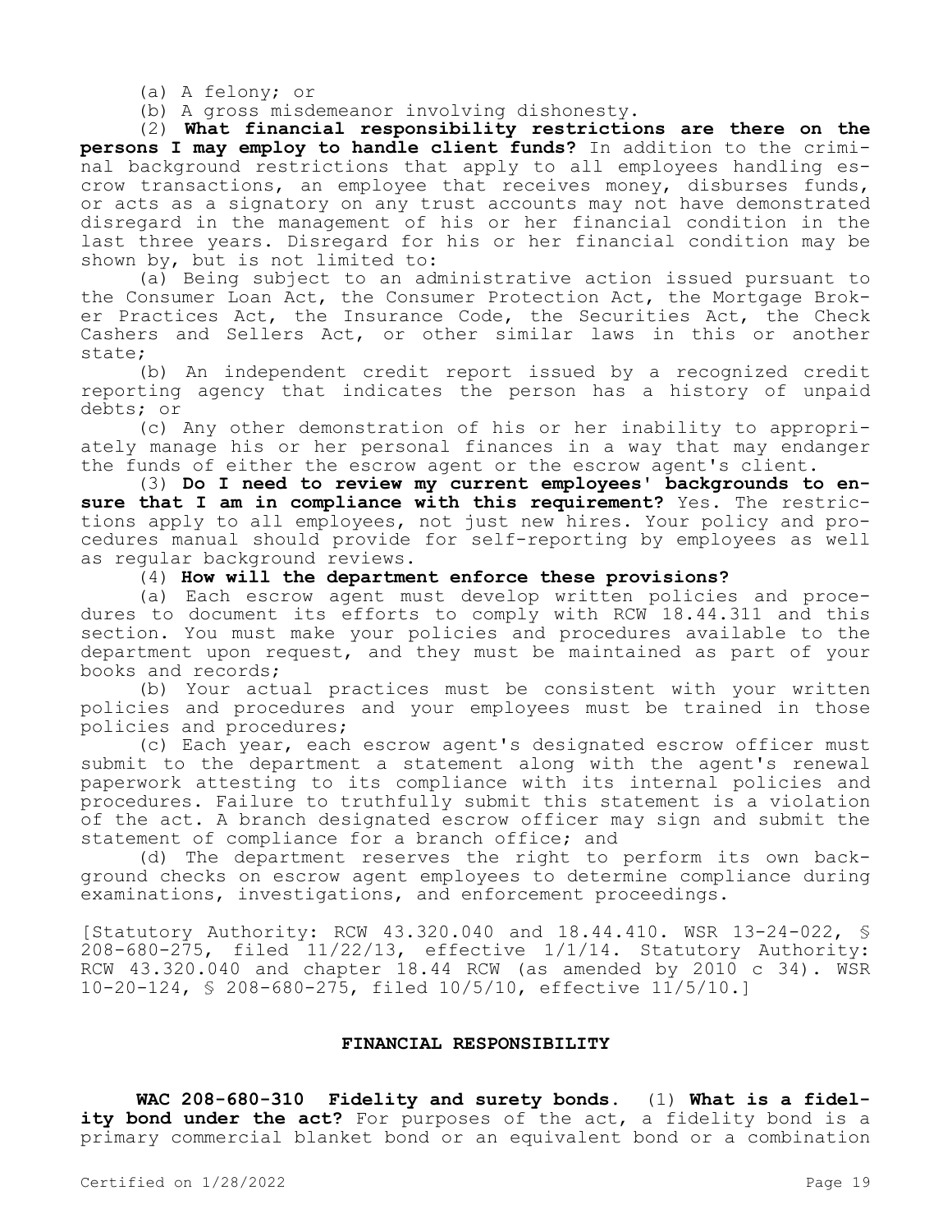(a) A felony; or

(b) A gross misdemeanor involving dishonesty.

(2) **What financial responsibility restrictions are there on the persons I may employ to handle client funds?** In addition to the criminal background restrictions that apply to all employees handling escrow transactions, an employee that receives money, disburses funds, or acts as a signatory on any trust accounts may not have demonstrated disregard in the management of his or her financial condition in the last three years. Disregard for his or her financial condition may be shown by, but is not limited to:

(a) Being subject to an administrative action issued pursuant to the Consumer Loan Act, the Consumer Protection Act, the Mortgage Broker Practices Act, the Insurance Code, the Securities Act, the Check Cashers and Sellers Act, or other similar laws in this or another state;

(b) An independent credit report issued by a recognized credit reporting agency that indicates the person has a history of unpaid debts; or

(c) Any other demonstration of his or her inability to appropriately manage his or her personal finances in a way that may endanger the funds of either the escrow agent or the escrow agent's client.

(3) **Do I need to review my current employees' backgrounds to ensure that I am in compliance with this requirement?** Yes. The restrictions apply to all employees, not just new hires. Your policy and procedures manual should provide for self-reporting by employees as well as regular background reviews.

(4) **How will the department enforce these provisions?**

(a) Each escrow agent must develop written policies and procedures to document its efforts to comply with RCW 18.44.311 and this section. You must make your policies and procedures available to the department upon request, and they must be maintained as part of your books and records;

(b) Your actual practices must be consistent with your written policies and procedures and your employees must be trained in those policies and procedures;

(c) Each year, each escrow agent's designated escrow officer must submit to the department a statement along with the agent's renewal paperwork attesting to its compliance with its internal policies and procedures. Failure to truthfully submit this statement is a violation of the act. A branch designated escrow officer may sign and submit the statement of compliance for a branch office; and

(d) The department reserves the right to perform its own background checks on escrow agent employees to determine compliance during examinations, investigations, and enforcement proceedings.

[Statutory Authority: RCW 43.320.040 and 18.44.410. WSR 13-24-022, § 208-680-275, filed 11/22/13, effective 1/1/14. Statutory Authority: RCW  $43.320.040$  and chapter 18.44 RCW (as amended by 2010 c 34). WSR 10-20-124, § 208-680-275, filed 10/5/10, effective 11/5/10.]

# **FINANCIAL RESPONSIBILITY**

**WAC 208-680-310 Fidelity and surety bonds.** (1) **What is a fidel**ity bond under the act? For purposes of the act, a fidelity bond is a primary commercial blanket bond or an equivalent bond or a combination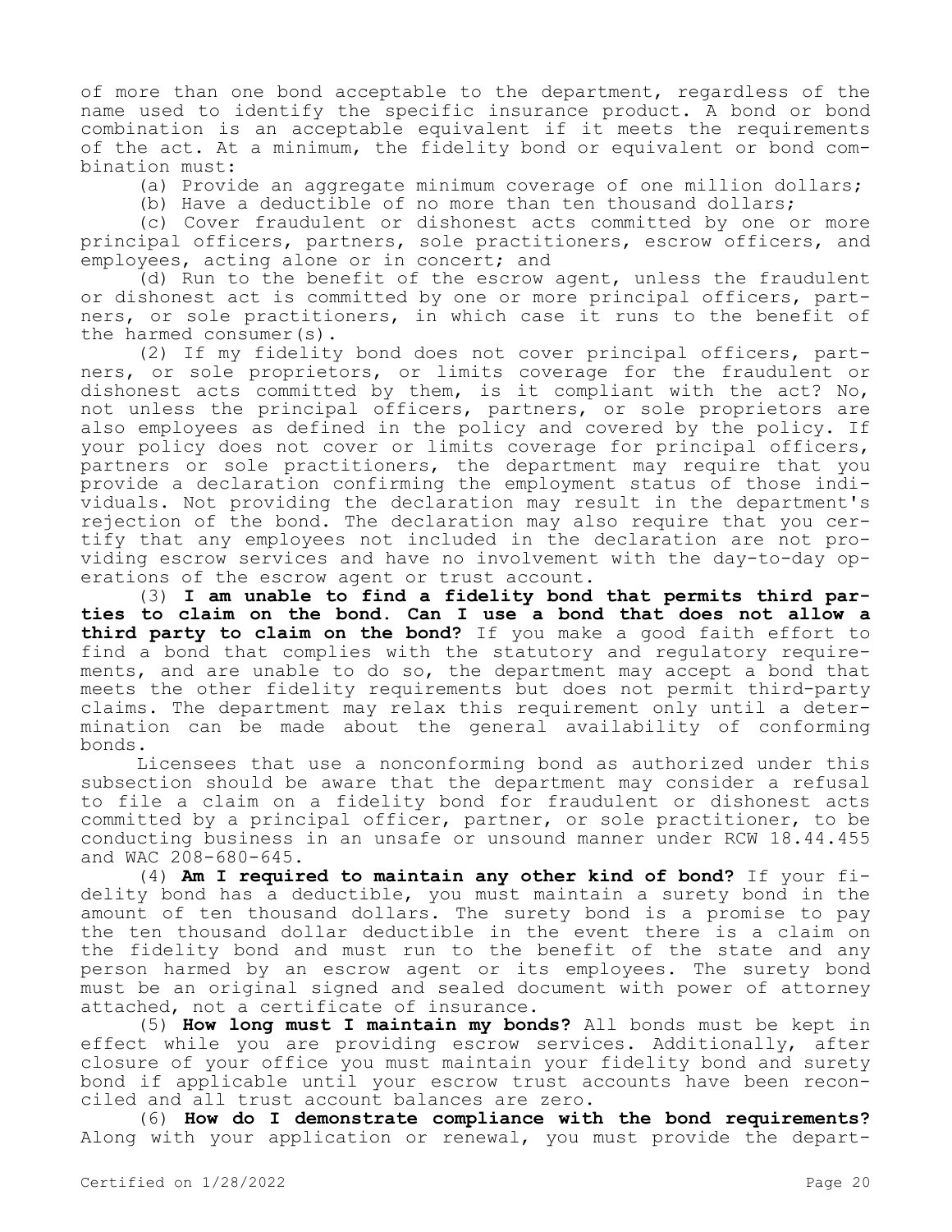of more than one bond acceptable to the department, regardless of the name used to identify the specific insurance product. A bond or bond combination is an acceptable equivalent if it meets the requirements of the act. At a minimum, the fidelity bond or equivalent or bond combination must:

(a) Provide an aggregate minimum coverage of one million dollars;

(b) Have a deductible of no more than ten thousand dollars;

(c) Cover fraudulent or dishonest acts committed by one or more principal officers, partners, sole practitioners, escrow officers, and employees, acting alone or in concert; and

(d) Run to the benefit of the escrow agent, unless the fraudulent or dishonest act is committed by one or more principal officers, partners, or sole practitioners, in which case it runs to the benefit of the harmed consumer(s).

(2) If my fidelity bond does not cover principal officers, partners, or sole proprietors, or limits coverage for the fraudulent or dishonest acts committed by them, is it compliant with the act? No, not unless the principal officers, partners, or sole proprietors are also employees as defined in the policy and covered by the policy. If your policy does not cover or limits coverage for principal officers, partners or sole practitioners, the department may require that you provide a declaration confirming the employment status of those individuals. Not providing the declaration may result in the department's rejection of the bond. The declaration may also require that you certify that any employees not included in the declaration are not providing escrow services and have no involvement with the day-to-day operations of the escrow agent or trust account.

(3) **I am unable to find a fidelity bond that permits third parties to claim on the bond. Can I use a bond that does not allow a third party to claim on the bond?** If you make a good faith effort to find a bond that complies with the statutory and regulatory requirements, and are unable to do so, the department may accept a bond that meets the other fidelity requirements but does not permit third-party claims. The department may relax this requirement only until a determination can be made about the general availability of conforming bonds.

Licensees that use a nonconforming bond as authorized under this subsection should be aware that the department may consider a refusal to file a claim on a fidelity bond for fraudulent or dishonest acts committed by a principal officer, partner, or sole practitioner, to be conducting business in an unsafe or unsound manner under RCW 18.44.455 and WAC 208-680-645.

(4) **Am I required to maintain any other kind of bond?** If your fidelity bond has a deductible, you must maintain a surety bond in the amount of ten thousand dollars. The surety bond is a promise to pay the ten thousand dollar deductible in the event there is a claim on the fidelity bond and must run to the benefit of the state and any person harmed by an escrow agent or its employees. The surety bond must be an original signed and sealed document with power of attorney attached, not a certificate of insurance.

(5) **How long must I maintain my bonds?** All bonds must be kept in effect while you are providing escrow services. Additionally, after closure of your office you must maintain your fidelity bond and surety bond if applicable until your escrow trust accounts have been reconciled and all trust account balances are zero.

(6) **How do I demonstrate compliance with the bond requirements?**  Along with your application or renewal, you must provide the depart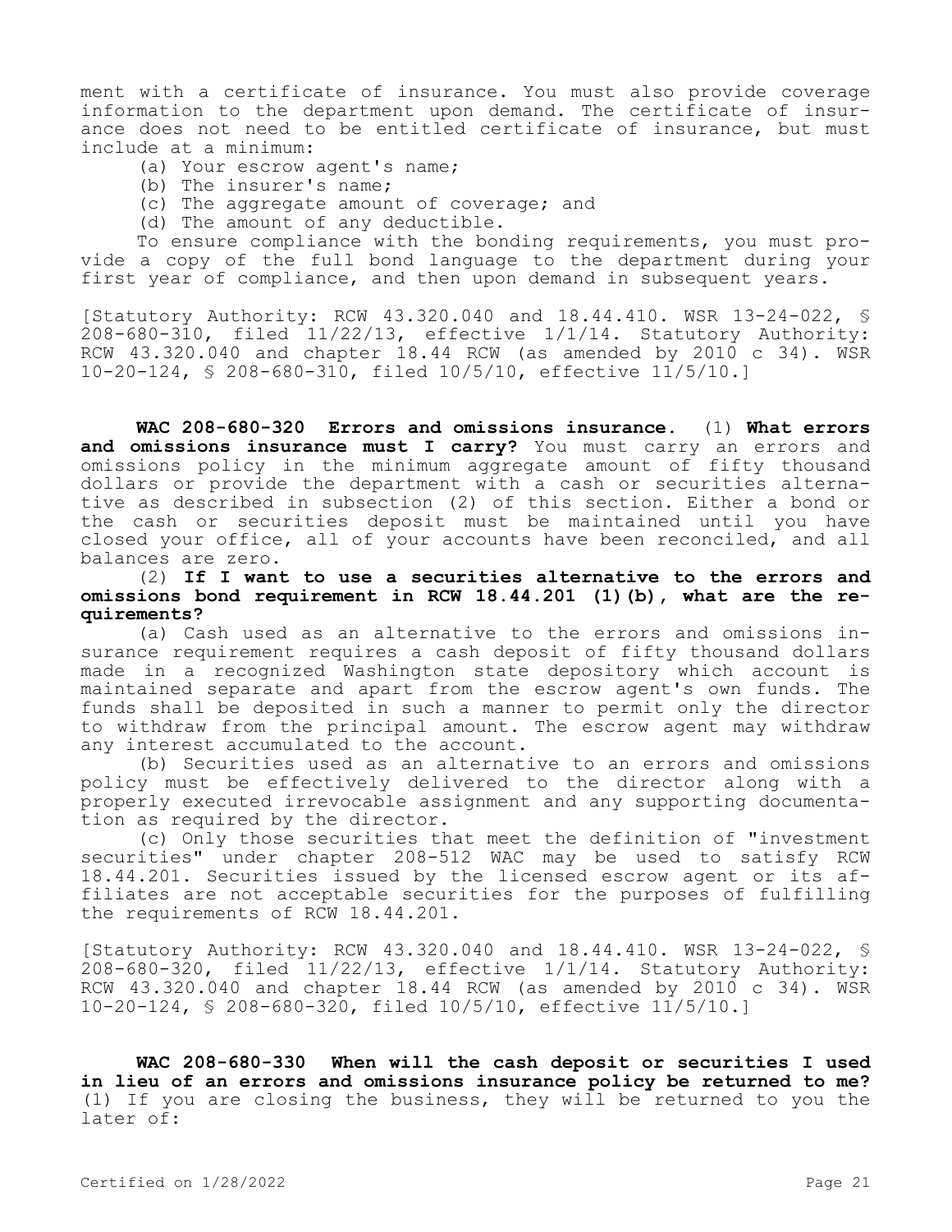ment with a certificate of insurance. You must also provide coverage information to the department upon demand. The certificate of insurance does not need to be entitled certificate of insurance, but must include at a minimum:

- (a) Your escrow agent's name;
- (b) The insurer's name;
- (c) The aggregate amount of coverage; and
- (d) The amount of any deductible.

To ensure compliance with the bonding requirements, you must provide a copy of the full bond language to the department during your first year of compliance, and then upon demand in subsequent years.

[Statutory Authority: RCW 43.320.040 and 18.44.410. WSR 13-24-022, §  $208-680-310$ , filed  $11/22/13$ , effective  $1/1/14$ . Statutory Authority: RCW  $43.320.040$  and chapter 18.44 RCW (as amended by 2010 c 34). WSR 10-20-124, § 208-680-310, filed 10/5/10, effective 11/5/10.]

**WAC 208-680-320 Errors and omissions insurance.** (1) **What errors and omissions insurance must I carry?** You must carry an errors and omissions policy in the minimum aggregate amount of fifty thousand dollars or provide the department with a cash or securities alternative as described in subsection (2) of this section. Either a bond or the cash or securities deposit must be maintained until you have closed your office, all of your accounts have been reconciled, and all balances are zero.

(2) **If I want to use a securities alternative to the errors and omissions bond requirement in RCW 18.44.201 (1)(b), what are the requirements?**

(a) Cash used as an alternative to the errors and omissions insurance requirement requires a cash deposit of fifty thousand dollars made in a recognized Washington state depository which account is maintained separate and apart from the escrow agent's own funds. The funds shall be deposited in such a manner to permit only the director to withdraw from the principal amount. The escrow agent may withdraw any interest accumulated to the account.

(b) Securities used as an alternative to an errors and omissions policy must be effectively delivered to the director along with a properly executed irrevocable assignment and any supporting documentation as required by the director.

(c) Only those securities that meet the definition of "investment securities" under chapter 208-512 WAC may be used to satisfy RCW 18.44.201. Securities issued by the licensed escrow agent or its affiliates are not acceptable securities for the purposes of fulfilling the requirements of RCW 18.44.201.

[Statutory Authority: RCW 43.320.040 and 18.44.410. WSR 13-24-022, § 208-680-320, filed 11/22/13, effective 1/1/14. Statutory Authority: RCW 43.320.040 and chapter 18.44 RCW (as amended by 2010 c 34). WSR 10-20-124, § 208-680-320, filed 10/5/10, effective 11/5/10.]

**WAC 208-680-330 When will the cash deposit or securities I used in lieu of an errors and omissions insurance policy be returned to me?**  (1) If you are closing the business, they will be returned to you the later of: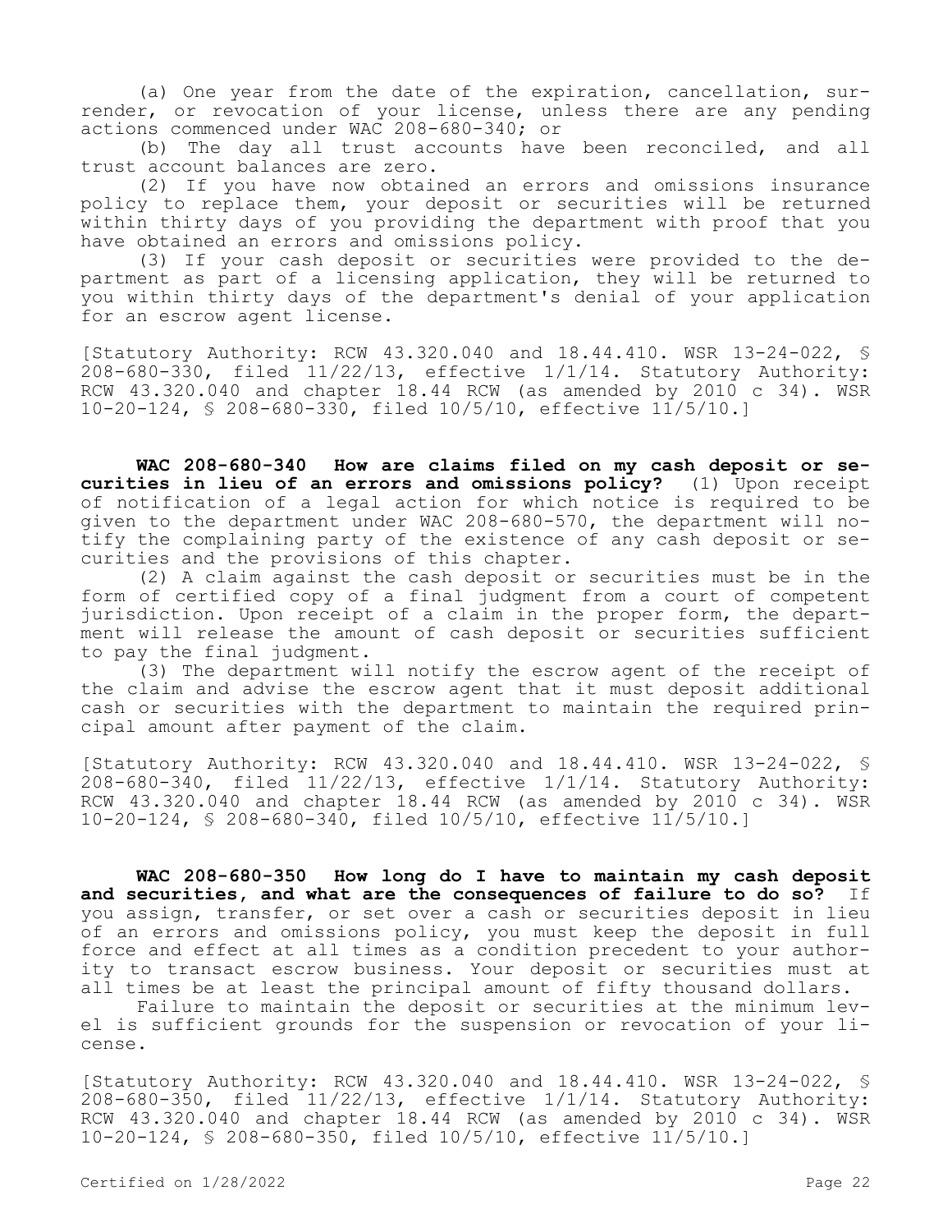(a) One year from the date of the expiration, cancellation, surrender, or revocation of your license, unless there are any pending actions commenced under WAC 208-680-340; or

(b) The day all trust accounts have been reconciled, and all trust account balances are zero.

(2) If you have now obtained an errors and omissions insurance policy to replace them, your deposit or securities will be returned within thirty days of you providing the department with proof that you have obtained an errors and omissions policy.

(3) If your cash deposit or securities were provided to the department as part of a licensing application, they will be returned to you within thirty days of the department's denial of your application for an escrow agent license.

[Statutory Authority: RCW 43.320.040 and 18.44.410. WSR 13-24-022, § 208-680-330, filed 11/22/13, effective 1/1/14. Statutory Authority: RCW 43.320.040 and chapter 18.44 RCW (as amended by 2010 c 34). WSR 10-20-124, § 208-680-330, filed 10/5/10, effective 11/5/10.]

**WAC 208-680-340 How are claims filed on my cash deposit or securities in lieu of an errors and omissions policy?** (1) Upon receipt of notification of a legal action for which notice is required to be given to the department under WAC 208-680-570, the department will notify the complaining party of the existence of any cash deposit or securities and the provisions of this chapter.

(2) A claim against the cash deposit or securities must be in the form of certified copy of a final judgment from a court of competent jurisdiction. Upon receipt of a claim in the proper form, the department will release the amount of cash deposit or securities sufficient to pay the final judgment.

(3) The department will notify the escrow agent of the receipt of the claim and advise the escrow agent that it must deposit additional cash or securities with the department to maintain the required principal amount after payment of the claim.

[Statutory Authority: RCW 43.320.040 and 18.44.410. WSR 13-24-022, § 208-680-340, filed 11/22/13, effective 1/1/14. Statutory Authority: RCW 43.320.040 and chapter 18.44 RCW (as amended by 2010 c 34). WSR 10-20-124, § 208-680-340, filed 10/5/10, effective 11/5/10.]

**WAC 208-680-350 How long do I have to maintain my cash deposit and securities, and what are the consequences of failure to do so?** If you assign, transfer, or set over a cash or securities deposit in lieu of an errors and omissions policy, you must keep the deposit in full force and effect at all times as a condition precedent to your authority to transact escrow business. Your deposit or securities must at all times be at least the principal amount of fifty thousand dollars.

Failure to maintain the deposit or securities at the minimum level is sufficient grounds for the suspension or revocation of your license.

[Statutory Authority: RCW 43.320.040 and 18.44.410. WSR 13-24-022, § 208-680-350, filed 11/22/13, effective 1/1/14. Statutory Authority: RCW 43.320.040 and chapter 18.44 RCW (as amended by 2010 c 34). WSR 10-20-124, § 208-680-350, filed 10/5/10, effective 11/5/10.]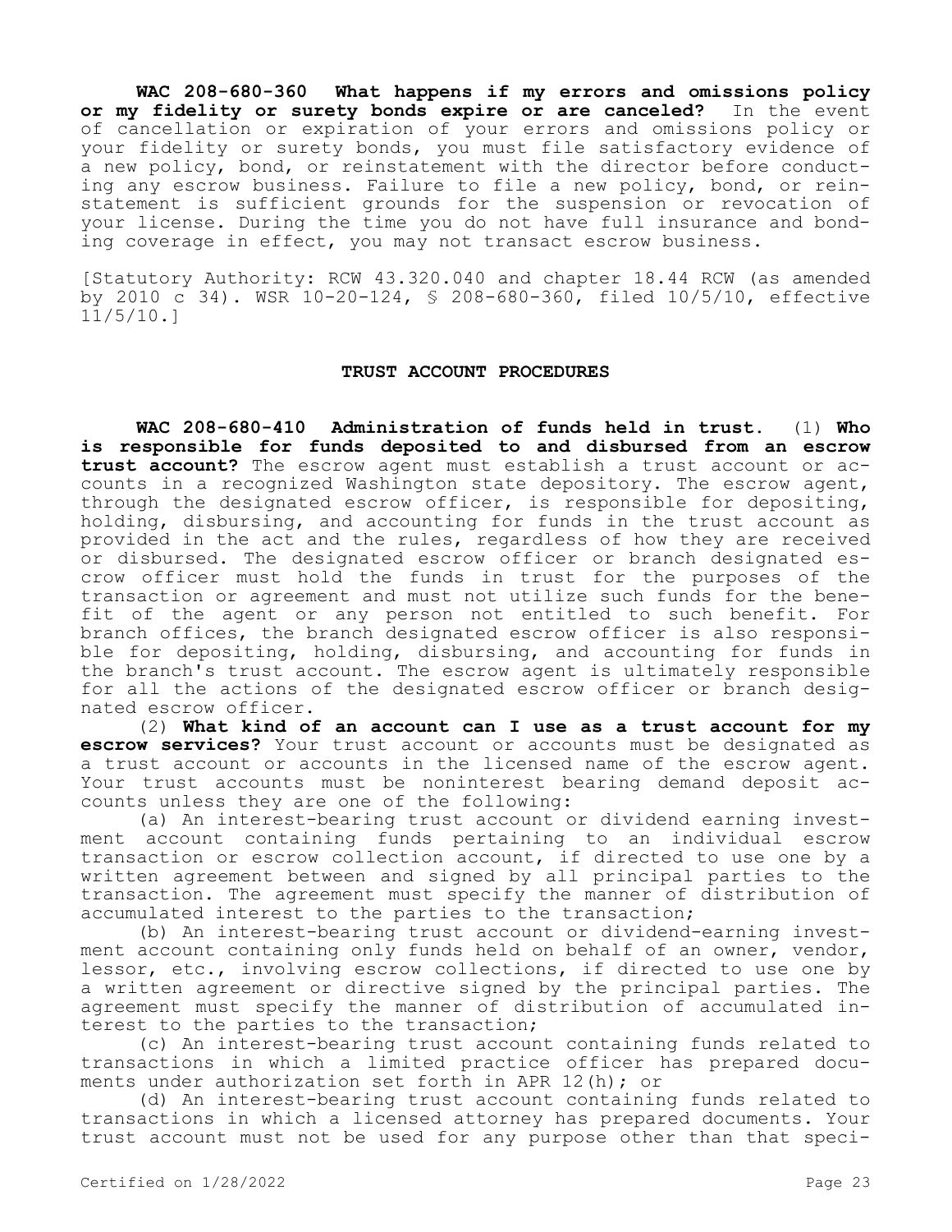**WAC 208-680-360 What happens if my errors and omissions policy or my fidelity or surety bonds expire or are canceled?** In the event of cancellation or expiration of your errors and omissions policy or your fidelity or surety bonds, you must file satisfactory evidence of a new policy, bond, or reinstatement with the director before conducting any escrow business. Failure to file a new policy, bond, or reinstatement is sufficient grounds for the suspension or revocation of your license. During the time you do not have full insurance and bonding coverage in effect, you may not transact escrow business.

[Statutory Authority: RCW 43.320.040 and chapter 18.44 RCW (as amended by 2010 c 34). WSR 10-20-124, § 208-680-360, filed 10/5/10, effective 11/5/10.]

### **TRUST ACCOUNT PROCEDURES**

**WAC 208-680-410 Administration of funds held in trust.** (1) **Who is responsible for funds deposited to and disbursed from an escrow trust account?** The escrow agent must establish a trust account or accounts in a recognized Washington state depository. The escrow agent, through the designated escrow officer, is responsible for depositing, holding, disbursing, and accounting for funds in the trust account as provided in the act and the rules, regardless of how they are received or disbursed. The designated escrow officer or branch designated escrow officer must hold the funds in trust for the purposes of the transaction or agreement and must not utilize such funds for the benefit of the agent or any person not entitled to such benefit. For branch offices, the branch designated escrow officer is also responsible for depositing, holding, disbursing, and accounting for funds in the branch's trust account. The escrow agent is ultimately responsible for all the actions of the designated escrow officer or branch designated escrow officer.

(2) **What kind of an account can I use as a trust account for my escrow services?** Your trust account or accounts must be designated as a trust account or accounts in the licensed name of the escrow agent. Your trust accounts must be noninterest bearing demand deposit accounts unless they are one of the following:

(a) An interest-bearing trust account or dividend earning investment account containing funds pertaining to an individual escrow transaction or escrow collection account, if directed to use one by a written agreement between and signed by all principal parties to the transaction. The agreement must specify the manner of distribution of accumulated interest to the parties to the transaction;

(b) An interest-bearing trust account or dividend-earning investment account containing only funds held on behalf of an owner, vendor, lessor, etc., involving escrow collections, if directed to use one by a written agreement or directive signed by the principal parties. The agreement must specify the manner of distribution of accumulated interest to the parties to the transaction;

(c) An interest-bearing trust account containing funds related to transactions in which a limited practice officer has prepared documents under authorization set forth in APR 12(h); or

(d) An interest-bearing trust account containing funds related to transactions in which a licensed attorney has prepared documents. Your trust account must not be used for any purpose other than that speci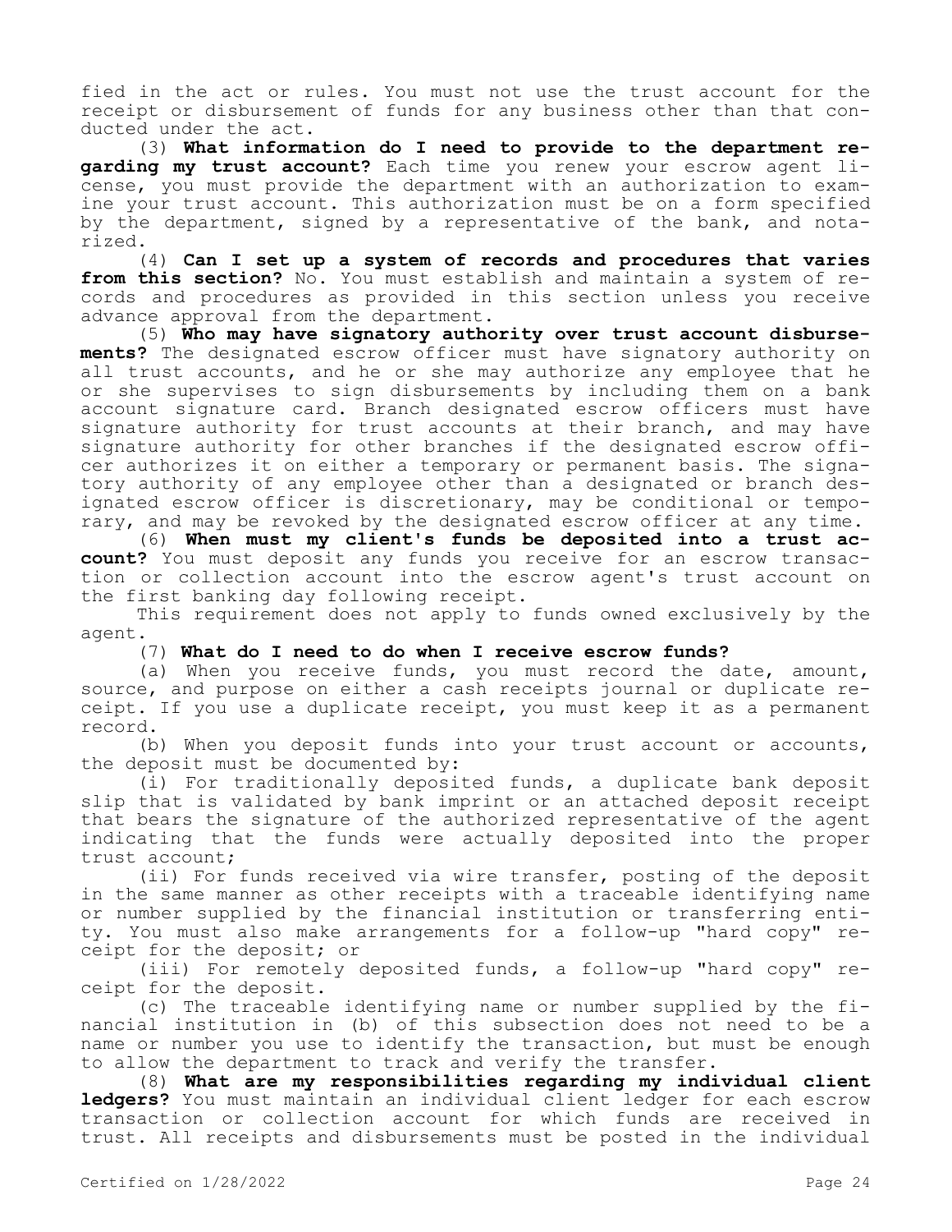fied in the act or rules. You must not use the trust account for the receipt or disbursement of funds for any business other than that conducted under the act.

(3) **What information do I need to provide to the department regarding my trust account?** Each time you renew your escrow agent license, you must provide the department with an authorization to examine your trust account. This authorization must be on a form specified by the department, signed by a representative of the bank, and notarized.

(4) **Can I set up a system of records and procedures that varies from this section?** No. You must establish and maintain a system of records and procedures as provided in this section unless you receive advance approval from the department.

(5) **Who may have signatory authority over trust account disbursements?** The designated escrow officer must have signatory authority on all trust accounts, and he or she may authorize any employee that he or she supervises to sign disbursements by including them on a bank account signature card. Branch designated escrow officers must have signature authority for trust accounts at their branch, and may have signature authority for other branches if the designated escrow officer authorizes it on either a temporary or permanent basis. The signatory authority of any employee other than a designated or branch designated escrow officer is discretionary, may be conditional or temporary, and may be revoked by the designated escrow officer at any time.

(6) **When must my client's funds be deposited into a trust account?** You must deposit any funds you receive for an escrow transaction or collection account into the escrow agent's trust account on the first banking day following receipt.

This requirement does not apply to funds owned exclusively by the agent.

(7) **What do I need to do when I receive escrow funds?**

(a) When you receive funds, you must record the date, amount, source, and purpose on either a cash receipts journal or duplicate receipt. If you use a duplicate receipt, you must keep it as a permanent record.

(b) When you deposit funds into your trust account or accounts, the deposit must be documented by:

(i) For traditionally deposited funds, a duplicate bank deposit slip that is validated by bank imprint or an attached deposit receipt that bears the signature of the authorized representative of the agent indicating that the funds were actually deposited into the proper trust account;

(ii) For funds received via wire transfer, posting of the deposit in the same manner as other receipts with a traceable identifying name or number supplied by the financial institution or transferring entity. You must also make arrangements for a follow-up "hard copy" receipt for the deposit; or

(iii) For remotely deposited funds, a follow-up "hard copy" receipt for the deposit.

(c) The traceable identifying name or number supplied by the financial institution in (b) of this subsection does not need to be a name or number you use to identify the transaction, but must be enough to allow the department to track and verify the transfer.

(8) **What are my responsibilities regarding my individual client ledgers?** You must maintain an individual client ledger for each escrow transaction or collection account for which funds are received in trust. All receipts and disbursements must be posted in the individual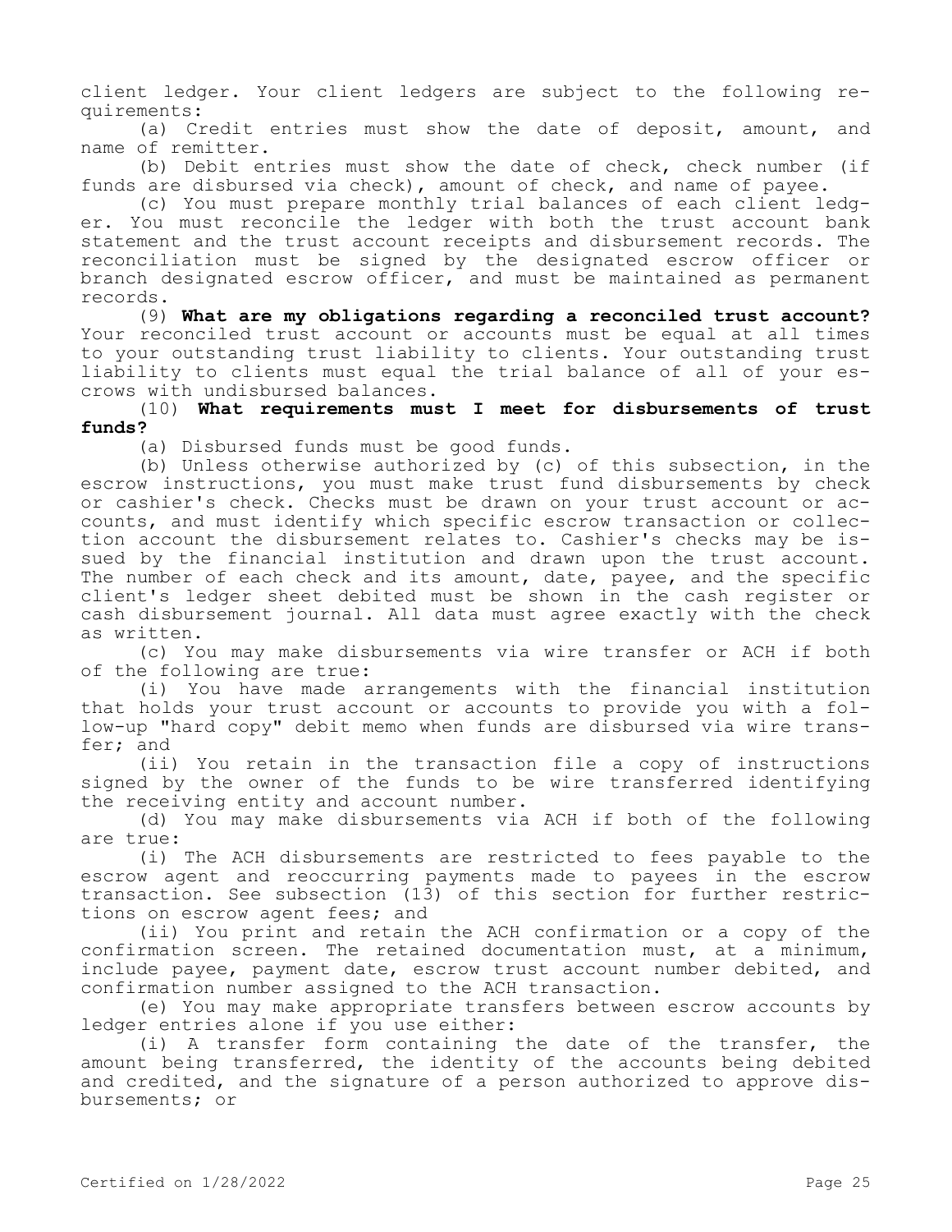client ledger. Your client ledgers are subject to the following requirements:

(a) Credit entries must show the date of deposit, amount, and name of remitter.

(b) Debit entries must show the date of check, check number (if funds are disbursed via check), amount of check, and name of payee.

(c) You must prepare monthly trial balances of each client ledger. You must reconcile the ledger with both the trust account bank statement and the trust account receipts and disbursement records. The reconciliation must be signed by the designated escrow officer or branch designated escrow officer, and must be maintained as permanent records.

(9) **What are my obligations regarding a reconciled trust account?**  Your reconciled trust account or accounts must be equal at all times to your outstanding trust liability to clients. Your outstanding trust liability to clients must equal the trial balance of all of your escrows with undisbursed balances.

(10) **What requirements must I meet for disbursements of trust funds?**

(a) Disbursed funds must be good funds.

(b) Unless otherwise authorized by (c) of this subsection, in the escrow instructions, you must make trust fund disbursements by check or cashier's check. Checks must be drawn on your trust account or accounts, and must identify which specific escrow transaction or collection account the disbursement relates to. Cashier's checks may be issued by the financial institution and drawn upon the trust account. The number of each check and its amount, date, payee, and the specific client's ledger sheet debited must be shown in the cash register or cash disbursement journal. All data must agree exactly with the check as written.

(c) You may make disbursements via wire transfer or ACH if both of the following are true:

(i) You have made arrangements with the financial institution that holds your trust account or accounts to provide you with a follow-up "hard copy" debit memo when funds are disbursed via wire transfer; and

(ii) You retain in the transaction file a copy of instructions signed by the owner of the funds to be wire transferred identifying the receiving entity and account number.

(d) You may make disbursements via ACH if both of the following are true:

(i) The ACH disbursements are restricted to fees payable to the escrow agent and reoccurring payments made to payees in the escrow transaction. See subsection (13) of this section for further restrictions on escrow agent fees; and

(ii) You print and retain the ACH confirmation or a copy of the confirmation screen. The retained documentation must, at a minimum, include payee, payment date, escrow trust account number debited, and confirmation number assigned to the ACH transaction.

(e) You may make appropriate transfers between escrow accounts by ledger entries alone if you use either:

(i) A transfer form containing the date of the transfer, the amount being transferred, the identity of the accounts being debited and credited, and the signature of a person authorized to approve disbursements; or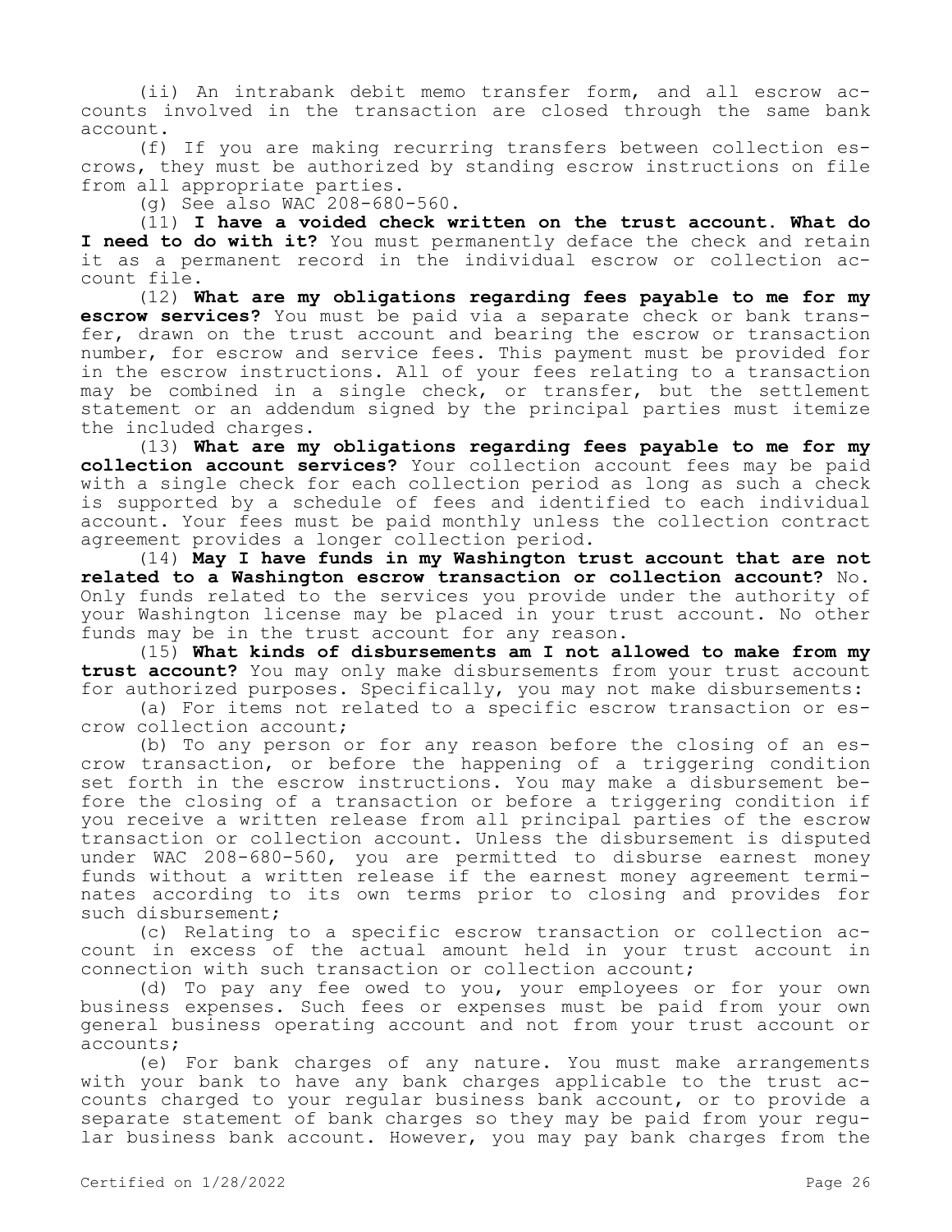(ii) An intrabank debit memo transfer form, and all escrow accounts involved in the transaction are closed through the same bank account.

(f) If you are making recurring transfers between collection escrows, they must be authorized by standing escrow instructions on file from all appropriate parties.

(g) See also WAC 208-680-560.

(11) **I have a voided check written on the trust account. What do I need to do with it?** You must permanently deface the check and retain it as a permanent record in the individual escrow or collection account file.

(12) **What are my obligations regarding fees payable to me for my escrow services?** You must be paid via a separate check or bank transfer, drawn on the trust account and bearing the escrow or transaction number, for escrow and service fees. This payment must be provided for in the escrow instructions. All of your fees relating to a transaction may be combined in a single check, or transfer, but the settlement statement or an addendum signed by the principal parties must itemize the included charges.

(13) **What are my obligations regarding fees payable to me for my collection account services?** Your collection account fees may be paid with a single check for each collection period as long as such a check is supported by a schedule of fees and identified to each individual account. Your fees must be paid monthly unless the collection contract agreement provides a longer collection period.

(14) **May I have funds in my Washington trust account that are not related to a Washington escrow transaction or collection account?** No. Only funds related to the services you provide under the authority of your Washington license may be placed in your trust account. No other funds may be in the trust account for any reason.

(15) **What kinds of disbursements am I not allowed to make from my trust account?** You may only make disbursements from your trust account for authorized purposes. Specifically, you may not make disbursements:

(a) For items not related to a specific escrow transaction or escrow collection account;

(b) To any person or for any reason before the closing of an escrow transaction, or before the happening of a triggering condition set forth in the escrow instructions. You may make a disbursement before the closing of a transaction or before a triggering condition if you receive a written release from all principal parties of the escrow transaction or collection account. Unless the disbursement is disputed under WAC 208-680-560, you are permitted to disburse earnest money funds without a written release if the earnest money agreement terminates according to its own terms prior to closing and provides for such disbursement;

(c) Relating to a specific escrow transaction or collection account in excess of the actual amount held in your trust account in connection with such transaction or collection account;

(d) To pay any fee owed to you, your employees or for your own business expenses. Such fees or expenses must be paid from your own general business operating account and not from your trust account or accounts;

(e) For bank charges of any nature. You must make arrangements with your bank to have any bank charges applicable to the trust accounts charged to your regular business bank account, or to provide a separate statement of bank charges so they may be paid from your regular business bank account. However, you may pay bank charges from the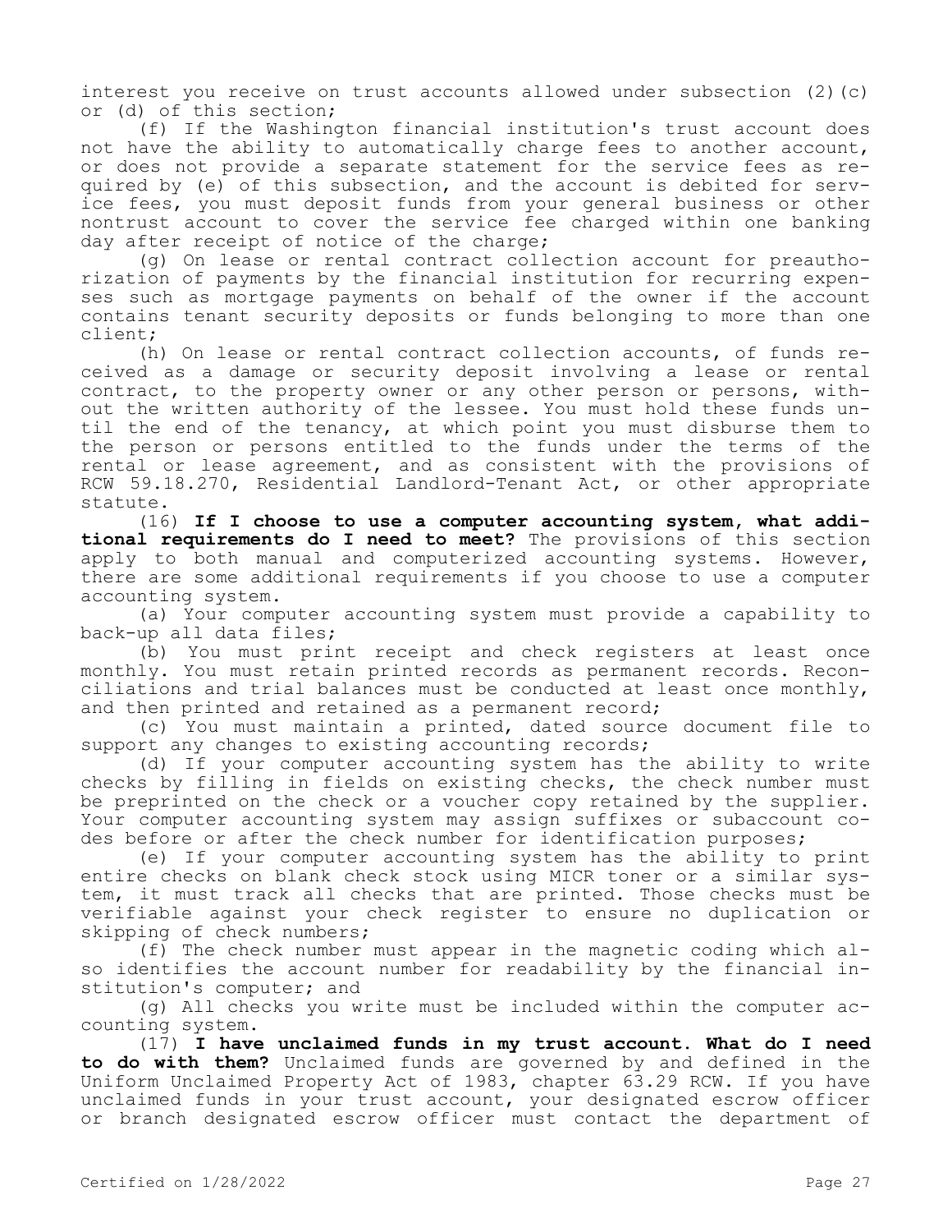interest you receive on trust accounts allowed under subsection  $(2)(c)$ or (d) of this section;

(f) If the Washington financial institution's trust account does not have the ability to automatically charge fees to another account, or does not provide a separate statement for the service fees as required by (e) of this subsection, and the account is debited for service fees, you must deposit funds from your general business or other nontrust account to cover the service fee charged within one banking day after receipt of notice of the charge;

(g) On lease or rental contract collection account for preauthorization of payments by the financial institution for recurring expenses such as mortgage payments on behalf of the owner if the account contains tenant security deposits or funds belonging to more than one client;

(h) On lease or rental contract collection accounts, of funds received as a damage or security deposit involving a lease or rental contract, to the property owner or any other person or persons, without the written authority of the lessee. You must hold these funds until the end of the tenancy, at which point you must disburse them to the person or persons entitled to the funds under the terms of the rental or lease agreement, and as consistent with the provisions of RCW 59.18.270, Residential Landlord-Tenant Act, or other appropriate statute.

(16) **If I choose to use a computer accounting system, what additional requirements do I need to meet?** The provisions of this section apply to both manual and computerized accounting systems. However, there are some additional requirements if you choose to use a computer accounting system.

(a) Your computer accounting system must provide a capability to back-up all data files;

(b) You must print receipt and check registers at least once monthly. You must retain printed records as permanent records. Reconciliations and trial balances must be conducted at least once monthly, and then printed and retained as a permanent record;

(c) You must maintain a printed, dated source document file to support any changes to existing accounting records;

(d) If your computer accounting system has the ability to write checks by filling in fields on existing checks, the check number must be preprinted on the check or a voucher copy retained by the supplier. Your computer accounting system may assign suffixes or subaccount codes before or after the check number for identification purposes;

(e) If your computer accounting system has the ability to print entire checks on blank check stock using MICR toner or a similar system, it must track all checks that are printed. Those checks must be verifiable against your check register to ensure no duplication or skipping of check numbers;

(f) The check number must appear in the magnetic coding which also identifies the account number for readability by the financial institution's computer; and

(g) All checks you write must be included within the computer accounting system.

(17) **I have unclaimed funds in my trust account. What do I need to do with them?** Unclaimed funds are governed by and defined in the Uniform Unclaimed Property Act of 1983, chapter 63.29 RCW. If you have unclaimed funds in your trust account, your designated escrow officer or branch designated escrow officer must contact the department of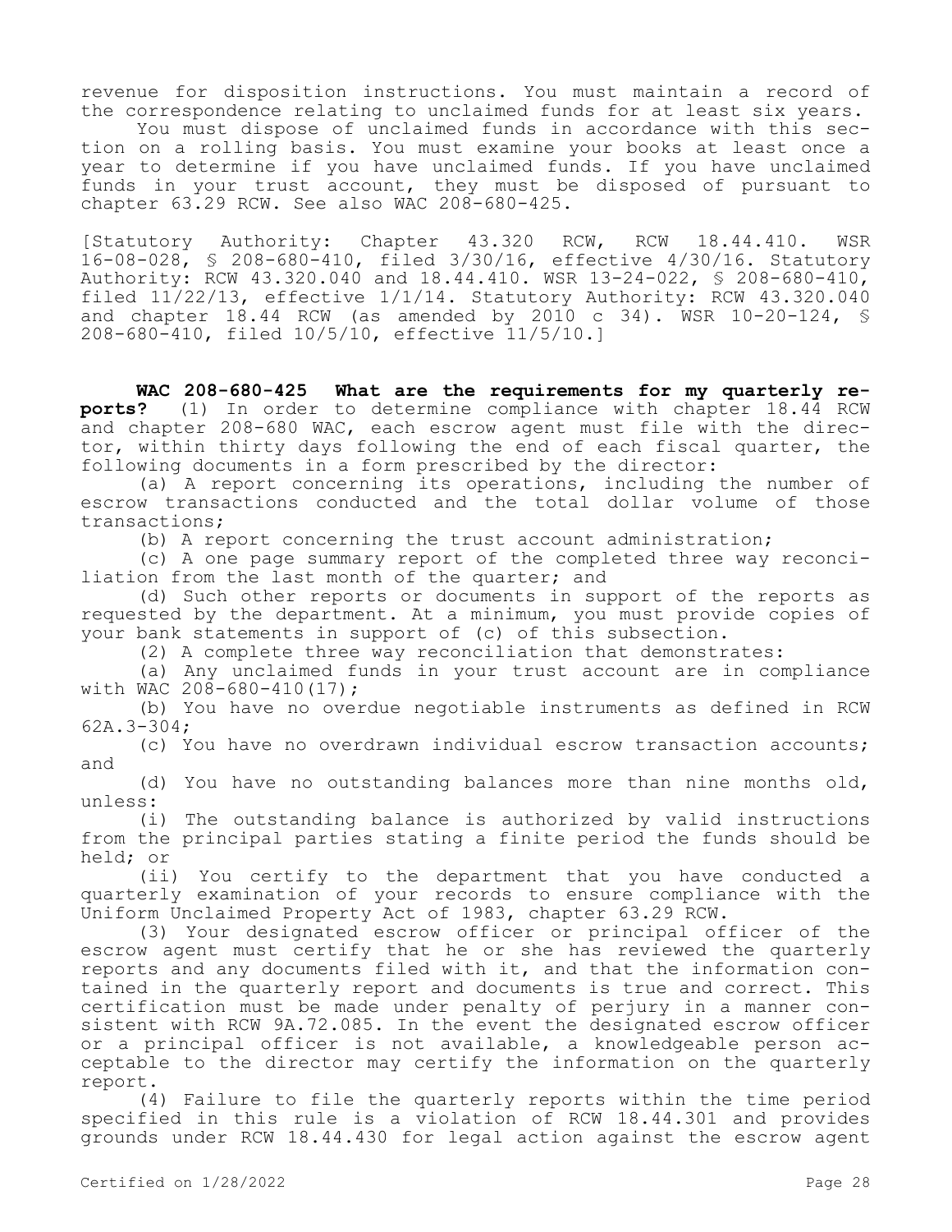revenue for disposition instructions. You must maintain a record of the correspondence relating to unclaimed funds for at least six years.

You must dispose of unclaimed funds in accordance with this section on a rolling basis. You must examine your books at least once a year to determine if you have unclaimed funds. If you have unclaimed funds in your trust account, they must be disposed of pursuant to chapter 63.29 RCW. See also WAC 208-680-425.

[Statutory Authority: Chapter 43.320 RCW, RCW 18.44.410. WSR 16-08-028, § 208-680-410, filed 3/30/16, effective 4/30/16. Statutory Authority: RCW 43.320.040 and 18.44.410. WSR 13-24-022, § 208-680-410, filed 11/22/13, effective 1/1/14. Statutory Authority: RCW 43.320.040 and chapter 18.44 RCW (as amended by 2010 c 34). WSR 10-20-124, § 208-680-410, filed 10/5/10, effective 11/5/10.]

**WAC 208-680-425 What are the requirements for my quarterly reports?** (1) In order to determine compliance with chapter 18.44 RCW and chapter 208-680 WAC, each escrow agent must file with the director, within thirty days following the end of each fiscal quarter, the following documents in a form prescribed by the director:

(a) A report concerning its operations, including the number of escrow transactions conducted and the total dollar volume of those transactions;

(b) A report concerning the trust account administration;

(c) A one page summary report of the completed three way reconciliation from the last month of the quarter; and

(d) Such other reports or documents in support of the reports as requested by the department. At a minimum, you must provide copies of your bank statements in support of (c) of this subsection.

(2) A complete three way reconciliation that demonstrates:

(a) Any unclaimed funds in your trust account are in compliance with WAC  $208 - 680 - 410(17)$ ;

(b) You have no overdue negotiable instruments as defined in RCW 62A.3-304;

(c) You have no overdrawn individual escrow transaction accounts; and

(d) You have no outstanding balances more than nine months old, unless:

(i) The outstanding balance is authorized by valid instructions from the principal parties stating a finite period the funds should be held; or

(ii) You certify to the department that you have conducted a quarterly examination of your records to ensure compliance with the Uniform Unclaimed Property Act of 1983, chapter 63.29 RCW.

(3) Your designated escrow officer or principal officer of the escrow agent must certify that he or she has reviewed the quarterly reports and any documents filed with it, and that the information contained in the quarterly report and documents is true and correct. This certification must be made under penalty of perjury in a manner consistent with RCW 9A.72.085. In the event the designated escrow officer or a principal officer is not available, a knowledgeable person acceptable to the director may certify the information on the quarterly report.

(4) Failure to file the quarterly reports within the time period specified in this rule is a violation of RCW 18.44.301 and provides grounds under RCW 18.44.430 for legal action against the escrow agent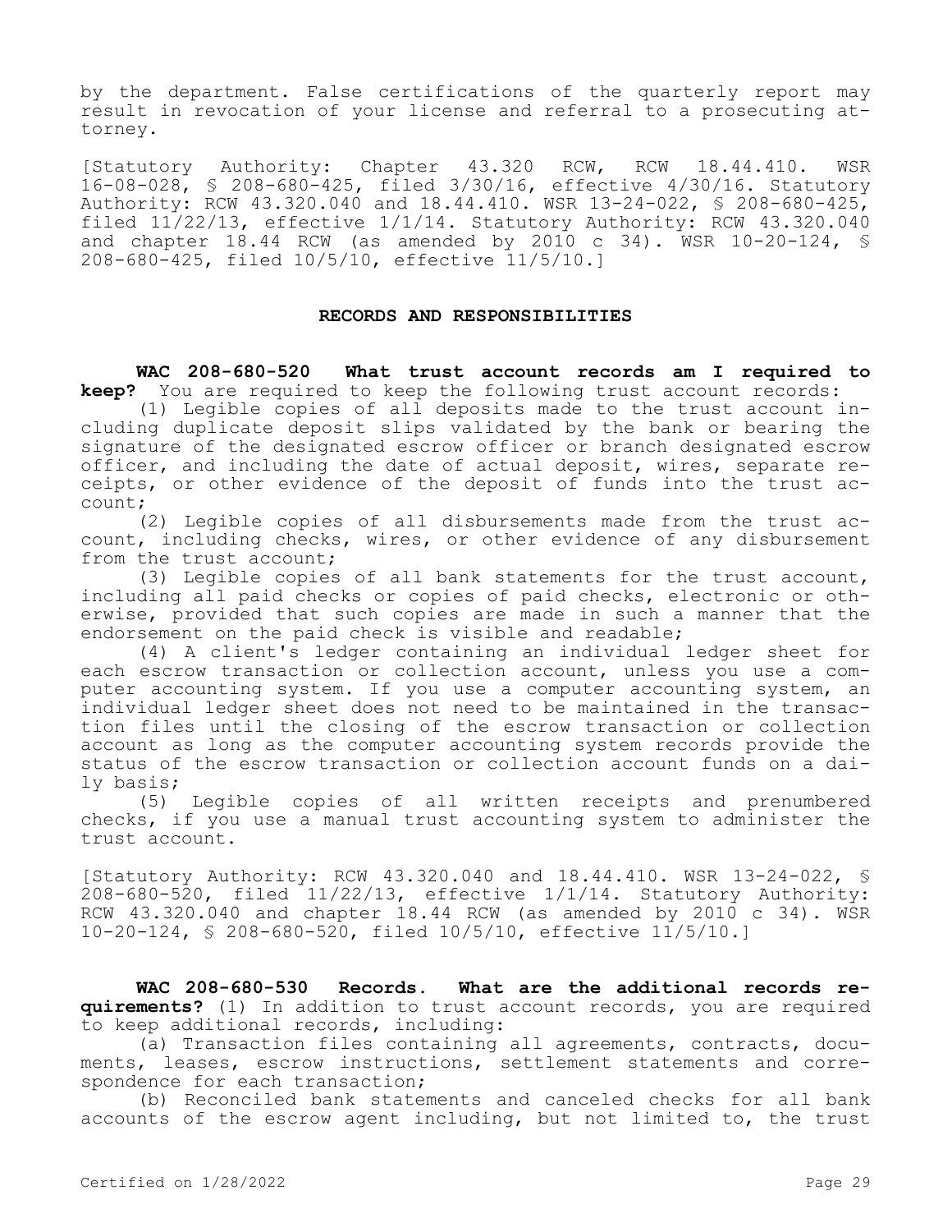by the department. False certifications of the quarterly report may result in revocation of your license and referral to a prosecuting attorney.

[Statutory Authority: Chapter 43.320 RCW, RCW 18.44.410. WSR 16-08-028, § 208-680-425, filed 3/30/16, effective 4/30/16. Statutory Authority: RCW 43.320.040 and 18.44.410. WSR 13-24-022, § 208-680-425, filed 11/22/13, effective 1/1/14. Statutory Authority: RCW 43.320.040 and chapter 18.44 RCW (as amended by 2010 c 34). WSR 10-20-124, § 208-680-425, filed 10/5/10, effective 11/5/10.]

#### **RECORDS AND RESPONSIBILITIES**

**WAC 208-680-520 What trust account records am I required to keep?** You are required to keep the following trust account records:

(1) Legible copies of all deposits made to the trust account including duplicate deposit slips validated by the bank or bearing the signature of the designated escrow officer or branch designated escrow officer, and including the date of actual deposit, wires, separate receipts, or other evidence of the deposit of funds into the trust account;

(2) Legible copies of all disbursements made from the trust account, including checks, wires, or other evidence of any disbursement from the trust account;

(3) Legible copies of all bank statements for the trust account, including all paid checks or copies of paid checks, electronic or otherwise, provided that such copies are made in such a manner that the endorsement on the paid check is visible and readable;

(4) A client's ledger containing an individual ledger sheet for each escrow transaction or collection account, unless you use a computer accounting system. If you use a computer accounting system, an individual ledger sheet does not need to be maintained in the transaction files until the closing of the escrow transaction or collection account as long as the computer accounting system records provide the status of the escrow transaction or collection account funds on a daily basis;

(5) Legible copies of all written receipts and prenumbered checks, if you use a manual trust accounting system to administer the trust account.

[Statutory Authority: RCW 43.320.040 and 18.44.410. WSR 13-24-022, §  $208-680-520$ , filed  $11/22/13$ , effective  $1/1/14$ . Statutory Authority: RCW 43.320.040 and chapter 18.44 RCW (as amended by 2010 c 34). WSR 10-20-124, § 208-680-520, filed 10/5/10, effective 11/5/10.]

**WAC 208-680-530 Records. What are the additional records requirements?** (1) In addition to trust account records, you are required to keep additional records, including:

(a) Transaction files containing all agreements, contracts, documents, leases, escrow instructions, settlement statements and correspondence for each transaction;

(b) Reconciled bank statements and canceled checks for all bank accounts of the escrow agent including, but not limited to, the trust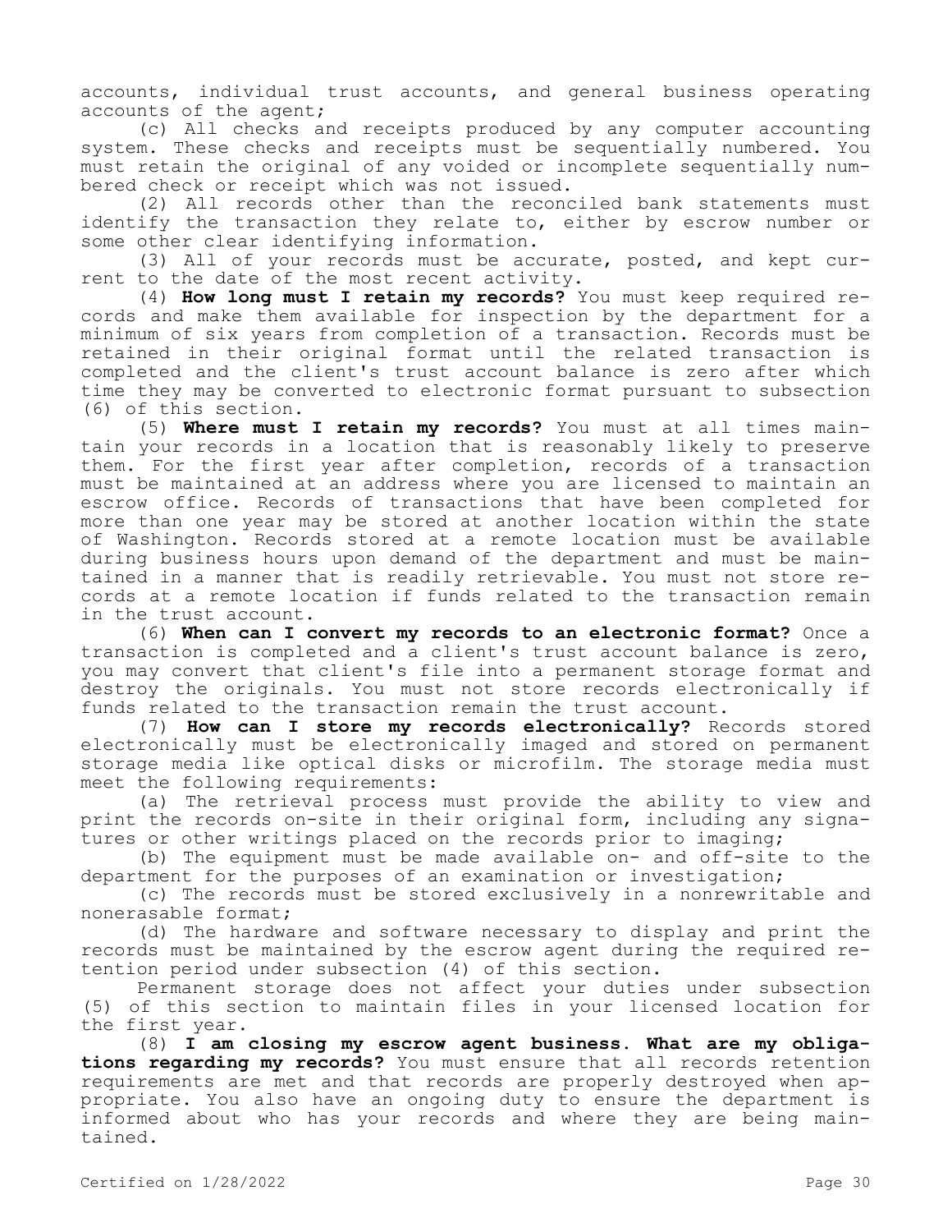accounts, individual trust accounts, and general business operating accounts of the agent;

(c) All checks and receipts produced by any computer accounting system. These checks and receipts must be sequentially numbered. You must retain the original of any voided or incomplete sequentially numbered check or receipt which was not issued.

(2) All records other than the reconciled bank statements must identify the transaction they relate to, either by escrow number or some other clear identifying information.

(3) All of your records must be accurate, posted, and kept current to the date of the most recent activity.

(4) **How long must I retain my records?** You must keep required records and make them available for inspection by the department for a minimum of six years from completion of a transaction. Records must be retained in their original format until the related transaction is completed and the client's trust account balance is zero after which time they may be converted to electronic format pursuant to subsection (6) of this section.

(5) **Where must I retain my records?** You must at all times maintain your records in a location that is reasonably likely to preserve them. For the first year after completion, records of a transaction must be maintained at an address where you are licensed to maintain an escrow office. Records of transactions that have been completed for more than one year may be stored at another location within the state of Washington. Records stored at a remote location must be available during business hours upon demand of the department and must be maintained in a manner that is readily retrievable. You must not store records at a remote location if funds related to the transaction remain in the trust account.

(6) **When can I convert my records to an electronic format?** Once a transaction is completed and a client's trust account balance is zero, you may convert that client's file into a permanent storage format and destroy the originals. You must not store records electronically if funds related to the transaction remain the trust account.

(7) **How can I store my records electronically?** Records stored electronically must be electronically imaged and stored on permanent storage media like optical disks or microfilm. The storage media must meet the following requirements:

(a) The retrieval process must provide the ability to view and print the records on-site in their original form, including any signatures or other writings placed on the records prior to imaging;

(b) The equipment must be made available on- and off-site to the department for the purposes of an examination or investigation;

(c) The records must be stored exclusively in a nonrewritable and nonerasable format;

(d) The hardware and software necessary to display and print the records must be maintained by the escrow agent during the required retention period under subsection (4) of this section.

Permanent storage does not affect your duties under subsection (5) of this section to maintain files in your licensed location for the first year.

(8) **I am closing my escrow agent business. What are my obligations regarding my records?** You must ensure that all records retention requirements are met and that records are properly destroyed when appropriate. You also have an ongoing duty to ensure the department is informed about who has your records and where they are being maintained.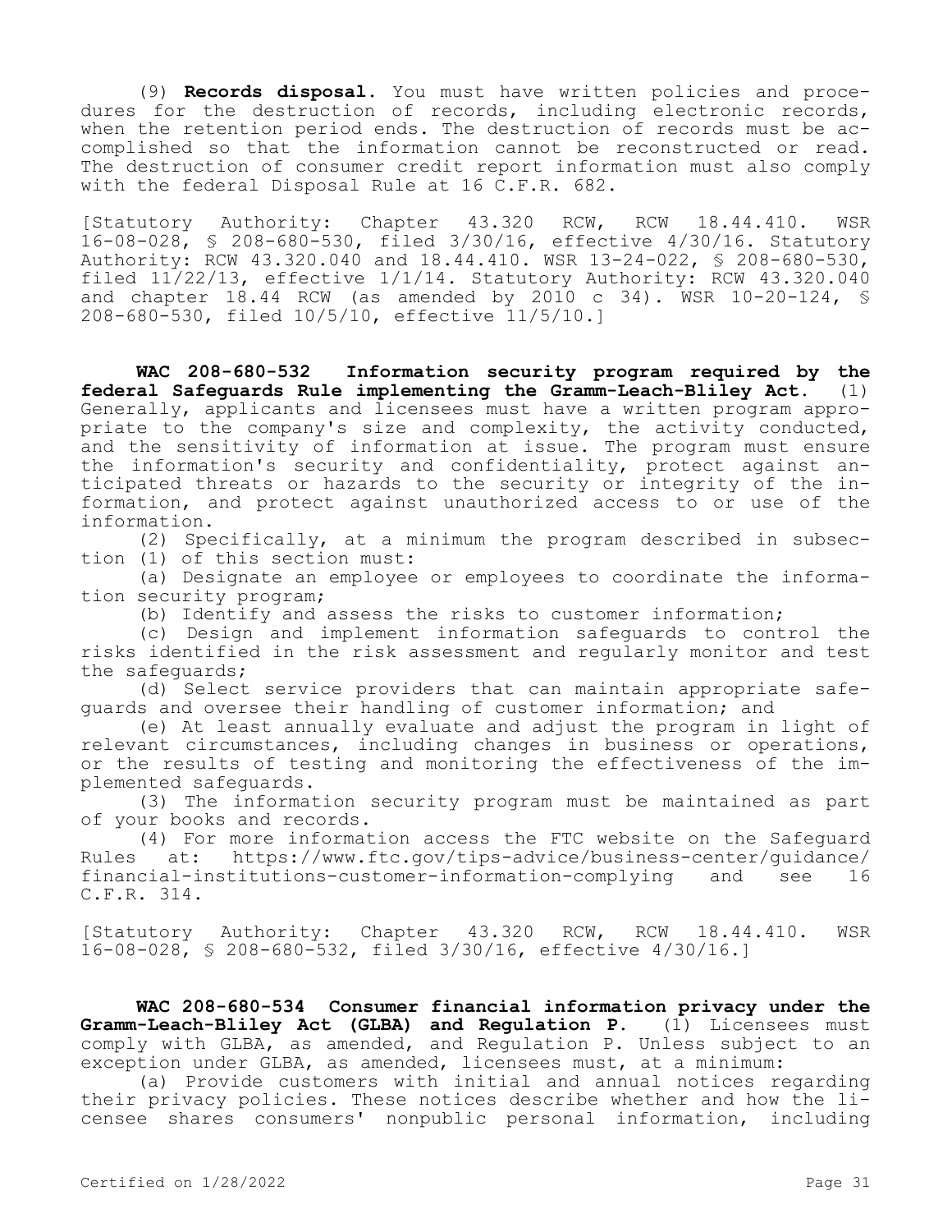(9) **Records disposal.** You must have written policies and procedures for the destruction of records, including electronic records, when the retention period ends. The destruction of records must be accomplished so that the information cannot be reconstructed or read. The destruction of consumer credit report information must also comply with the federal Disposal Rule at 16 C.F.R. 682.

[Statutory Authority: Chapter 43.320 RCW, RCW 18.44.410. WSR 16-08-028, § 208-680-530, filed 3/30/16, effective 4/30/16. Statutory Authority: RCW 43.320.040 and 18.44.410. WSR 13-24-022, § 208-680-530, filed  $11/22/13$ , effective  $1/1/14$ . Statutory Authority: RCW  $43.320.040$ and chapter 18.44 RCW (as amended by 2010 c 34). WSR 10-20-124, § 208-680-530, filed 10/5/10, effective 11/5/10.]

**WAC 208-680-532 Information security program required by the federal Safeguards Rule implementing the Gramm-Leach-Bliley Act.** (1) Generally, applicants and licensees must have a written program appropriate to the company's size and complexity, the activity conducted, and the sensitivity of information at issue. The program must ensure the information's security and confidentiality, protect against anticipated threats or hazards to the security or integrity of the information, and protect against unauthorized access to or use of the information.

(2) Specifically, at a minimum the program described in subsection (1) of this section must:

(a) Designate an employee or employees to coordinate the information security program;

(b) Identify and assess the risks to customer information;

(c) Design and implement information safeguards to control the risks identified in the risk assessment and regularly monitor and test the safeguards;

(d) Select service providers that can maintain appropriate safeguards and oversee their handling of customer information; and

(e) At least annually evaluate and adjust the program in light of relevant circumstances, including changes in business or operations, or the results of testing and monitoring the effectiveness of the implemented safeguards.

(3) The information security program must be maintained as part of your books and records.

(4) For more information access the FTC website on the Safeguard Rules at: https://www.ftc.gov/tips-advice/business-center/guidance/ financial-institutions-customer-information-complying and see 16 C.F.R. 314.

[Statutory Authority: Chapter 43.320 RCW, RCW 18.44.410. WSR 16-08-028, § 208-680-532, filed 3/30/16, effective 4/30/16.]

**WAC 208-680-534 Consumer financial information privacy under the Gramm-Leach-Bliley Act (GLBA) and Regulation P.** (1) Licensees must comply with GLBA, as amended, and Regulation P. Unless subject to an exception under GLBA, as amended, licensees must, at a minimum:

(a) Provide customers with initial and annual notices regarding their privacy policies. These notices describe whether and how the licensee shares consumers' nonpublic personal information, including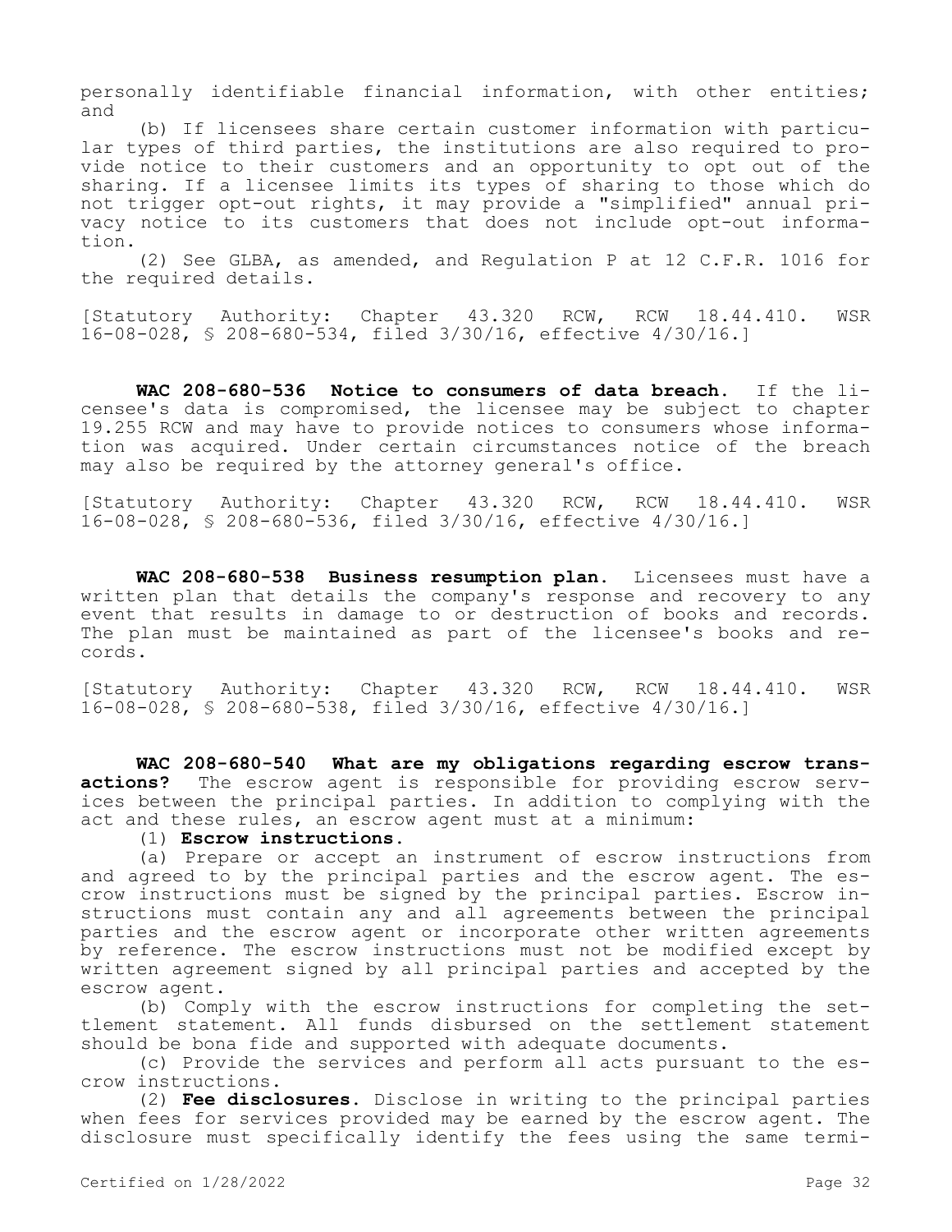personally identifiable financial information, with other entities; and

(b) If licensees share certain customer information with particular types of third parties, the institutions are also required to provide notice to their customers and an opportunity to opt out of the sharing. If a licensee limits its types of sharing to those which do not trigger opt-out rights, it may provide a "simplified" annual privacy notice to its customers that does not include opt-out information.

(2) See GLBA, as amended, and Regulation P at 12 C.F.R. 1016 for the required details.

[Statutory Authority: Chapter 43.320 RCW, RCW 18.44.410. WSR 16-08-028, § 208-680-534, filed 3/30/16, effective 4/30/16.]

**WAC 208-680-536 Notice to consumers of data breach.** If the licensee's data is compromised, the licensee may be subject to chapter 19.255 RCW and may have to provide notices to consumers whose information was acquired. Under certain circumstances notice of the breach may also be required by the attorney general's office.

[Statutory Authority: Chapter 43.320 RCW, RCW 18.44.410. WSR 16-08-028, § 208-680-536, filed 3/30/16, effective 4/30/16.]

**WAC 208-680-538 Business resumption plan.** Licensees must have a written plan that details the company's response and recovery to any event that results in damage to or destruction of books and records. The plan must be maintained as part of the licensee's books and records.

[Statutory Authority: Chapter 43.320 RCW, RCW 18.44.410. WSR 16-08-028, § 208-680-538, filed 3/30/16, effective 4/30/16.]

**WAC 208-680-540 What are my obligations regarding escrow transactions?** The escrow agent is responsible for providing escrow services between the principal parties. In addition to complying with the act and these rules, an escrow agent must at a minimum:

# (1) **Escrow instructions.**

(a) Prepare or accept an instrument of escrow instructions from and agreed to by the principal parties and the escrow agent. The escrow instructions must be signed by the principal parties. Escrow instructions must contain any and all agreements between the principal parties and the escrow agent or incorporate other written agreements by reference. The escrow instructions must not be modified except by written agreement signed by all principal parties and accepted by the escrow agent.

(b) Comply with the escrow instructions for completing the settlement statement. All funds disbursed on the settlement statement should be bona fide and supported with adequate documents.

(c) Provide the services and perform all acts pursuant to the escrow instructions.

(2) **Fee disclosures.** Disclose in writing to the principal parties when fees for services provided may be earned by the escrow agent. The disclosure must specifically identify the fees using the same termi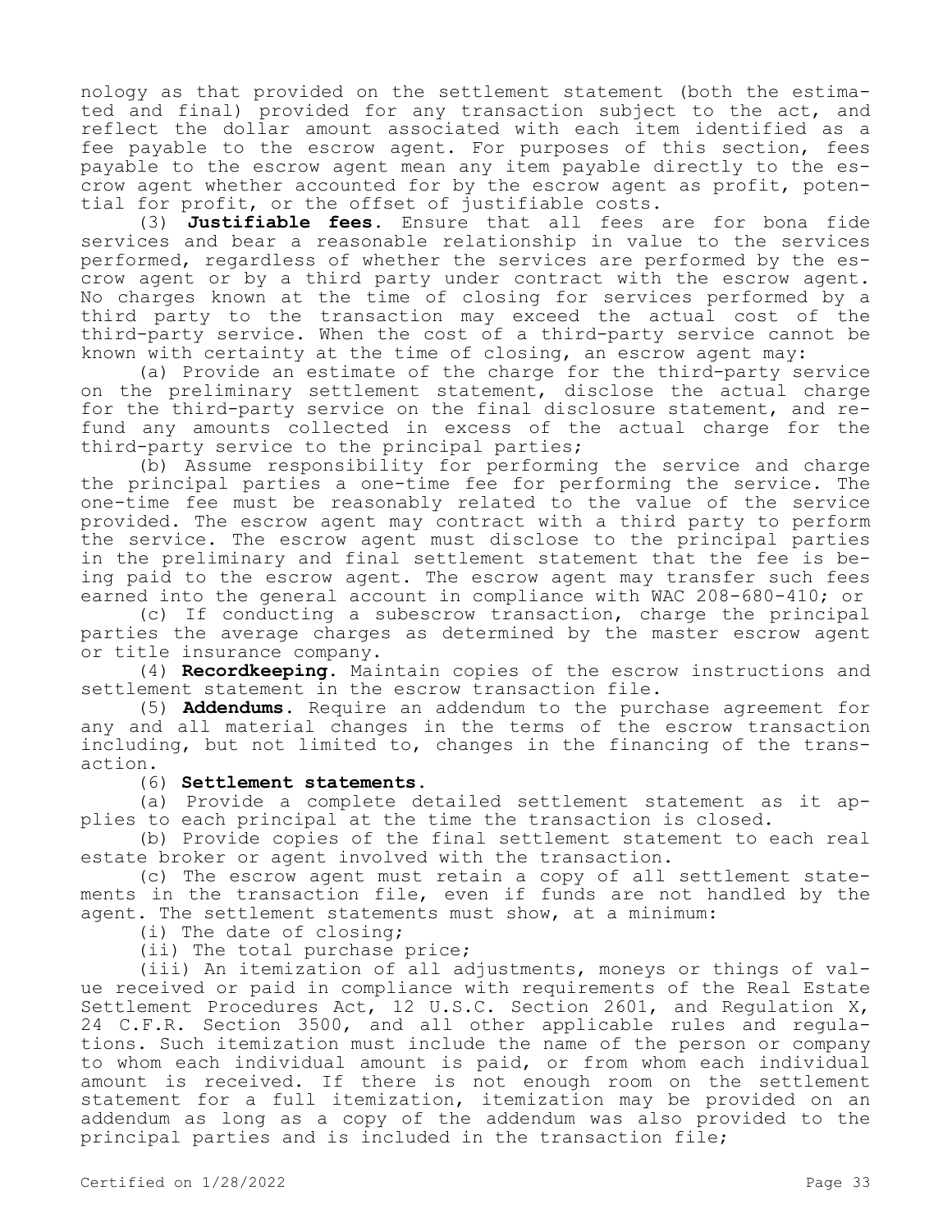nology as that provided on the settlement statement (both the estimated and final) provided for any transaction subject to the act, and reflect the dollar amount associated with each item identified as a fee payable to the escrow agent. For purposes of this section, fees payable to the escrow agent mean any item payable directly to the escrow agent whether accounted for by the escrow agent as profit, potential for profit, or the offset of justifiable costs.

(3) **Justifiable fees.** Ensure that all fees are for bona fide services and bear a reasonable relationship in value to the services performed, regardless of whether the services are performed by the escrow agent or by a third party under contract with the escrow agent. No charges known at the time of closing for services performed by a third party to the transaction may exceed the actual cost of the third-party service. When the cost of a third-party service cannot be known with certainty at the time of closing, an escrow agent may:

(a) Provide an estimate of the charge for the third-party service on the preliminary settlement statement, disclose the actual charge for the third-party service on the final disclosure statement, and refund any amounts collected in excess of the actual charge for the third-party service to the principal parties;

(b) Assume responsibility for performing the service and charge the principal parties a one-time fee for performing the service. The one-time fee must be reasonably related to the value of the service provided. The escrow agent may contract with a third party to perform the service. The escrow agent must disclose to the principal parties in the preliminary and final settlement statement that the fee is being paid to the escrow agent. The escrow agent may transfer such fees earned into the general account in compliance with WAC 208-680-410; or

(c) If conducting a subescrow transaction, charge the principal parties the average charges as determined by the master escrow agent or title insurance company.

(4) **Recordkeeping.** Maintain copies of the escrow instructions and settlement statement in the escrow transaction file.

(5) **Addendums.** Require an addendum to the purchase agreement for any and all material changes in the terms of the escrow transaction including, but not limited to, changes in the financing of the transaction.

# (6) **Settlement statements.**

(a) Provide a complete detailed settlement statement as it applies to each principal at the time the transaction is closed.

(b) Provide copies of the final settlement statement to each real estate broker or agent involved with the transaction.

(c) The escrow agent must retain a copy of all settlement statements in the transaction file, even if funds are not handled by the agent. The settlement statements must show, at a minimum:

(i) The date of closing;

(ii) The total purchase price;

(iii) An itemization of all adjustments, moneys or things of value received or paid in compliance with requirements of the Real Estate Settlement Procedures Act, 12 U.S.C. Section 2601, and Regulation X, 24 C.F.R. Section 3500, and all other applicable rules and regulations. Such itemization must include the name of the person or company to whom each individual amount is paid, or from whom each individual amount is received. If there is not enough room on the settlement statement for a full itemization, itemization may be provided on an addendum as long as a copy of the addendum was also provided to the principal parties and is included in the transaction file;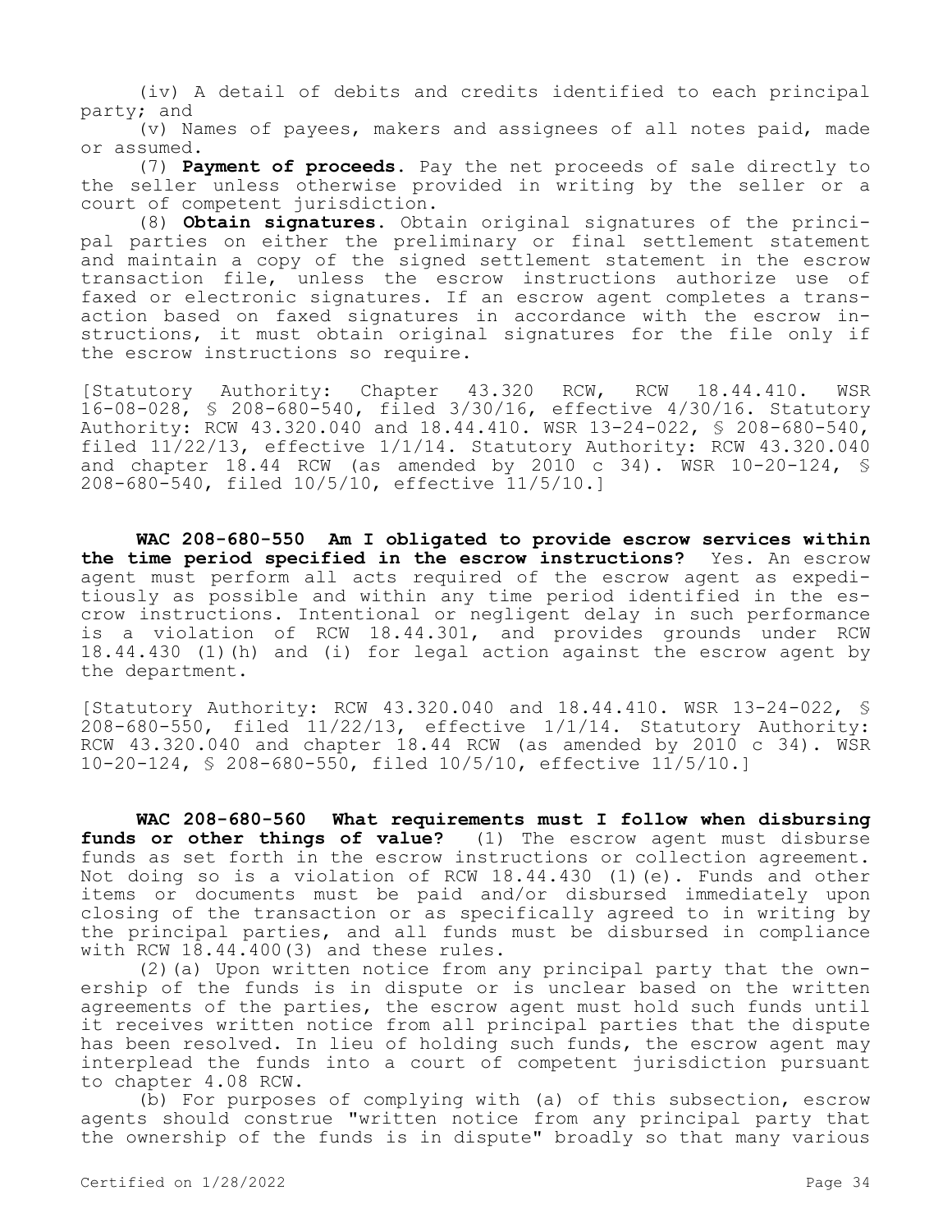(iv) A detail of debits and credits identified to each principal party; and

(v) Names of payees, makers and assignees of all notes paid, made or assumed.

(7) **Payment of proceeds.** Pay the net proceeds of sale directly to the seller unless otherwise provided in writing by the seller or a court of competent jurisdiction.

(8) **Obtain signatures.** Obtain original signatures of the principal parties on either the preliminary or final settlement statement and maintain a copy of the signed settlement statement in the escrow transaction file, unless the escrow instructions authorize use of faxed or electronic signatures. If an escrow agent completes a transaction based on faxed signatures in accordance with the escrow instructions, it must obtain original signatures for the file only if the escrow instructions so require.

[Statutory Authority: Chapter 43.320 RCW, RCW 18.44.410. WSR 16-08-028, § 208-680-540, filed 3/30/16, effective 4/30/16. Statutory Authority: RCW 43.320.040 and 18.44.410. WSR 13-24-022, § 208-680-540, filed  $11/22/13$ , effective  $1/1/14$ . Statutory Authority: RCW  $43.320.040$ and chapter  $18.44$  RCW (as amended by 2010 c 34). WSR  $10-20-124$ , § 208-680-540, filed 10/5/10, effective 11/5/10.]

**WAC 208-680-550 Am I obligated to provide escrow services within the time period specified in the escrow instructions?** Yes. An escrow agent must perform all acts required of the escrow agent as expeditiously as possible and within any time period identified in the escrow instructions. Intentional or negligent delay in such performance is a violation of RCW 18.44.301, and provides grounds under RCW 18.44.430 (1)(h) and (i) for legal action against the escrow agent by the department.

[Statutory Authority: RCW 43.320.040 and 18.44.410. WSR 13-24-022, § 208-680-550, filed 11/22/13, effective 1/1/14. Statutory Authority: RCW  $43.320.040$  and chapter 18.44 RCW (as amended by 2010 c 34). WSR 10-20-124, § 208-680-550, filed 10/5/10, effective 11/5/10.]

**WAC 208-680-560 What requirements must I follow when disbursing funds or other things of value?** (1) The escrow agent must disburse funds as set forth in the escrow instructions or collection agreement. Not doing so is a violation of RCW 18.44.430 (1)(e). Funds and other items or documents must be paid and/or disbursed immediately upon closing of the transaction or as specifically agreed to in writing by the principal parties, and all funds must be disbursed in compliance with RCW 18.44.400(3) and these rules.

(2)(a) Upon written notice from any principal party that the ownership of the funds is in dispute or is unclear based on the written agreements of the parties, the escrow agent must hold such funds until it receives written notice from all principal parties that the dispute has been resolved. In lieu of holding such funds, the escrow agent may interplead the funds into a court of competent jurisdiction pursuant to chapter 4.08 RCW.

(b) For purposes of complying with (a) of this subsection, escrow agents should construe "written notice from any principal party that the ownership of the funds is in dispute" broadly so that many various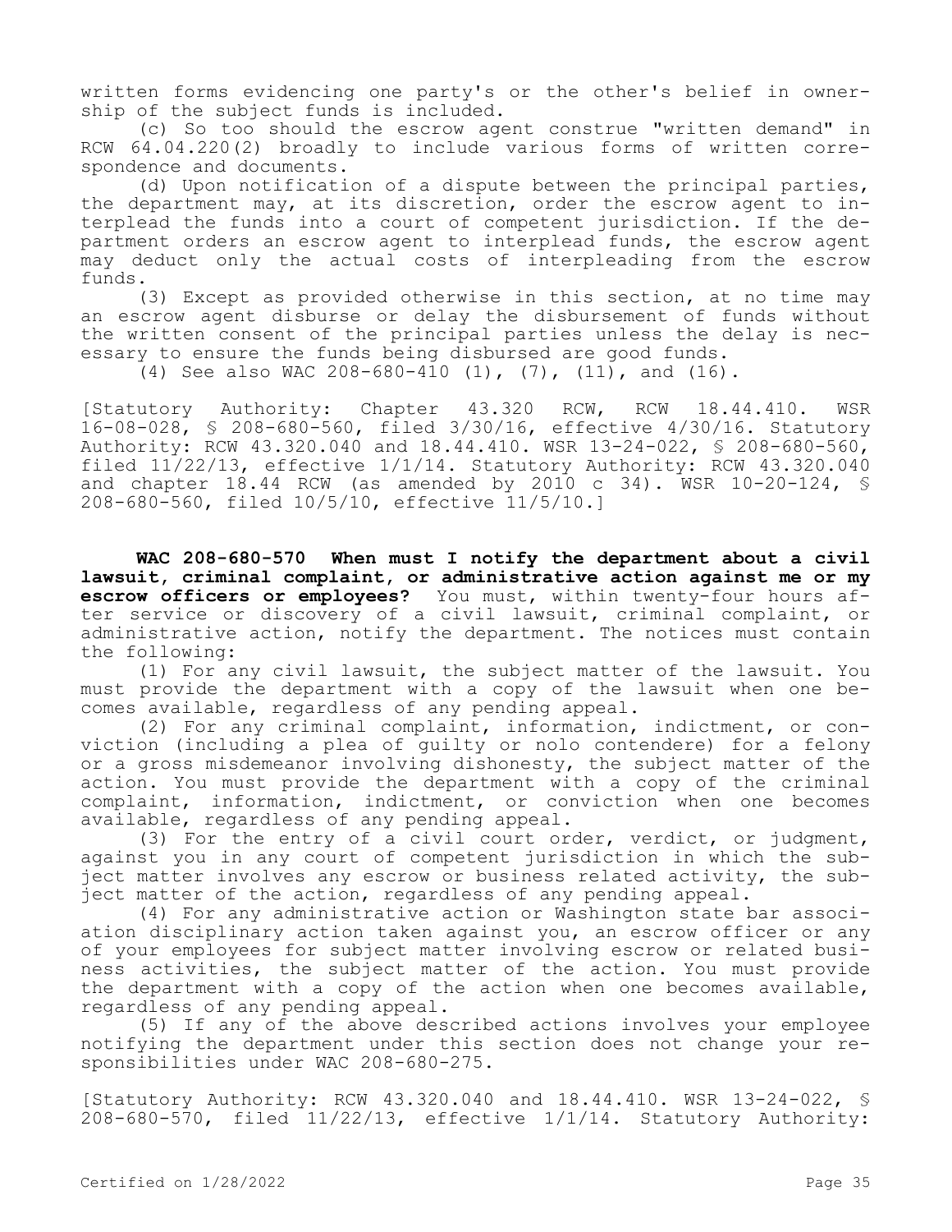written forms evidencing one party's or the other's belief in ownership of the subject funds is included.

(c) So too should the escrow agent construe "written demand" in RCW 64.04.220(2) broadly to include various forms of written correspondence and documents.

(d) Upon notification of a dispute between the principal parties, the department may, at its discretion, order the escrow agent to interplead the funds into a court of competent jurisdiction. If the department orders an escrow agent to interplead funds, the escrow agent may deduct only the actual costs of interpleading from the escrow funds.

(3) Except as provided otherwise in this section, at no time may an escrow agent disburse or delay the disbursement of funds without the written consent of the principal parties unless the delay is necessary to ensure the funds being disbursed are good funds.

(4) See also WAC 208-680-410 (1), (7), (11), and (16).

[Statutory Authority: Chapter 43.320 RCW, RCW 18.44.410. WSR 16-08-028, § 208-680-560, filed 3/30/16, effective 4/30/16. Statutory Authority: RCW 43.320.040 and 18.44.410. WSR 13-24-022, § 208-680-560, filed 11/22/13, effective 1/1/14. Statutory Authority: RCW 43.320.040 and chapter  $18.44$  RCW (as amended by 2010 c 34). WSR 10-20-124, § 208-680-560, filed 10/5/10, effective 11/5/10.]

**WAC 208-680-570 When must I notify the department about a civil lawsuit, criminal complaint, or administrative action against me or my escrow officers or employees?** You must, within twenty-four hours after service or discovery of a civil lawsuit, criminal complaint, or administrative action, notify the department. The notices must contain the following:

(1) For any civil lawsuit, the subject matter of the lawsuit. You must provide the department with a copy of the lawsuit when one becomes available, regardless of any pending appeal.

(2) For any criminal complaint, information, indictment, or conviction (including a plea of guilty or nolo contendere) for a felony or a gross misdemeanor involving dishonesty, the subject matter of the action. You must provide the department with a copy of the criminal complaint, information, indictment, or conviction when one becomes available, regardless of any pending appeal.

(3) For the entry of a civil court order, verdict, or judgment, against you in any court of competent jurisdiction in which the subject matter involves any escrow or business related activity, the subject matter of the action, regardless of any pending appeal.

(4) For any administrative action or Washington state bar association disciplinary action taken against you, an escrow officer or any of your employees for subject matter involving escrow or related business activities, the subject matter of the action. You must provide the department with a copy of the action when one becomes available, regardless of any pending appeal.

(5) If any of the above described actions involves your employee notifying the department under this section does not change your responsibilities under WAC 208-680-275.

[Statutory Authority: RCW 43.320.040 and 18.44.410. WSR 13-24-022, § 208-680-570, filed 11/22/13, effective 1/1/14. Statutory Authority: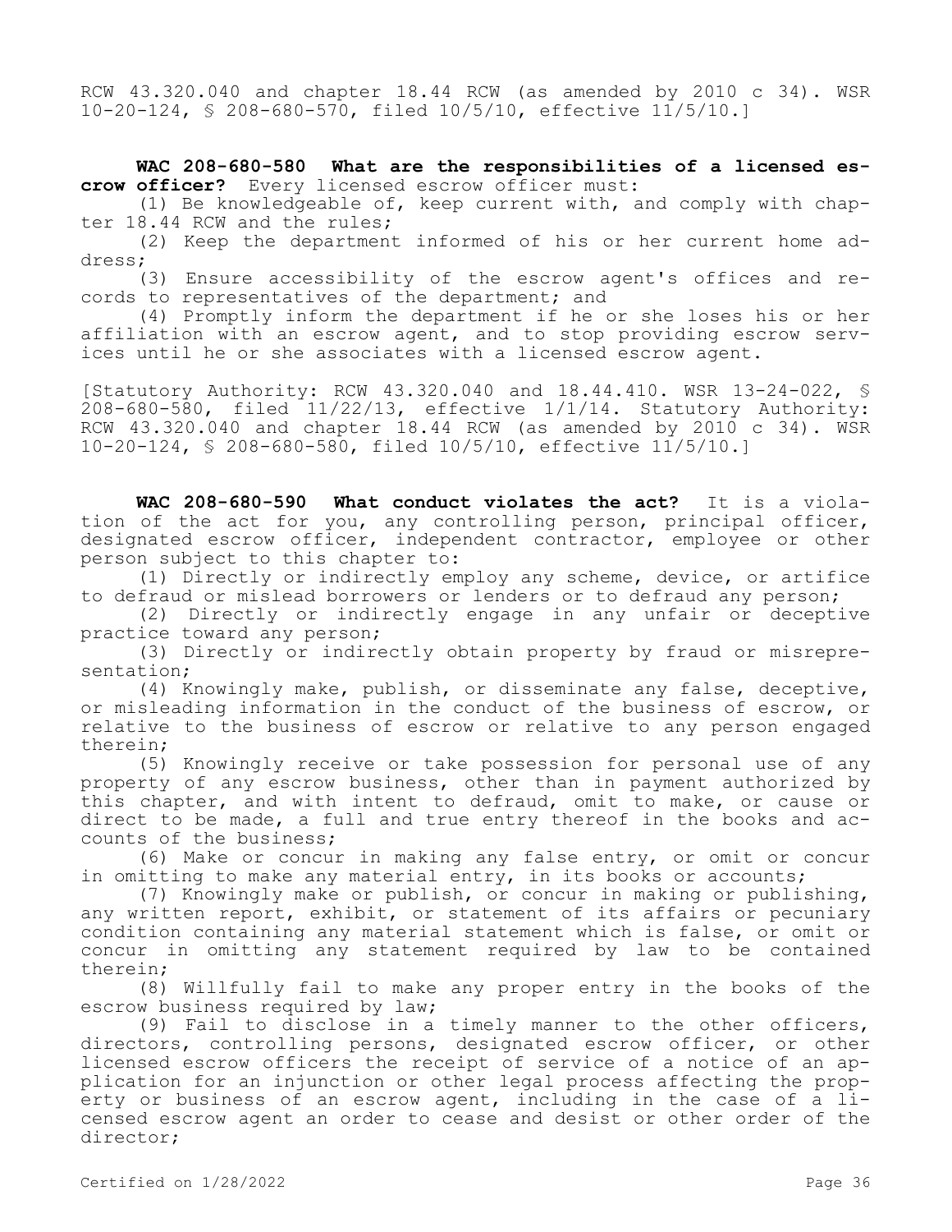RCW 43.320.040 and chapter 18.44 RCW (as amended by 2010 c 34). WSR 10-20-124, § 208-680-570, filed 10/5/10, effective 11/5/10.]

**WAC 208-680-580 What are the responsibilities of a licensed escrow officer?** Every licensed escrow officer must:

(1) Be knowledgeable of, keep current with, and comply with chapter 18.44 RCW and the rules;

(2) Keep the department informed of his or her current home address;

(3) Ensure accessibility of the escrow agent's offices and records to representatives of the department; and

(4) Promptly inform the department if he or she loses his or her affiliation with an escrow agent, and to stop providing escrow services until he or she associates with a licensed escrow agent.

[Statutory Authority: RCW 43.320.040 and 18.44.410. WSR 13-24-022, § 208-680-580, filed 11/22/13, effective 1/1/14. Statutory Authority: RCW 43.320.040 and chapter 18.44 RCW (as amended by 2010 c 34). WSR 10-20-124, § 208-680-580, filed 10/5/10, effective 11/5/10.]

**WAC 208-680-590 What conduct violates the act?** It is a violation of the act for you, any controlling person, principal officer, designated escrow officer, independent contractor, employee or other person subject to this chapter to:

(1) Directly or indirectly employ any scheme, device, or artifice to defraud or mislead borrowers or lenders or to defraud any person;

(2) Directly or indirectly engage in any unfair or deceptive practice toward any person;

(3) Directly or indirectly obtain property by fraud or misrepresentation;

(4) Knowingly make, publish, or disseminate any false, deceptive, or misleading information in the conduct of the business of escrow, or relative to the business of escrow or relative to any person engaged therein;

(5) Knowingly receive or take possession for personal use of any property of any escrow business, other than in payment authorized by this chapter, and with intent to defraud, omit to make, or cause or direct to be made, a full and true entry thereof in the books and accounts of the business;

(6) Make or concur in making any false entry, or omit or concur in omitting to make any material entry, in its books or accounts;

(7) Knowingly make or publish, or concur in making or publishing, any written report, exhibit, or statement of its affairs or pecuniary condition containing any material statement which is false, or omit or concur in omitting any statement required by law to be contained therein;

(8) Willfully fail to make any proper entry in the books of the escrow business required by law;

(9) Fail to disclose in a timely manner to the other officers, directors, controlling persons, designated escrow officer, or other licensed escrow officers the receipt of service of a notice of an application for an injunction or other legal process affecting the property or business of an escrow agent, including in the case of a licensed escrow agent an order to cease and desist or other order of the director;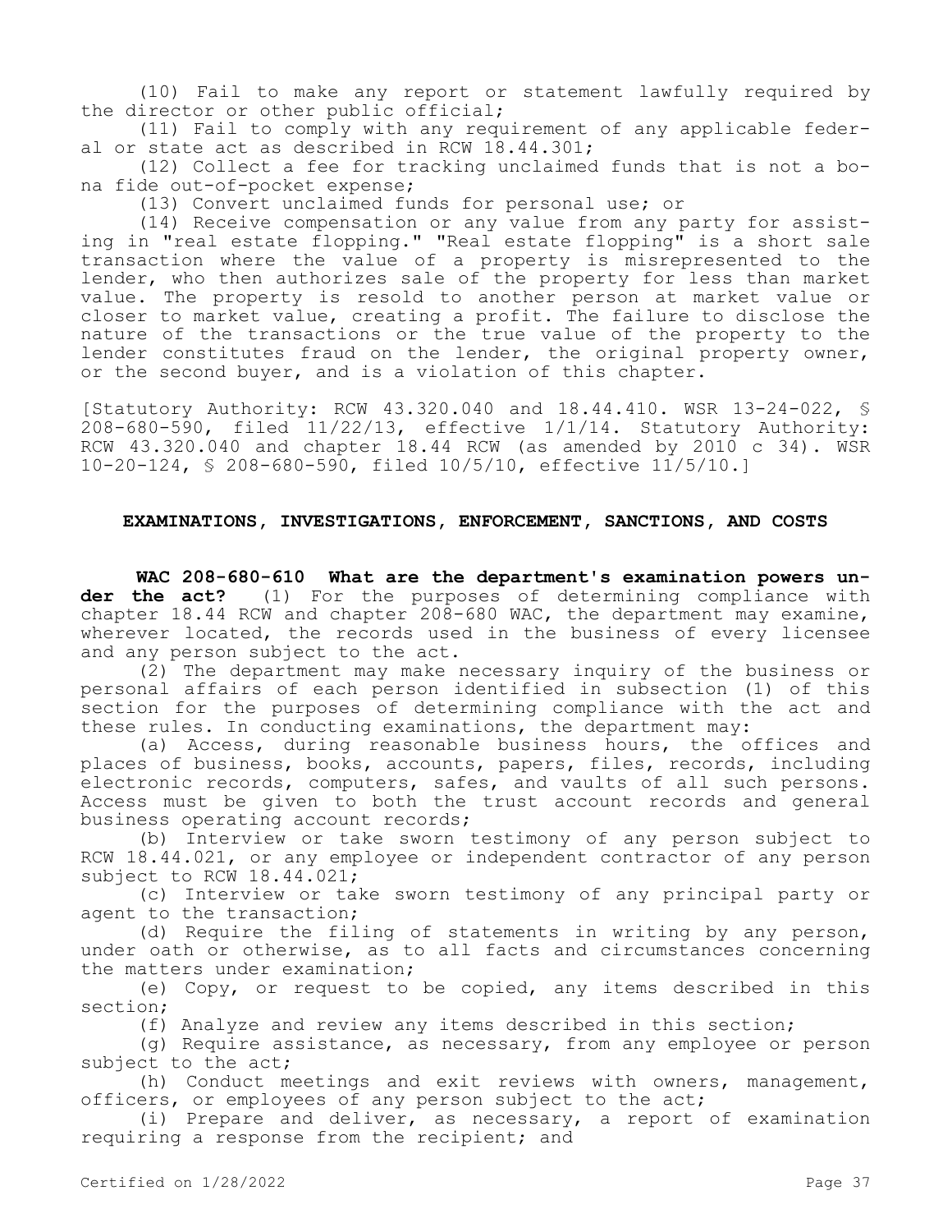(10) Fail to make any report or statement lawfully required by the director or other public official;

(11) Fail to comply with any requirement of any applicable federal or state act as described in RCW 18.44.301;

(12) Collect a fee for tracking unclaimed funds that is not a bona fide out-of-pocket expense;

(13) Convert unclaimed funds for personal use; or

(14) Receive compensation or any value from any party for assisting in "real estate flopping." "Real estate flopping" is a short sale transaction where the value of a property is misrepresented to the lender, who then authorizes sale of the property for less than market value. The property is resold to another person at market value or closer to market value, creating a profit. The failure to disclose the nature of the transactions or the true value of the property to the lender constitutes fraud on the lender, the original property owner, or the second buyer, and is a violation of this chapter.

[Statutory Authority: RCW 43.320.040 and 18.44.410. WSR 13-24-022, § 208-680-590, filed 11/22/13, effective 1/1/14. Statutory Authority: RCW 43.320.040 and chapter 18.44 RCW (as amended by 2010 c 34). WSR 10-20-124, § 208-680-590, filed 10/5/10, effective 11/5/10.]

### **EXAMINATIONS, INVESTIGATIONS, ENFORCEMENT, SANCTIONS, AND COSTS**

**WAC 208-680-610 What are the department's examination powers under the act?** (1) For the purposes of determining compliance with chapter 18.44 RCW and chapter 208-680 WAC, the department may examine, wherever located, the records used in the business of every licensee and any person subject to the act.

(2) The department may make necessary inquiry of the business or personal affairs of each person identified in subsection (1) of this section for the purposes of determining compliance with the act and these rules. In conducting examinations, the department may:

(a) Access, during reasonable business hours, the offices and places of business, books, accounts, papers, files, records, including electronic records, computers, safes, and vaults of all such persons. Access must be given to both the trust account records and general business operating account records;

(b) Interview or take sworn testimony of any person subject to RCW 18.44.021, or any employee or independent contractor of any person subject to RCW 18.44.021;

(c) Interview or take sworn testimony of any principal party or agent to the transaction;

(d) Require the filing of statements in writing by any person, under oath or otherwise, as to all facts and circumstances concerning the matters under examination;

(e) Copy, or request to be copied, any items described in this section;

(f) Analyze and review any items described in this section;

(g) Require assistance, as necessary, from any employee or person subject to the act;

(h) Conduct meetings and exit reviews with owners, management, officers, or employees of any person subject to the act;

(i) Prepare and deliver, as necessary, a report of examination requiring a response from the recipient; and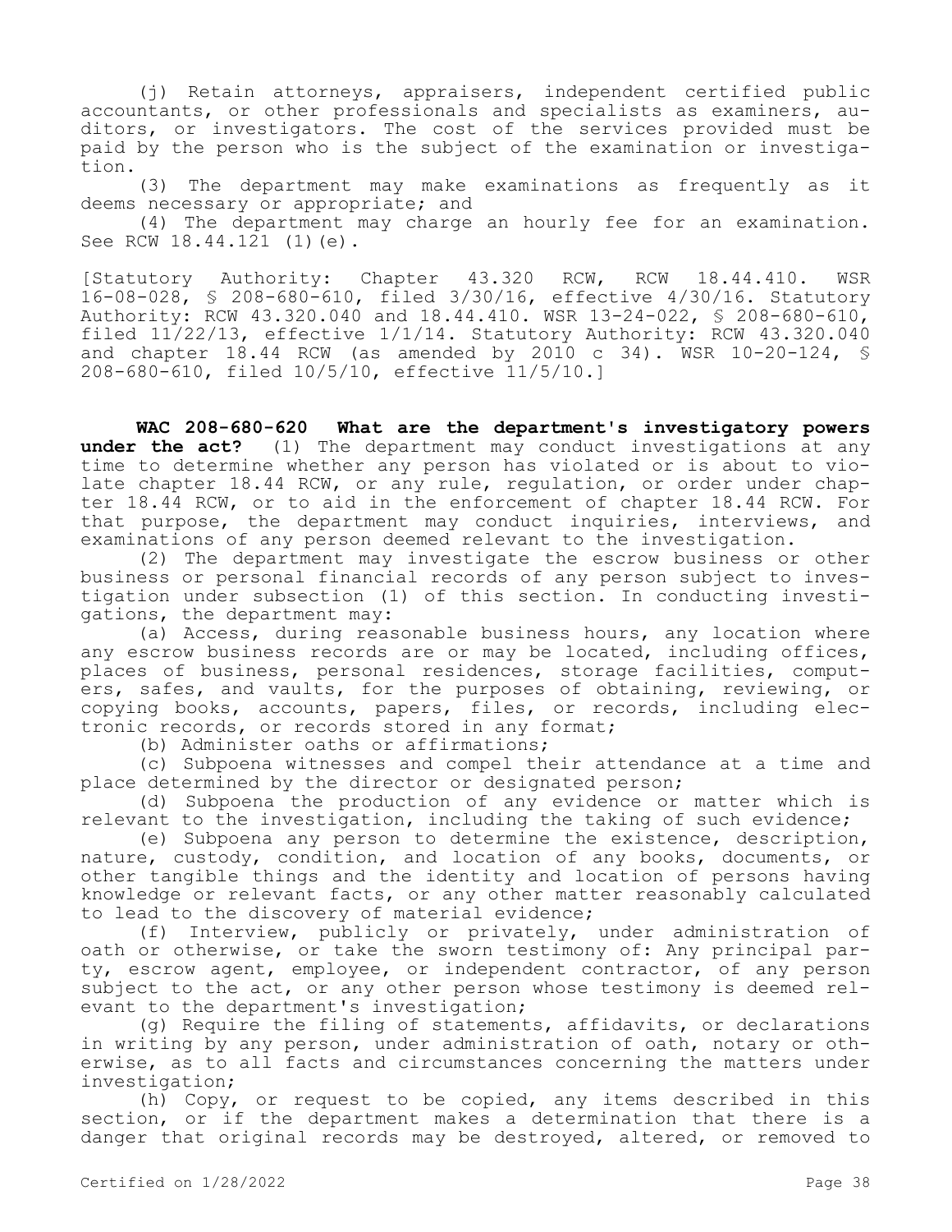(j) Retain attorneys, appraisers, independent certified public accountants, or other professionals and specialists as examiners, auditors, or investigators. The cost of the services provided must be paid by the person who is the subject of the examination or investigation.

(3) The department may make examinations as frequently as it deems necessary or appropriate; and

(4) The department may charge an hourly fee for an examination. See RCW 18.44.121 (1)(e).

[Statutory Authority: Chapter 43.320 RCW, RCW 18.44.410. WSR 16-08-028, § 208-680-610, filed 3/30/16, effective 4/30/16. Statutory Authority: RCW 43.320.040 and 18.44.410. WSR 13-24-022, § 208-680-610, filed  $11/22/13$ , effective  $1/1/14$ . Statutory Authority: RCW 43.320.040 and chapter  $18.44$  RCW (as amended by 2010 c 34). WSR 10-20-124, § 208-680-610, filed 10/5/10, effective 11/5/10.]

**WAC 208-680-620 What are the department's investigatory powers under the act?** (1) The department may conduct investigations at any time to determine whether any person has violated or is about to violate chapter 18.44 RCW, or any rule, regulation, or order under chapter 18.44 RCW, or to aid in the enforcement of chapter 18.44 RCW. For that purpose, the department may conduct inquiries, interviews, and examinations of any person deemed relevant to the investigation.

(2) The department may investigate the escrow business or other business or personal financial records of any person subject to investigation under subsection (1) of this section. In conducting investigations, the department may:

(a) Access, during reasonable business hours, any location where any escrow business records are or may be located, including offices, places of business, personal residences, storage facilities, computers, safes, and vaults, for the purposes of obtaining, reviewing, or copying books, accounts, papers, files, or records, including electronic records, or records stored in any format;

(b) Administer oaths or affirmations;

(c) Subpoena witnesses and compel their attendance at a time and place determined by the director or designated person;

(d) Subpoena the production of any evidence or matter which is relevant to the investigation, including the taking of such evidence;

(e) Subpoena any person to determine the existence, description, nature, custody, condition, and location of any books, documents, or other tangible things and the identity and location of persons having knowledge or relevant facts, or any other matter reasonably calculated to lead to the discovery of material evidence;

(f) Interview, publicly or privately, under administration of oath or otherwise, or take the sworn testimony of: Any principal party, escrow agent, employee, or independent contractor, of any person subject to the act, or any other person whose testimony is deemed relevant to the department's investigation;

(g) Require the filing of statements, affidavits, or declarations in writing by any person, under administration of oath, notary or otherwise, as to all facts and circumstances concerning the matters under investigation;

(h) Copy, or request to be copied, any items described in this section, or if the department makes a determination that there is a danger that original records may be destroyed, altered, or removed to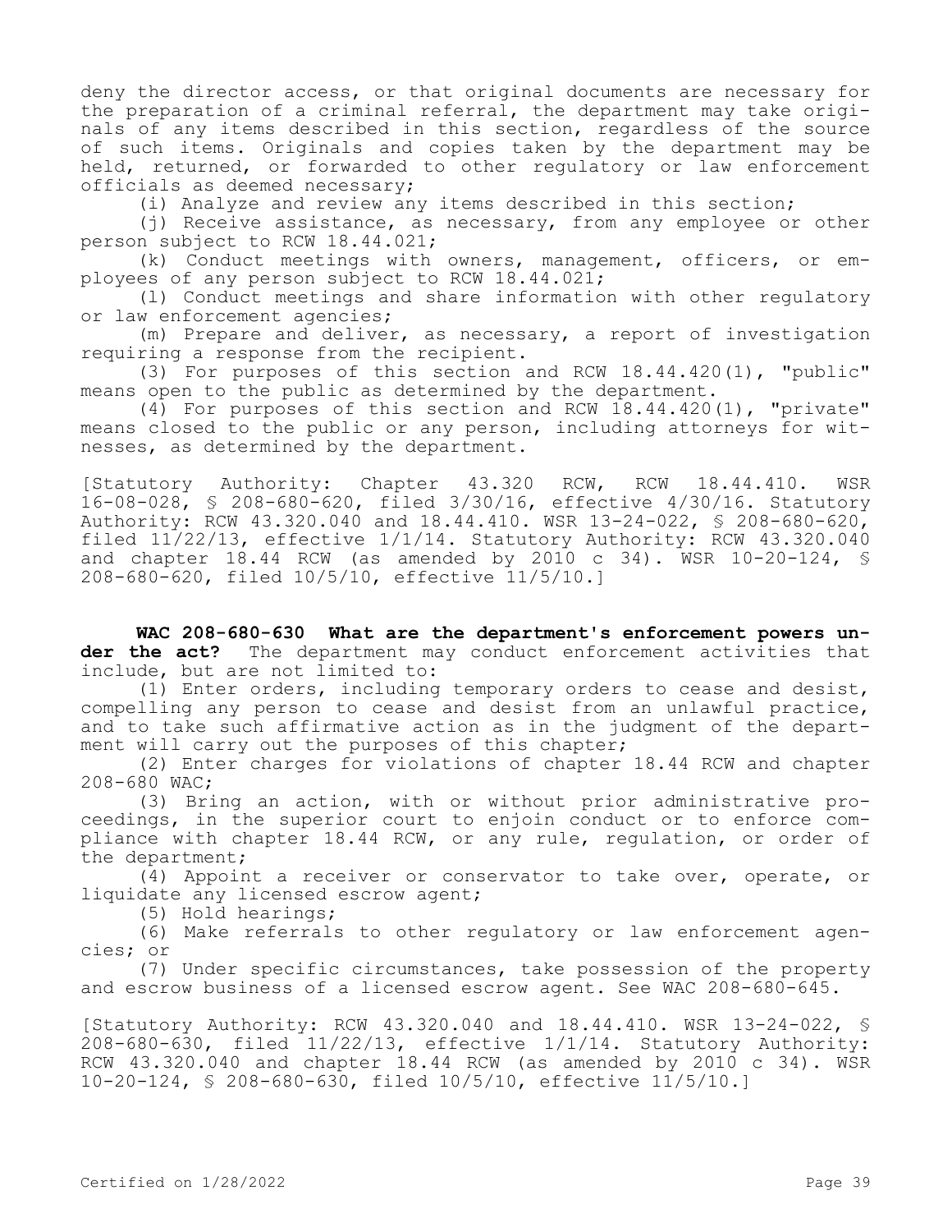deny the director access, or that original documents are necessary for the preparation of a criminal referral, the department may take originals of any items described in this section, regardless of the source of such items. Originals and copies taken by the department may be held, returned, or forwarded to other regulatory or law enforcement officials as deemed necessary;

(i) Analyze and review any items described in this section;

(j) Receive assistance, as necessary, from any employee or other person subject to RCW 18.44.021;

(k) Conduct meetings with owners, management, officers, or employees of any person subject to RCW 18.44.021;

(l) Conduct meetings and share information with other regulatory or law enforcement agencies;

(m) Prepare and deliver, as necessary, a report of investigation requiring a response from the recipient.

(3) For purposes of this section and RCW 18.44.420(1), "public" means open to the public as determined by the department.

(4) For purposes of this section and RCW 18.44.420(1), "private" means closed to the public or any person, including attorneys for witnesses, as determined by the department.

[Statutory Authority: Chapter 43.320 RCW, RCW 18.44.410. WSR 16-08-028, § 208-680-620, filed 3/30/16, effective 4/30/16. Statutory Authority: RCW 43.320.040 and 18.44.410. WSR 13-24-022, § 208-680-620, filed  $11/22/13$ , effective  $1/1/14$ . Statutory Authority: RCW 43.320.040 and chapter  $18.44$  RCW (as amended by 2010 c 34). WSR 10-20-124, § 208-680-620, filed 10/5/10, effective 11/5/10.]

**WAC 208-680-630 What are the department's enforcement powers under the act?** The department may conduct enforcement activities that include, but are not limited to:

(1) Enter orders, including temporary orders to cease and desist, compelling any person to cease and desist from an unlawful practice, and to take such affirmative action as in the judgment of the department will carry out the purposes of this chapter;

(2) Enter charges for violations of chapter 18.44 RCW and chapter 208-680 WAC;

(3) Bring an action, with or without prior administrative proceedings, in the superior court to enjoin conduct or to enforce compliance with chapter 18.44 RCW, or any rule, regulation, or order of the department;

(4) Appoint a receiver or conservator to take over, operate, or liquidate any licensed escrow agent;

(5) Hold hearings;

(6) Make referrals to other regulatory or law enforcement agencies; or

(7) Under specific circumstances, take possession of the property and escrow business of a licensed escrow agent. See WAC 208-680-645.

[Statutory Authority: RCW 43.320.040 and 18.44.410. WSR 13-24-022, § 208-680-630, filed 11/22/13, effective 1/1/14. Statutory Authority: RCW 43.320.040 and chapter 18.44 RCW (as amended by 2010 c 34). WSR 10-20-124, § 208-680-630, filed 10/5/10, effective 11/5/10.]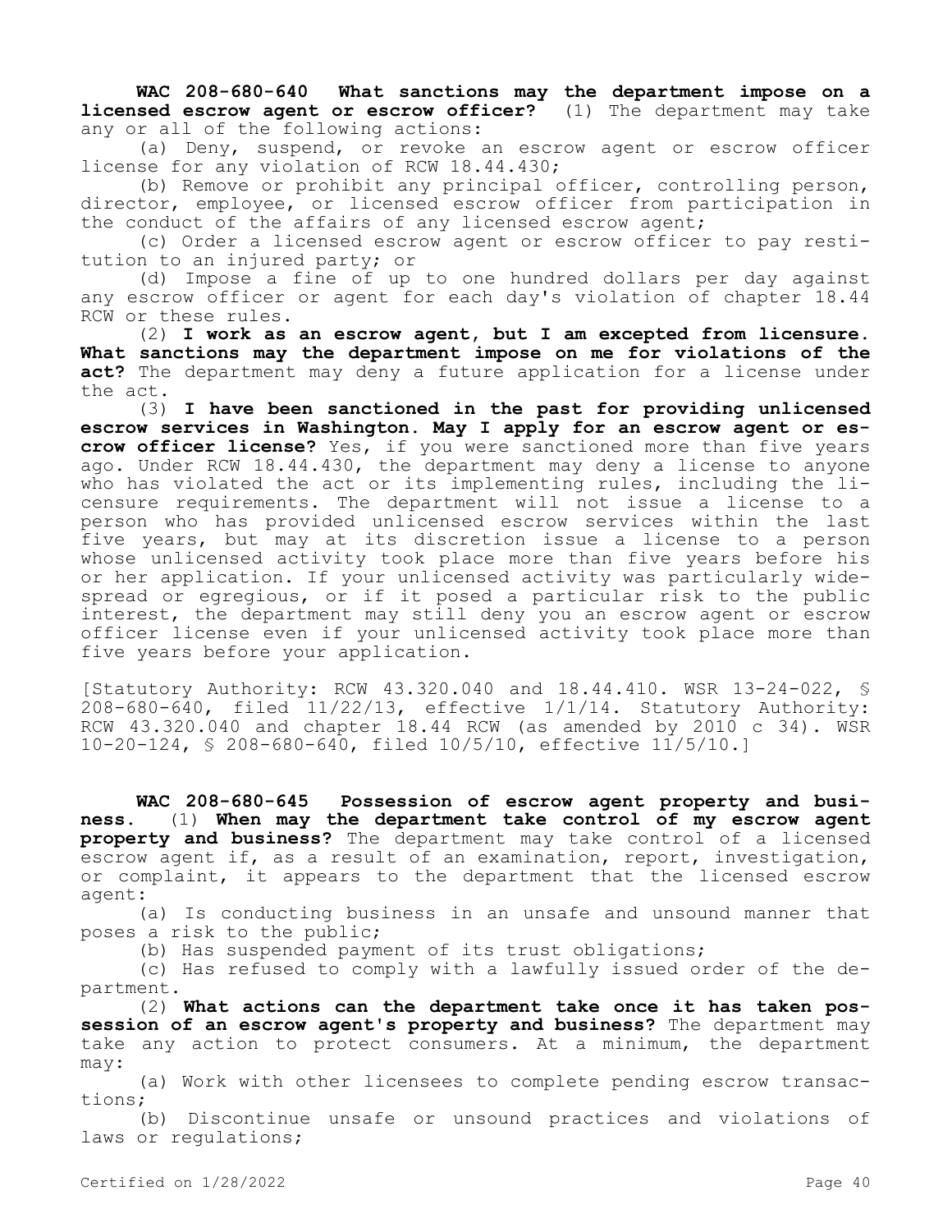**WAC 208-680-640 What sanctions may the department impose on a licensed escrow agent or escrow officer?** (1) The department may take any or all of the following actions:

(a) Deny, suspend, or revoke an escrow agent or escrow officer license for any violation of RCW 18.44.430;

(b) Remove or prohibit any principal officer, controlling person, director, employee, or licensed escrow officer from participation in the conduct of the affairs of any licensed escrow agent;

(c) Order a licensed escrow agent or escrow officer to pay restitution to an injured party; or

(d) Impose a fine of up to one hundred dollars per day against any escrow officer or agent for each day's violation of chapter 18.44 RCW or these rules.

(2) **I work as an escrow agent, but I am excepted from licensure. What sanctions may the department impose on me for violations of the act?** The department may deny a future application for a license under the act.

(3) **I have been sanctioned in the past for providing unlicensed escrow services in Washington. May I apply for an escrow agent or escrow officer license?** Yes, if you were sanctioned more than five years ago. Under RCW 18.44.430, the department may deny a license to anyone who has violated the act or its implementing rules, including the licensure requirements. The department will not issue a license to a person who has provided unlicensed escrow services within the last five years, but may at its discretion issue a license to a person whose unlicensed activity took place more than five years before his or her application. If your unlicensed activity was particularly widespread or egregious, or if it posed a particular risk to the public interest, the department may still deny you an escrow agent or escrow officer license even if your unlicensed activity took place more than five years before your application.

[Statutory Authority: RCW 43.320.040 and 18.44.410. WSR 13-24-022, § 208-680-640, filed 11/22/13, effective 1/1/14. Statutory Authority: RCW 43.320.040 and chapter 18.44 RCW (as amended by 2010 c 34). WSR 10-20-124, § 208-680-640, filed 10/5/10, effective 11/5/10.]

**WAC 208-680-645 Possession of escrow agent property and business.** (1) **When may the department take control of my escrow agent property and business?** The department may take control of a licensed escrow agent if, as a result of an examination, report, investigation, or complaint, it appears to the department that the licensed escrow agent:

(a) Is conducting business in an unsafe and unsound manner that poses a risk to the public;

(b) Has suspended payment of its trust obligations;

(c) Has refused to comply with a lawfully issued order of the department.

(2) **What actions can the department take once it has taken possession of an escrow agent's property and business?** The department may take any action to protect consumers. At a minimum, the department may:

(a) Work with other licensees to complete pending escrow transactions;

(b) Discontinue unsafe or unsound practices and violations of laws or regulations;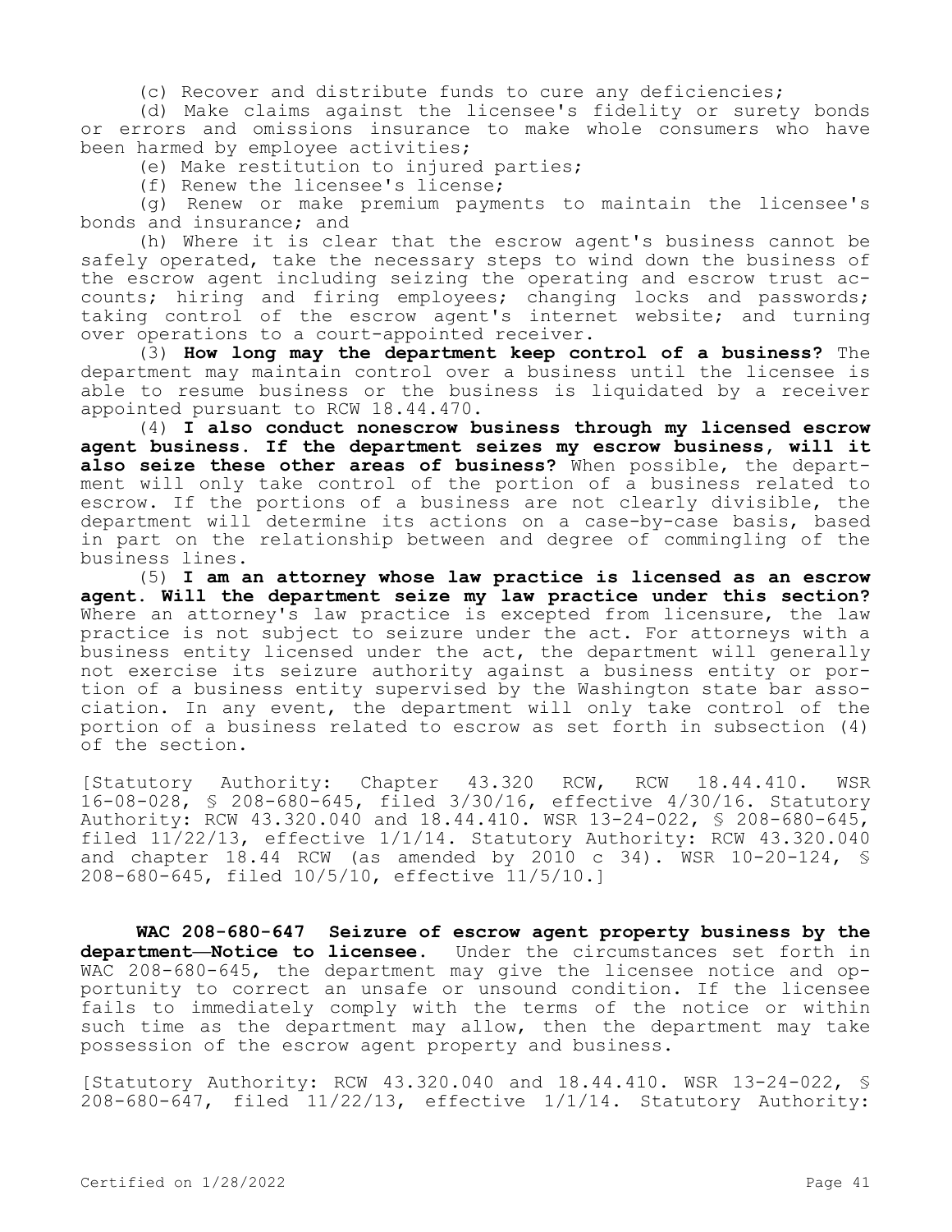(c) Recover and distribute funds to cure any deficiencies;

(d) Make claims against the licensee's fidelity or surety bonds or errors and omissions insurance to make whole consumers who have been harmed by employee activities;

(e) Make restitution to injured parties;

(f) Renew the licensee's license;

(g) Renew or make premium payments to maintain the licensee's bonds and insurance; and

(h) Where it is clear that the escrow agent's business cannot be safely operated, take the necessary steps to wind down the business of the escrow agent including seizing the operating and escrow trust accounts; hiring and firing employees; changing locks and passwords; taking control of the escrow agent's internet website; and turning over operations to a court-appointed receiver.

(3) **How long may the department keep control of a business?** The department may maintain control over a business until the licensee is able to resume business or the business is liquidated by a receiver appointed pursuant to RCW 18.44.470.

(4) **I also conduct nonescrow business through my licensed escrow agent business. If the department seizes my escrow business, will it also seize these other areas of business?** When possible, the department will only take control of the portion of a business related to escrow. If the portions of a business are not clearly divisible, the department will determine its actions on a case-by-case basis, based in part on the relationship between and degree of commingling of the business lines.

(5) **I am an attorney whose law practice is licensed as an escrow agent. Will the department seize my law practice under this section?**  Where an attorney's law practice is excepted from licensure, the law practice is not subject to seizure under the act. For attorneys with a business entity licensed under the act, the department will generally not exercise its seizure authority against a business entity or portion of a business entity supervised by the Washington state bar association. In any event, the department will only take control of the portion of a business related to escrow as set forth in subsection (4) of the section.

[Statutory Authority: Chapter 43.320 RCW, RCW 18.44.410. WSR 16-08-028, § 208-680-645, filed 3/30/16, effective 4/30/16. Statutory Authority: RCW 43.320.040 and 18.44.410. WSR 13-24-022, § 208-680-645, filed 11/22/13, effective 1/1/14. Statutory Authority: RCW 43.320.040 and chapter  $18.44$  RCW (as amended by 2010 c 34). WSR  $10-20-124$ , § 208-680-645, filed 10/5/10, effective 11/5/10.]

**WAC 208-680-647 Seizure of escrow agent property business by the department—Notice to licensee.** Under the circumstances set forth in WAC 208-680-645, the department may give the licensee notice and opportunity to correct an unsafe or unsound condition. If the licensee fails to immediately comply with the terms of the notice or within such time as the department may allow, then the department may take possession of the escrow agent property and business.

[Statutory Authority: RCW 43.320.040 and 18.44.410. WSR 13-24-022, § 208-680-647, filed 11/22/13, effective 1/1/14. Statutory Authority: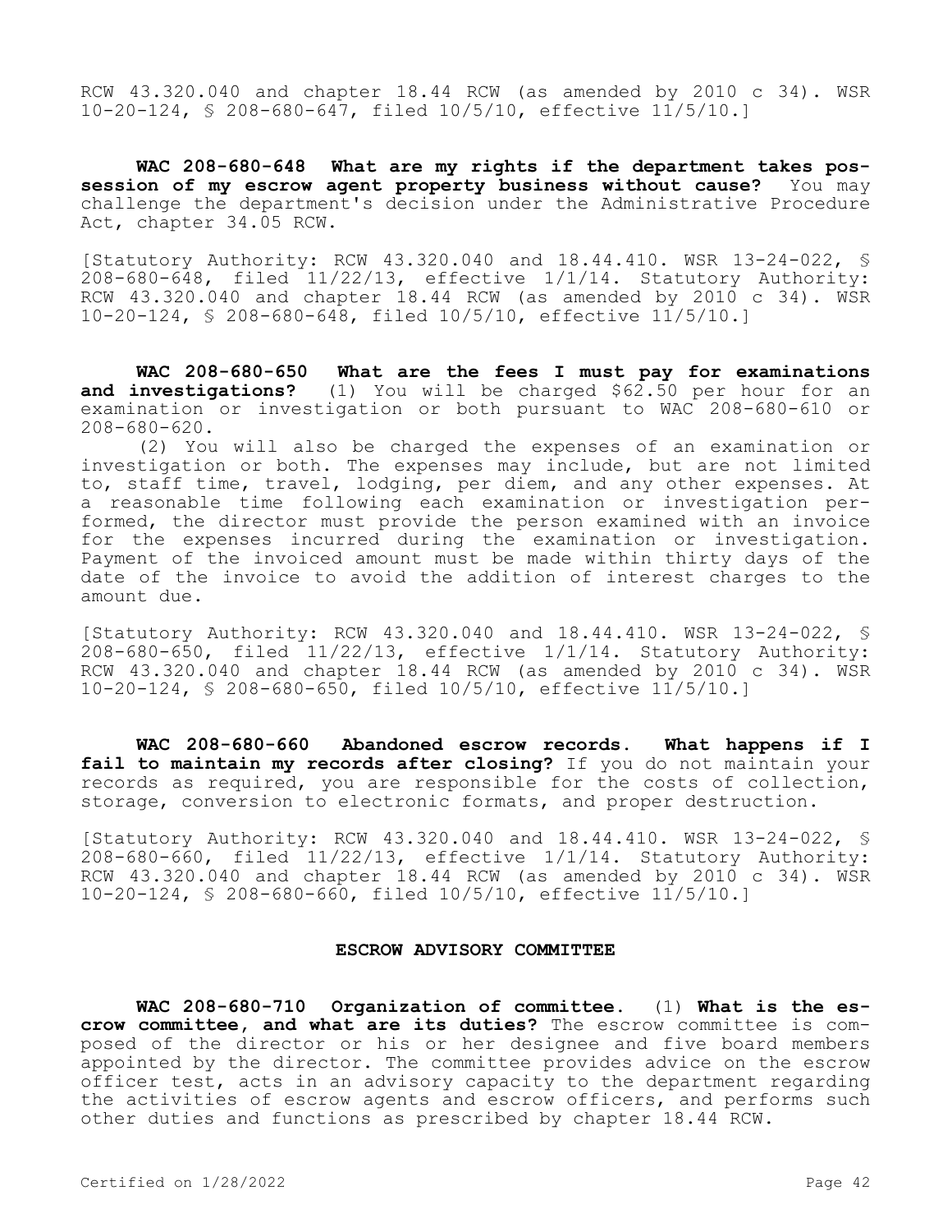RCW 43.320.040 and chapter 18.44 RCW (as amended by 2010 c 34). WSR 10-20-124, § 208-680-647, filed 10/5/10, effective 11/5/10.]

**WAC 208-680-648 What are my rights if the department takes possession of my escrow agent property business without cause?** You may challenge the department's decision under the Administrative Procedure Act, chapter 34.05 RCW.

[Statutory Authority: RCW 43.320.040 and 18.44.410. WSR 13-24-022, § 208-680-648, filed 11/22/13, effective 1/1/14. Statutory Authority: RCW 43.320.040 and chapter 18.44 RCW (as amended by 2010 c 34). WSR 10-20-124, § 208-680-648, filed 10/5/10, effective 11/5/10.]

**WAC 208-680-650 What are the fees I must pay for examinations and investigations?** (1) You will be charged \$62.50 per hour for an examination or investigation or both pursuant to WAC 208-680-610 or 208-680-620.

(2) You will also be charged the expenses of an examination or investigation or both. The expenses may include, but are not limited to, staff time, travel, lodging, per diem, and any other expenses. At a reasonable time following each examination or investigation performed, the director must provide the person examined with an invoice for the expenses incurred during the examination or investigation. Payment of the invoiced amount must be made within thirty days of the date of the invoice to avoid the addition of interest charges to the amount due.

[Statutory Authority: RCW 43.320.040 and 18.44.410. WSR 13-24-022, § 208-680-650, filed 11/22/13, effective 1/1/14. Statutory Authority: RCW 43.320.040 and chapter 18.44 RCW (as amended by 2010 c 34). WSR 10-20-124, § 208-680-650, filed 10/5/10, effective 11/5/10.]

**WAC 208-680-660 Abandoned escrow records. What happens if I fail to maintain my records after closing?** If you do not maintain your records as required, you are responsible for the costs of collection, storage, conversion to electronic formats, and proper destruction.

[Statutory Authority: RCW 43.320.040 and 18.44.410. WSR 13-24-022, §  $208-680-660$ , filed  $11/22/13$ , effective  $1/1/14$ . Statutory Authority: RCW 43.320.040 and chapter 18.44 RCW (as amended by 2010 c 34). WSR 10-20-124, § 208-680-660, filed 10/5/10, effective 11/5/10.]

#### **ESCROW ADVISORY COMMITTEE**

**WAC 208-680-710 Organization of committee.** (1) **What is the escrow committee, and what are its duties?** The escrow committee is composed of the director or his or her designee and five board members appointed by the director. The committee provides advice on the escrow officer test, acts in an advisory capacity to the department regarding the activities of escrow agents and escrow officers, and performs such other duties and functions as prescribed by chapter 18.44 RCW.